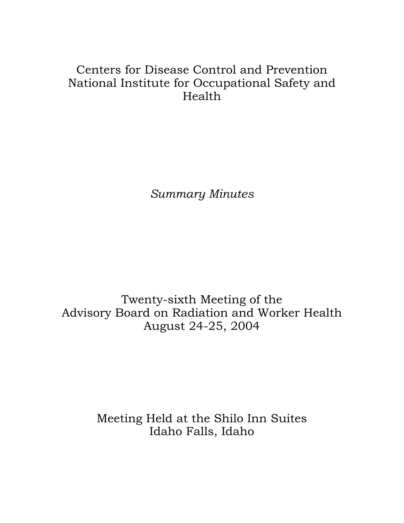# Centers for Disease Control and Prevention National Institute for Occupational Safety and Health

*Summary Minutes*

Twenty-sixth Meeting of the Advisory Board on Radiation and Worker Health August 24-25, 2004

> Meeting Held at the Shilo Inn Suites Idaho Falls, Idaho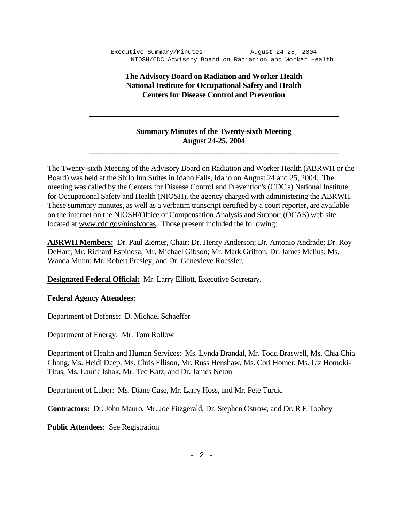# **The Advisory Board on Radiation and Worker Health National Institute for Occupational Safety and Health Centers for Disease Control and Prevention**

# **Summary Minutes of the Twenty-sixth Meeting August 24-25, 2004**

The Twenty-sixth Meeting of the Advisory Board on Radiation and Worker Health (ABRWH or the Board) was held at the Shilo Inn Suites in Idaho Falls, Idaho on August 24 and 25, 2004. The meeting was called by the Centers for Disease Control and Prevention's (CDC's) National Institute for Occupational Safety and Health (NIOSH), the agency charged with administering the ABRWH. These summary minutes, as well as a verbatim transcript certified by a court reporter, are available on the internet on the NIOSH/Office of Compensation Analysis and Support (OCAS) web site located at www.cdc.gov/niosh/ocas. Those present included the following:

 **\_\_\_\_\_\_\_\_\_\_\_\_\_\_\_\_\_\_\_\_\_\_\_\_\_\_\_\_\_\_\_\_\_\_\_\_\_\_\_\_\_\_\_\_\_\_\_\_\_\_\_\_\_\_\_\_\_\_\_\_\_\_\_\_\_** 

 **\_\_\_\_\_\_\_\_\_\_\_\_\_\_\_\_\_\_\_\_\_\_\_\_\_\_\_\_\_\_\_\_\_\_\_\_\_\_\_\_\_\_\_\_\_\_\_\_\_\_\_\_\_\_\_\_\_\_\_\_\_\_\_\_\_**

**ABRWH Members:** Dr. Paul Ziemer, Chair; Dr. Henry Anderson; Dr. Antonio Andrade; Dr. Roy DeHart; Mr. Richard Espinosa; Mr. Michael Gibson; Mr. Mark Griffon; Dr. James Melius; Ms. Wanda Munn; Mr. Robert Presley; and Dr. Genevieve Roessler.

**Designated Federal Official:** Mr. Larry Elliott, Executive Secretary.

### **Federal Agency Attendees:**

Department of Defense: D. Michael Schaeffer

Department of Energy: Mr. Tom Rollow

Department of Health and Human Services: Ms. Lynda Brandal, Mr. Todd Braswell, Ms. Chia Chia Chang, Ms. Heidi Deep, Ms. Chris Ellison, Mr. Russ Henshaw, Ms. Cori Homer, Ms. Liz Homoki-Titus, Ms. Laurie Ishak, Mr. Ted Katz, and Dr. James Neton

Department of Labor: Ms. Diane Case, Mr. Larry Hoss, and Mr. Pete Turcic

**Contractors:** Dr. John Mauro, Mr. Joe Fitzgerald, Dr. Stephen Ostrow, and Dr. R E Toohey

**Public Attendees:** See Registration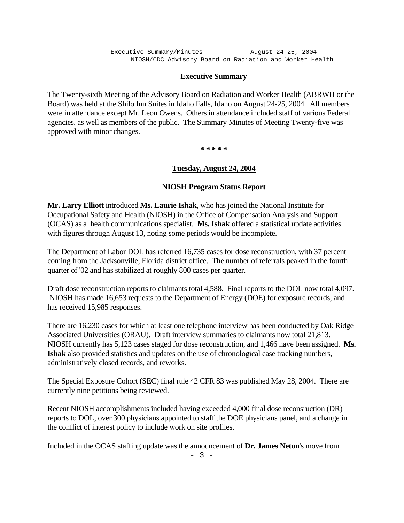### **Executive Summary**

The Twenty-sixth Meeting of the Advisory Board on Radiation and Worker Health (ABRWH or the Board) was held at the Shilo Inn Suites in Idaho Falls, Idaho on August 24-25, 2004. All members were in attendance except Mr. Leon Owens. Others in attendance included staff of various Federal agencies, as well as members of the public. The Summary Minutes of Meeting Twenty-five was approved with minor changes.

**\* \* \* \* \***

### **Tuesday, August 24, 2004**

#### **NIOSH Program Status Report**

**Mr. Larry Elliott** introduced **Ms. Laurie Ishak**, who has joined the National Institute for Occupational Safety and Health (NIOSH) in the Office of Compensation Analysis and Support (OCAS) as a health communications specialist. **Ms. Ishak** offered a statistical update activities with figures through August 13, noting some periods would be incomplete.

The Department of Labor DOL has referred 16,735 cases for dose reconstruction, with 37 percent coming from the Jacksonville, Florida district office. The number of referrals peaked in the fourth quarter of '02 and has stabilized at roughly 800 cases per quarter.

Draft dose reconstruction reports to claimants total 4,588. Final reports to the DOL now total 4,097. NIOSH has made 16,653 requests to the Department of Energy (DOE) for exposure records, and has received 15,985 responses.

There are 16,230 cases for which at least one telephone interview has been conducted by Oak Ridge Associated Universities (ORAU). Draft interview summaries to claimants now total 21,813. NIOSH currently has 5,123 cases staged for dose reconstruction, and 1,466 have been assigned. **Ms. Ishak** also provided statistics and updates on the use of chronological case tracking numbers, administratively closed records, and reworks.

The Special Exposure Cohort (SEC) final rule 42 CFR 83 was published May 28, 2004. There are currently nine petitions being reviewed.

Recent NIOSH accomplishments included having exceeded 4,000 final dose reconsruction (DR) reports to DOL, over 300 physicians appointed to staff the DOE physicians panel, and a change in the conflict of interest policy to include work on site profiles.

Included in the OCAS staffing update was the announcement of **Dr. James Neton**'s move from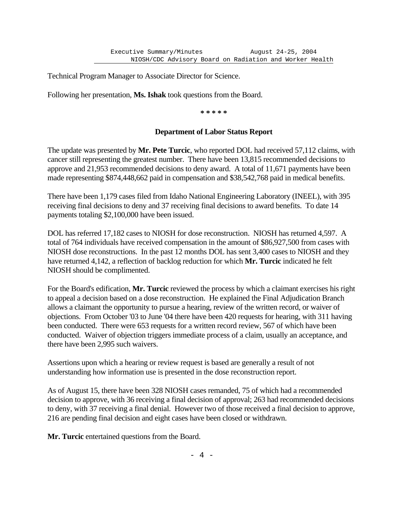Technical Program Manager to Associate Director for Science.

Following her presentation, **Ms. Ishak** took questions from the Board.

**\* \* \* \* \***

### **Department of Labor Status Report**

The update was presented by **Mr. Pete Turcic**, who reported DOL had received 57,112 claims, with cancer still representing the greatest number. There have been 13,815 recommended decisions to approve and 21,953 recommended decisions to deny award. A total of 11,671 payments have been made representing \$874,448,662 paid in compensation and \$38,542,768 paid in medical benefits.

There have been 1,179 cases filed from Idaho National Engineering Laboratory (INEEL), with 395 receiving final decisions to deny and 37 receiving final decisions to award benefits. To date 14 payments totaling \$2,100,000 have been issued.

DOL has referred 17,182 cases to NIOSH for dose reconstruction. NIOSH has returned 4,597. A total of 764 individuals have received compensation in the amount of \$86,927,500 from cases with NIOSH dose reconstructions. In the past 12 months DOL has sent 3,400 cases to NIOSH and they have returned 4,142, a reflection of backlog reduction for which **Mr. Turcic** indicated he felt NIOSH should be complimented.

For the Board's edification, **Mr. Turcic** reviewed the process by which a claimant exercises his right to appeal a decision based on a dose reconstruction. He explained the Final Adjudication Branch allows a claimant the opportunity to pursue a hearing, review of the written record, or waiver of objections. From October '03 to June '04 there have been 420 requests for hearing, with 311 having been conducted. There were 653 requests for a written record review, 567 of which have been conducted. Waiver of objection triggers immediate process of a claim, usually an acceptance, and there have been 2,995 such waivers.

Assertions upon which a hearing or review request is based are generally a result of not understanding how information use is presented in the dose reconstruction report.

As of August 15, there have been 328 NIOSH cases remanded, 75 of which had a recommended decision to approve, with 36 receiving a final decision of approval; 263 had recommended decisions to deny, with 37 receiving a final denial. However two of those received a final decision to approve, 216 are pending final decision and eight cases have been closed or withdrawn.

**Mr. Turcic** entertained questions from the Board.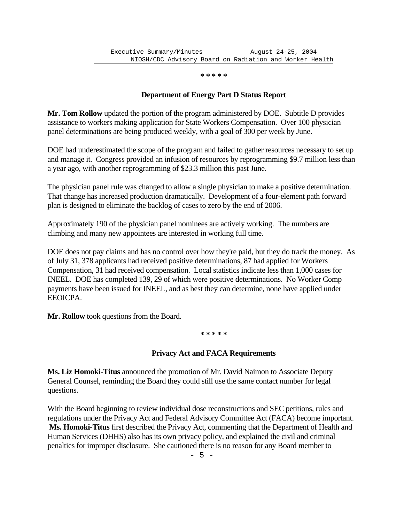**\* \* \* \* \***

# **Department of Energy Part D Status Report**

**Mr. Tom Rollow** updated the portion of the program administered by DOE. Subtitle D provides assistance to workers making application for State Workers Compensation. Over 100 physician panel determinations are being produced weekly, with a goal of 300 per week by June.

DOE had underestimated the scope of the program and failed to gather resources necessary to set up and manage it. Congress provided an infusion of resources by reprogramming \$9.7 million less than a year ago, with another reprogramming of \$23.3 million this past June.

The physician panel rule was changed to allow a single physician to make a positive determination. That change has increased production dramatically. Development of a four-element path forward plan is designed to eliminate the backlog of cases to zero by the end of 2006.

Approximately 190 of the physician panel nominees are actively working. The numbers are climbing and many new appointees are interested in working full time.

DOE does not pay claims and has no control over how they're paid, but they do track the money. As of July 31, 378 applicants had received positive determinations, 87 had applied for Workers Compensation, 31 had received compensation. Local statistics indicate less than 1,000 cases for INEEL. DOE has completed 139, 29 of which were positive determinations. No Worker Comp payments have been issued for INEEL, and as best they can determine, none have applied under EEOICPA.

**Mr. Rollow** took questions from the Board.

**\* \* \* \* \***

# **Privacy Act and FACA Requirements**

**Ms. Liz Homoki-Titus** announced the promotion of Mr. David Naimon to Associate Deputy General Counsel, reminding the Board they could still use the same contact number for legal questions.

With the Board beginning to review individual dose reconstructions and SEC petitions, rules and regulations under the Privacy Act and Federal Advisory Committee Act (FACA) become important. **Ms. Homoki-Titus** first described the Privacy Act, commenting that the Department of Health and Human Services (DHHS) also has its own privacy policy, and explained the civil and criminal penalties for improper disclosure. She cautioned there is no reason for any Board member to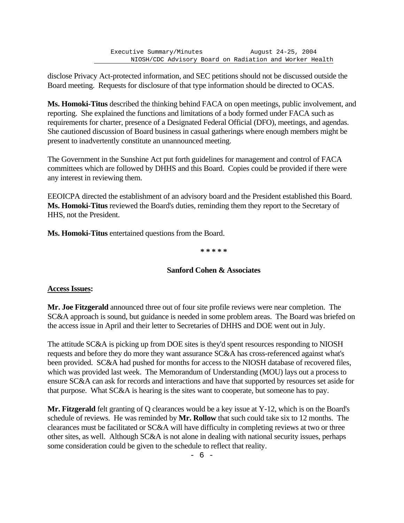disclose Privacy Act-protected information, and SEC petitions should not be discussed outside the Board meeting. Requests for disclosure of that type information should be directed to OCAS.

**Ms. Homoki-Titus** described the thinking behind FACA on open meetings, public involvement, and reporting. She explained the functions and limitations of a body formed under FACA such as requirements for charter, presence of a Designated Federal Official (DFO), meetings, and agendas. She cautioned discussion of Board business in casual gatherings where enough members might be present to inadvertently constitute an unannounced meeting.

The Government in the Sunshine Act put forth guidelines for management and control of FACA committees which are followed by DHHS and this Board. Copies could be provided if there were any interest in reviewing them.

EEOICPA directed the establishment of an advisory board and the President established this Board. **Ms. Homoki-Titus** reviewed the Board's duties, reminding them they report to the Secretary of HHS, not the President.

**Ms. Homoki-Titus** entertained questions from the Board.

**\* \* \* \* \***

# **Sanford Cohen & Associates**

# **Access Issues:**

**Mr. Joe Fitzgerald** announced three out of four site profile reviews were near completion. The SC&A approach is sound, but guidance is needed in some problem areas. The Board was briefed on the access issue in April and their letter to Secretaries of DHHS and DOE went out in July.

The attitude SC&A is picking up from DOE sites is they'd spent resources responding to NIOSH requests and before they do more they want assurance SC&A has cross-referenced against what's been provided. SC&A had pushed for months for access to the NIOSH database of recovered files, which was provided last week. The Memorandum of Understanding (MOU) lays out a process to ensure SC&A can ask for records and interactions and have that supported by resources set aside for that purpose. What SC&A is hearing is the sites want to cooperate, but someone has to pay.

**Mr. Fitzgerald** felt granting of Q clearances would be a key issue at Y-12, which is on the Board's schedule of reviews. He was reminded by **Mr. Rollow** that such could take six to 12 months. The clearances must be facilitated or SC&A will have difficulty in completing reviews at two or three other sites, as well. Although SC&A is not alone in dealing with national security issues, perhaps some consideration could be given to the schedule to reflect that reality.

- 6 -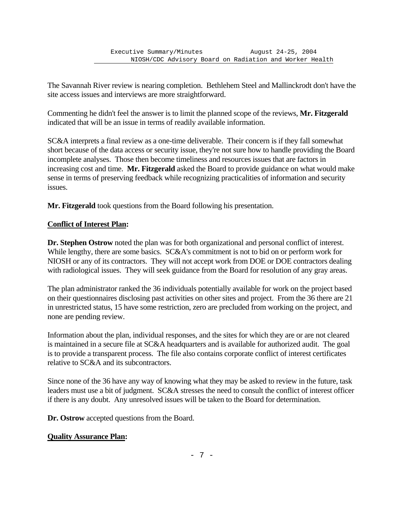The Savannah River review is nearing completion. Bethlehem Steel and Mallinckrodt don't have the site access issues and interviews are more straightforward.

Commenting he didn't feel the answer is to limit the planned scope of the reviews, **Mr. Fitzgerald** indicated that will be an issue in terms of readily available information.

SC&A interprets a final review as a one-time deliverable. Their concern is if they fall somewhat short because of the data access or security issue, they're not sure how to handle providing the Board incomplete analyses. Those then become timeliness and resources issues that are factors in increasing cost and time. **Mr. Fitzgerald** asked the Board to provide guidance on what would make sense in terms of preserving feedback while recognizing practicalities of information and security issues.

**Mr. Fitzgerald** took questions from the Board following his presentation.

# **Conflict of Interest Plan:**

**Dr. Stephen Ostrow** noted the plan was for both organizational and personal conflict of interest. While lengthy, there are some basics. SC&A's commitment is not to bid on or perform work for NIOSH or any of its contractors. They will not accept work from DOE or DOE contractors dealing with radiological issues. They will seek guidance from the Board for resolution of any gray areas.

The plan administrator ranked the 36 individuals potentially available for work on the project based on their questionnaires disclosing past activities on other sites and project. From the 36 there are 21 in unrestricted status, 15 have some restriction, zero are precluded from working on the project, and none are pending review.

Information about the plan, individual responses, and the sites for which they are or are not cleared is maintained in a secure file at SC&A headquarters and is available for authorized audit. The goal is to provide a transparent process. The file also contains corporate conflict of interest certificates relative to SC&A and its subcontractors.

Since none of the 36 have any way of knowing what they may be asked to review in the future, task leaders must use a bit of judgment. SC&A stresses the need to consult the conflict of interest officer if there is any doubt. Any unresolved issues will be taken to the Board for determination.

**Dr. Ostrow** accepted questions from the Board.

# **Quality Assurance Plan:**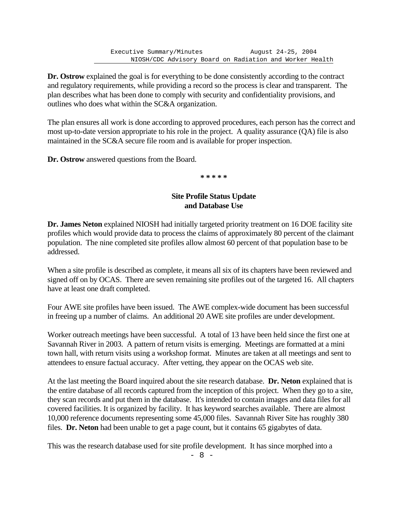Executive Summary/Minutes August 24-25, 2004 NIOSH/CDC Advisory Board on Radiation and Worker Health

**Dr. Ostrow** explained the goal is for everything to be done consistently according to the contract and regulatory requirements, while providing a record so the process is clear and transparent. The plan describes what has been done to comply with security and confidentiality provisions, and outlines who does what within the SC&A organization.

The plan ensures all work is done according to approved procedures, each person has the correct and most up-to-date version appropriate to his role in the project. A quality assurance (QA) file is also maintained in the SC&A secure file room and is available for proper inspection.

**Dr. Ostrow** answered questions from the Board.

**\* \* \* \* \***

### **Site Profile Status Update and Database Use**

**Dr. James Neton** explained NIOSH had initially targeted priority treatment on 16 DOE facility site profiles which would provide data to process the claims of approximately 80 percent of the claimant population. The nine completed site profiles allow almost 60 percent of that population base to be addressed.

When a site profile is described as complete, it means all six of its chapters have been reviewed and signed off on by OCAS. There are seven remaining site profiles out of the targeted 16. All chapters have at least one draft completed.

Four AWE site profiles have been issued. The AWE complex-wide document has been successful in freeing up a number of claims. An additional 20 AWE site profiles are under development.

Worker outreach meetings have been successful. A total of 13 have been held since the first one at Savannah River in 2003. A pattern of return visits is emerging. Meetings are formatted at a mini town hall, with return visits using a workshop format. Minutes are taken at all meetings and sent to attendees to ensure factual accuracy. After vetting, they appear on the OCAS web site.

At the last meeting the Board inquired about the site research database. **Dr. Neton** explained that is the entire database of all records captured from the inception of this project. When they go to a site, they scan records and put them in the database. It's intended to contain images and data files for all covered facilities. It is organized by facility. It has keyword searches available. There are almost 10,000 reference documents representing some 45,000 files. Savannah River Site has roughly 380 files. **Dr. Neton** had been unable to get a page count, but it contains 65 gigabytes of data.

This was the research database used for site profile development. It has since morphed into a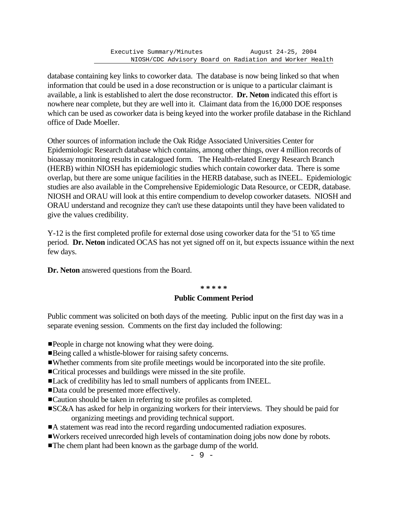database containing key links to coworker data. The database is now being linked so that when information that could be used in a dose reconstruction or is unique to a particular claimant is available, a link is established to alert the dose reconstructor. **Dr. Neton** indicated this effort is nowhere near complete, but they are well into it. Claimant data from the 16,000 DOE responses which can be used as coworker data is being keyed into the worker profile database in the Richland office of Dade Moeller.

Other sources of information include the Oak Ridge Associated Universities Center for Epidemiologic Research database which contains, among other things, over 4 million records of bioassay monitoring results in catalogued form. The Health-related Energy Research Branch (HERB) within NIOSH has epidemiologic studies which contain coworker data. There is some overlap, but there are some unique facilities in the HERB database, such as INEEL. Epidemiologic studies are also available in the Comprehensive Epidemiologic Data Resource, or CEDR, database. NIOSH and ORAU will look at this entire compendium to develop coworker datasets. NIOSH and ORAU understand and recognize they can't use these datapoints until they have been validated to give the values credibility.

Y-12 is the first completed profile for external dose using coworker data for the '51 to '65 time period. **Dr. Neton** indicated OCAS has not yet signed off on it, but expects issuance within the next few days.

**Dr. Neton** answered questions from the Board.

#### **\* \* \* \* \***

### **Public Comment Period**

Public comment was solicited on both days of the meeting. Public input on the first day was in a separate evening session. Comments on the first day included the following:

- **People in charge not knowing what they were doing.**
- ■Being called a whistle-blower for raising safety concerns.
- #Whether comments from site profile meetings would be incorporated into the site profile.
- #Critical processes and buildings were missed in the site profile.
- #Lack of credibility has led to small numbers of applicants from INEEL.
- ■Data could be presented more effectively.
- ■Caution should be taken in referring to site profiles as completed.
- **EXC&A** has asked for help in organizing workers for their interviews. They should be paid for organizing meetings and providing technical support.
- A statement was read into the record regarding undocumented radiation exposures.
- #Workers received unrecorded high levels of contamination doing jobs now done by robots.
- The chem plant had been known as the garbage dump of the world.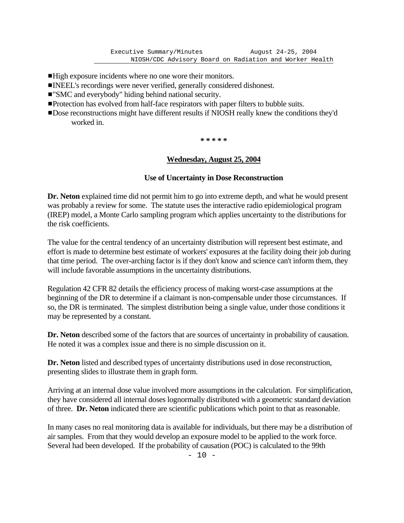- ■High exposure incidents where no one wore their monitors.
- **INEEL's recordings were never verified, generally considered dishonest.**
- ■"SMC and everybody" hiding behind national security.
- **Protection has evolved from half-face respirators with paper filters to bubble suits.**
- **Dose reconstructions might have different results if NIOSH really knew the conditions they'd** worked in.

**\* \* \* \* \***

# **Wednesday, August 25, 2004**

# **Use of Uncertainty in Dose Reconstruction**

**Dr. Neton** explained time did not permit him to go into extreme depth, and what he would present was probably a review for some. The statute uses the interactive radio epidemiological program (IREP) model, a Monte Carlo sampling program which applies uncertainty to the distributions for the risk coefficients.

The value for the central tendency of an uncertainty distribution will represent best estimate, and effort is made to determine best estimate of workers' exposures at the facility doing their job during that time period. The over-arching factor is if they don't know and science can't inform them, they will include favorable assumptions in the uncertainty distributions.

Regulation 42 CFR 82 details the efficiency process of making worst-case assumptions at the beginning of the DR to determine if a claimant is non-compensable under those circumstances. If so, the DR is terminated. The simplest distribution being a single value, under those conditions it may be represented by a constant.

Dr. Neton described some of the factors that are sources of uncertainty in probability of causation. He noted it was a complex issue and there is no simple discussion on it.

**Dr. Neton** listed and described types of uncertainty distributions used in dose reconstruction, presenting slides to illustrate them in graph form.

Arriving at an internal dose value involved more assumptions in the calculation. For simplification, they have considered all internal doses lognormally distributed with a geometric standard deviation of three. **Dr. Neton** indicated there are scientific publications which point to that as reasonable.

In many cases no real monitoring data is available for individuals, but there may be a distribution of air samples. From that they would develop an exposure model to be applied to the work force. Several had been developed. If the probability of causation (POC) is calculated to the 99th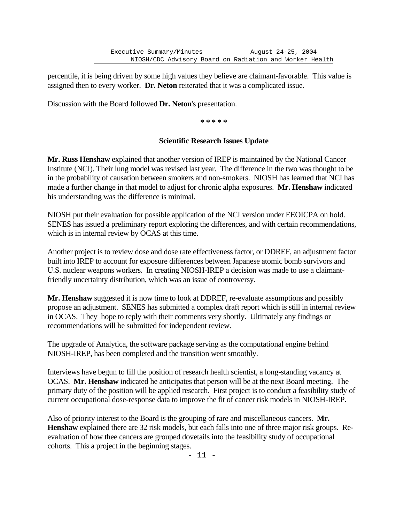percentile, it is being driven by some high values they believe are claimant-favorable. This value is assigned then to every worker. **Dr. Neton** reiterated that it was a complicated issue.

Discussion with the Board followed **Dr. Neton**'s presentation.

**\* \* \* \* \***

# **Scientific Research Issues Update**

**Mr. Russ Henshaw** explained that another version of IREP is maintained by the National Cancer Institute (NCI). Their lung model was revised last year. The difference in the two was thought to be in the probability of causation between smokers and non-smokers. NIOSH has learned that NCI has made a further change in that model to adjust for chronic alpha exposures. **Mr. Henshaw** indicated his understanding was the difference is minimal.

NIOSH put their evaluation for possible application of the NCI version under EEOICPA on hold. SENES has issued a preliminary report exploring the differences, and with certain recommendations, which is in internal review by OCAS at this time.

Another project is to review dose and dose rate effectiveness factor, or DDREF, an adjustment factor built into IREP to account for exposure differences between Japanese atomic bomb survivors and U.S. nuclear weapons workers. In creating NIOSH-IREP a decision was made to use a claimantfriendly uncertainty distribution, which was an issue of controversy.

**Mr. Henshaw** suggested it is now time to look at DDREF, re-evaluate assumptions and possibly propose an adjustment. SENES has submitted a complex draft report which is still in internal review in OCAS. They hope to reply with their comments very shortly. Ultimately any findings or recommendations will be submitted for independent review.

The upgrade of Analytica, the software package serving as the computational engine behind NIOSH-IREP, has been completed and the transition went smoothly.

Interviews have begun to fill the position of research health scientist, a long-standing vacancy at OCAS. **Mr. Henshaw** indicated he anticipates that person will be at the next Board meeting. The primary duty of the position will be applied research. First project is to conduct a feasibility study of current occupational dose-response data to improve the fit of cancer risk models in NIOSH-IREP.

Also of priority interest to the Board is the grouping of rare and miscellaneous cancers. **Mr. Henshaw** explained there are 32 risk models, but each falls into one of three major risk groups. Reevaluation of how thee cancers are grouped dovetails into the feasibility study of occupational cohorts. This a project in the beginning stages.

- 11 -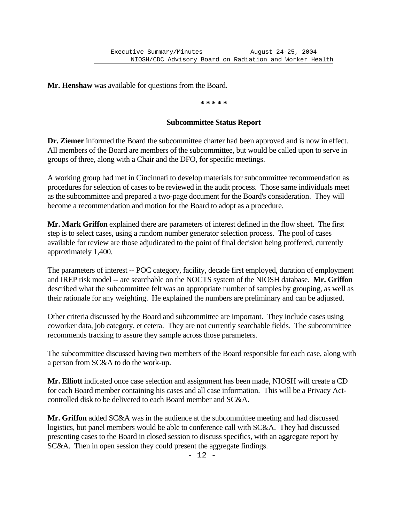**Mr. Henshaw** was available for questions from the Board.

#### **\* \* \* \* \***

#### **Subcommittee Status Report**

**Dr. Ziemer** informed the Board the subcommittee charter had been approved and is now in effect. All members of the Board are members of the subcommittee, but would be called upon to serve in groups of three, along with a Chair and the DFO, for specific meetings.

A working group had met in Cincinnati to develop materials for subcommittee recommendation as procedures for selection of cases to be reviewed in the audit process. Those same individuals meet as the subcommittee and prepared a two-page document for the Board's consideration. They will become a recommendation and motion for the Board to adopt as a procedure.

**Mr. Mark Griffon** explained there are parameters of interest defined in the flow sheet. The first step is to select cases, using a random number generator selection process. The pool of cases available for review are those adjudicated to the point of final decision being proffered, currently approximately 1,400.

The parameters of interest -- POC category, facility, decade first employed, duration of employment and IREP risk model -- are searchable on the NOCTS system of the NIOSH database. **Mr. Griffon**  described what the subcommittee felt was an appropriate number of samples by grouping, as well as their rationale for any weighting. He explained the numbers are preliminary and can be adjusted.

Other criteria discussed by the Board and subcommittee are important. They include cases using coworker data, job category, et cetera. They are not currently searchable fields. The subcommittee recommends tracking to assure they sample across those parameters.

The subcommittee discussed having two members of the Board responsible for each case, along with a person from SC&A to do the work-up.

**Mr. Elliott** indicated once case selection and assignment has been made, NIOSH will create a CD for each Board member containing his cases and all case information. This will be a Privacy Actcontrolled disk to be delivered to each Board member and SC&A.

**Mr. Griffon** added SC&A was in the audience at the subcommittee meeting and had discussed logistics, but panel members would be able to conference call with SC&A. They had discussed presenting cases to the Board in closed session to discuss specifics, with an aggregate report by SC&A. Then in open session they could present the aggregate findings.

 $- 12 -$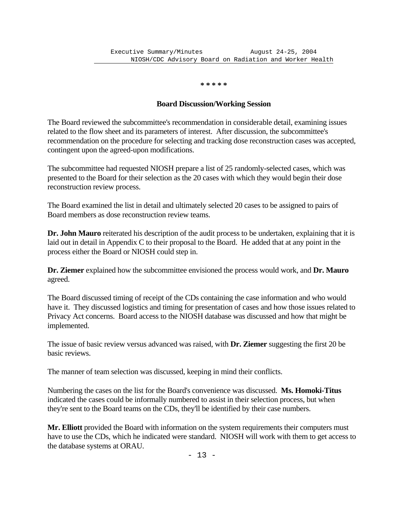**\* \* \* \* \***

### **Board Discussion/Working Session**

The Board reviewed the subcommittee's recommendation in considerable detail, examining issues related to the flow sheet and its parameters of interest. After discussion, the subcommittee's recommendation on the procedure for selecting and tracking dose reconstruction cases was accepted, contingent upon the agreed-upon modifications.

The subcommittee had requested NIOSH prepare a list of 25 randomly-selected cases, which was presented to the Board for their selection as the 20 cases with which they would begin their dose reconstruction review process.

The Board examined the list in detail and ultimately selected 20 cases to be assigned to pairs of Board members as dose reconstruction review teams.

**Dr. John Mauro** reiterated his description of the audit process to be undertaken, explaining that it is laid out in detail in Appendix C to their proposal to the Board. He added that at any point in the process either the Board or NIOSH could step in.

**Dr. Ziemer** explained how the subcommittee envisioned the process would work, and **Dr. Mauro**  agreed.

The Board discussed timing of receipt of the CDs containing the case information and who would have it. They discussed logistics and timing for presentation of cases and how those issues related to Privacy Act concerns. Board access to the NIOSH database was discussed and how that might be implemented.

The issue of basic review versus advanced was raised, with **Dr. Ziemer** suggesting the first 20 be basic reviews.

The manner of team selection was discussed, keeping in mind their conflicts.

Numbering the cases on the list for the Board's convenience was discussed. **Ms. Homoki-Titus**  indicated the cases could be informally numbered to assist in their selection process, but when they're sent to the Board teams on the CDs, they'll be identified by their case numbers.

**Mr. Elliott** provided the Board with information on the system requirements their computers must have to use the CDs, which he indicated were standard. NIOSH will work with them to get access to the database systems at ORAU.

- 13 -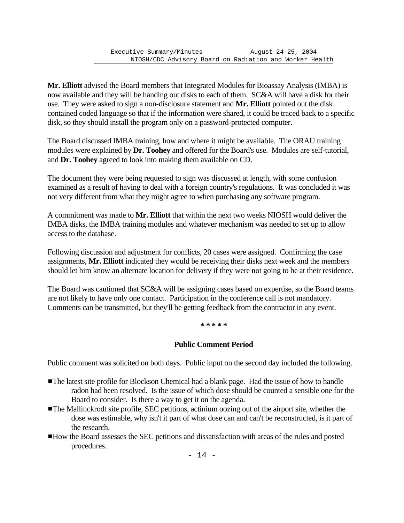**Mr. Elliott** advised the Board members that Integrated Modules for Bioassay Analysis (IMBA) is now available and they will be handing out disks to each of them. SC&A will have a disk for their use. They were asked to sign a non-disclosure statement and **Mr. Elliott** pointed out the disk contained coded language so that if the information were shared, it could be traced back to a specific disk, so they should install the program only on a password-protected computer.

The Board discussed IMBA training, how and where it might be available. The ORAU training modules were explained by **Dr. Toohey** and offered for the Board's use. Modules are self-tutorial, and **Dr. Toohey** agreed to look into making them available on CD.

The document they were being requested to sign was discussed at length, with some confusion examined as a result of having to deal with a foreign country's regulations. It was concluded it was not very different from what they might agree to when purchasing any software program.

A commitment was made to **Mr. Elliott** that within the next two weeks NIOSH would deliver the IMBA disks, the IMBA training modules and whatever mechanism was needed to set up to allow access to the database.

Following discussion and adjustment for conflicts, 20 cases were assigned. Confirming the case assignments, **Mr. Elliott** indicated they would be receiving their disks next week and the members should let him know an alternate location for delivery if they were not going to be at their residence.

The Board was cautioned that SC&A will be assigning cases based on expertise, so the Board teams are not likely to have only one contact. Participation in the conference call is not mandatory. Comments can be transmitted, but they'll be getting feedback from the contractor in any event.

**\* \* \* \* \***

# **Public Comment Period**

Public comment was solicited on both days. Public input on the second day included the following.

- The latest site profile for Blockson Chemical had a blank page. Had the issue of how to handle radon had been resolved. Is the issue of which dose should be counted a sensible one for the Board to consider. Is there a way to get it on the agenda.
- ■The Mallinckrodt site profile, SEC petitions, actinium oozing out of the airport site, whether the dose was estimable, why isn't it part of what dose can and can't be reconstructed, is it part of the research.
- #How the Board assesses the SEC petitions and dissatisfaction with areas of the rules and posted procedures.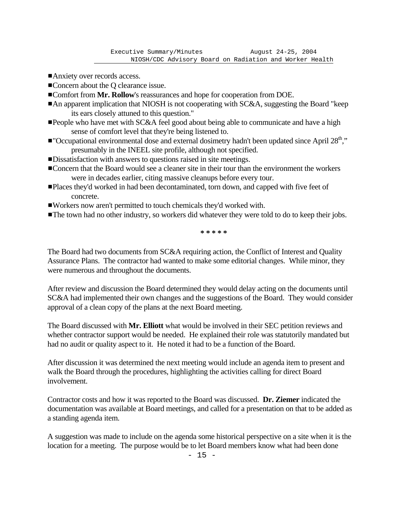- Anxiety over records access.
- ■Concern about the Q clearance issue.
- $\blacksquare$  Comfort from Mr. Rollow's reassurances and hope for cooperation from DOE.
- $\blacksquare$  An apparent implication that NIOSH is not cooperating with SC&A, suggesting the Board "keep its ears closely attuned to this question."
- **People who have met with SC&A feel good about being able to communicate and have a high** sense of comfort level that they're being listened to.
- "Occupational environmental dose and external dosimetry hadn't been updated since April  $28<sup>th</sup>$ ," presumably in the INEEL site profile, although not specified.
- **ID** issatisfaction with answers to questions raised in site meetings.
- **Exercise 1** Concern that the Board would see a cleaner site in their tour than the environment the workers were in decades earlier, citing massive cleanups before every tour.
- **Places they'd worked in had been decontaminated, torn down, and capped with five feet of** concrete.
- #Workers now aren't permitted to touch chemicals they'd worked with.
- The town had no other industry, so workers did whatever they were told to do to keep their jobs.

**\* \* \* \* \***

The Board had two documents from SC&A requiring action, the Conflict of Interest and Quality Assurance Plans. The contractor had wanted to make some editorial changes. While minor, they were numerous and throughout the documents.

After review and discussion the Board determined they would delay acting on the documents until SC&A had implemented their own changes and the suggestions of the Board. They would consider approval of a clean copy of the plans at the next Board meeting.

The Board discussed with **Mr. Elliott** what would be involved in their SEC petition reviews and whether contractor support would be needed. He explained their role was statutorily mandated but had no audit or quality aspect to it. He noted it had to be a function of the Board.

After discussion it was determined the next meeting would include an agenda item to present and walk the Board through the procedures, highlighting the activities calling for direct Board involvement.

Contractor costs and how it was reported to the Board was discussed. **Dr. Ziemer** indicated the documentation was available at Board meetings, and called for a presentation on that to be added as a standing agenda item.

A suggestion was made to include on the agenda some historical perspective on a site when it is the location for a meeting. The purpose would be to let Board members know what had been done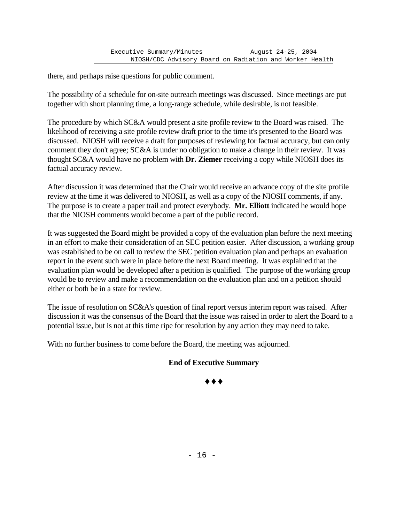there, and perhaps raise questions for public comment.

The possibility of a schedule for on-site outreach meetings was discussed. Since meetings are put together with short planning time, a long-range schedule, while desirable, is not feasible.

The procedure by which SC&A would present a site profile review to the Board was raised. The likelihood of receiving a site profile review draft prior to the time it's presented to the Board was discussed. NIOSH will receive a draft for purposes of reviewing for factual accuracy, but can only comment they don't agree; SC&A is under no obligation to make a change in their review. It was thought SC&A would have no problem with **Dr. Ziemer** receiving a copy while NIOSH does its factual accuracy review.

After discussion it was determined that the Chair would receive an advance copy of the site profile review at the time it was delivered to NIOSH, as well as a copy of the NIOSH comments, if any. The purpose is to create a paper trail and protect everybody. **Mr. Elliott** indicated he would hope that the NIOSH comments would become a part of the public record.

It was suggested the Board might be provided a copy of the evaluation plan before the next meeting in an effort to make their consideration of an SEC petition easier. After discussion, a working group was established to be on call to review the SEC petition evaluation plan and perhaps an evaluation report in the event such were in place before the next Board meeting. It was explained that the evaluation plan would be developed after a petition is qualified. The purpose of the working group would be to review and make a recommendation on the evaluation plan and on a petition should either or both be in a state for review.

The issue of resolution on SC&A's question of final report versus interim report was raised. After discussion it was the consensus of the Board that the issue was raised in order to alert the Board to a potential issue, but is not at this time ripe for resolution by any action they may need to take.

With no further business to come before the Board, the meeting was adjourned.

# **End of Executive Summary**

Ë Ë Ë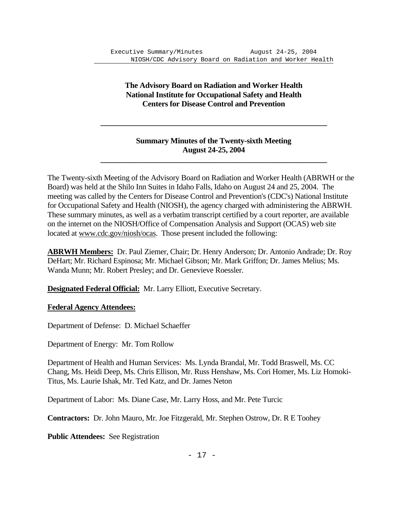# **The Advisory Board on Radiation and Worker Health National Institute for Occupational Safety and Health Centers for Disease Control and Prevention**

# **Summary Minutes of the Twenty-sixth Meeting August 24-25, 2004**

The Twenty-sixth Meeting of the Advisory Board on Radiation and Worker Health (ABRWH or the Board) was held at the Shilo Inn Suites in Idaho Falls, Idaho on August 24 and 25, 2004. The meeting was called by the Centers for Disease Control and Prevention's (CDC's) National Institute for Occupational Safety and Health (NIOSH), the agency charged with administering the ABRWH. These summary minutes, as well as a verbatim transcript certified by a court reporter, are available on the internet on the NIOSH/Office of Compensation Analysis and Support (OCAS) web site located at www.cdc.gov/niosh/ocas. Those present included the following:

 **\_\_\_\_\_\_\_\_\_\_\_\_\_\_\_\_\_\_\_\_\_\_\_\_\_\_\_\_\_\_\_\_\_\_\_\_\_\_\_\_\_\_\_\_\_\_\_\_\_\_\_\_\_\_\_\_\_\_\_**

 **\_\_\_\_\_\_\_\_\_\_\_\_\_\_\_\_\_\_\_\_\_\_\_\_\_\_\_\_\_\_\_\_\_\_\_\_\_\_\_\_\_\_\_\_\_\_\_\_\_\_\_\_\_\_\_\_\_\_\_**

**ABRWH Members:** Dr. Paul Ziemer, Chair; Dr. Henry Anderson; Dr. Antonio Andrade; Dr. Roy DeHart; Mr. Richard Espinosa; Mr. Michael Gibson; Mr. Mark Griffon; Dr. James Melius; Ms. Wanda Munn; Mr. Robert Presley; and Dr. Genevieve Roessler.

**Designated Federal Official:** Mr. Larry Elliott, Executive Secretary.

# **Federal Agency Attendees:**

Department of Defense: D. Michael Schaeffer

Department of Energy: Mr. Tom Rollow

Department of Health and Human Services: Ms. Lynda Brandal, Mr. Todd Braswell, Ms. CC Chang, Ms. Heidi Deep, Ms. Chris Ellison, Mr. Russ Henshaw, Ms. Cori Homer, Ms. Liz Homoki-Titus, Ms. Laurie Ishak, Mr. Ted Katz, and Dr. James Neton

Department of Labor: Ms. Diane Case, Mr. Larry Hoss, and Mr. Pete Turcic

**Contractors:** Dr. John Mauro, Mr. Joe Fitzgerald, Mr. Stephen Ostrow, Dr. R E Toohey

**Public Attendees:** See Registration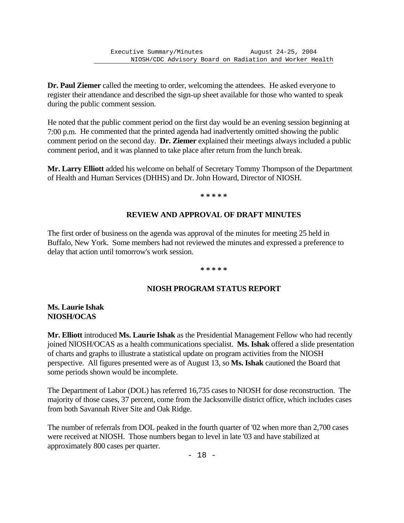**Dr. Paul Ziemer** called the meeting to order, welcoming the attendees. He asked everyone to register their attendance and described the sign-up sheet available for those who wanted to speak during the public comment session.

He noted that the public comment period on the first day would be an evening session beginning at 7:00 p.m. He commented that the printed agenda had inadvertently omitted showing the public comment period on the second day. **Dr. Ziemer** explained their meetings always included a public comment period, and it was planned to take place after return from the lunch break.

**Mr. Larry Elliott** added his welcome on behalf of Secretary Tommy Thompson of the Department of Health and Human Services (DHHS) and Dr. John Howard, Director of NIOSH.

**\* \* \* \* \***

# **REVIEW AND APPROVAL OF DRAFT MINUTES**

The first order of business on the agenda was approval of the minutes for meeting 25 held in Buffalo, New York. Some members had not reviewed the minutes and expressed a preference to delay that action until tomorrow's work session.

#### **\* \* \* \* \***

# **NIOSH PROGRAM STATUS REPORT**

### **Ms. Laurie Ishak NIOSH/OCAS**

**Mr. Elliott** introduced **Ms. Laurie Ishak** as the Presidential Management Fellow who had recently joined NIOSH/OCAS as a health communications specialist. **Ms. Ishak** offered a slide presentation of charts and graphs to illustrate a statistical update on program activities from the NIOSH perspective. All figures presented were as of August 13, so **Ms. Ishak** cautioned the Board that some periods shown would be incomplete.

The Department of Labor (DOL) has referred 16,735 cases to NIOSH for dose reconstruction. The majority of those cases, 37 percent, come from the Jacksonville district office, which includes cases from both Savannah River Site and Oak Ridge.

The number of referrals from DOL peaked in the fourth quarter of '02 when more than 2,700 cases were received at NIOSH. Those numbers began to level in late '03 and have stabilized at approximately 800 cases per quarter.

- 18 -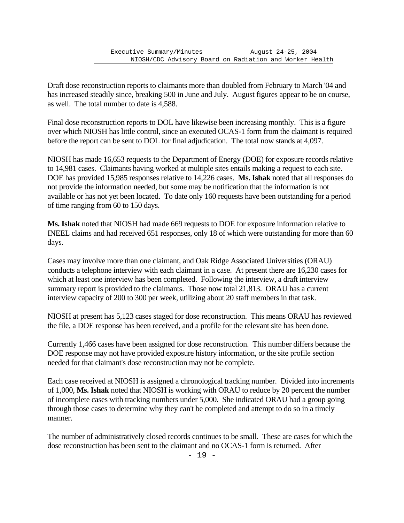Draft dose reconstruction reports to claimants more than doubled from February to March '04 and has increased steadily since, breaking 500 in June and July. August figures appear to be on course, as well. The total number to date is 4,588.

Final dose reconstruction reports to DOL have likewise been increasing monthly. This is a figure over which NIOSH has little control, since an executed OCAS-1 form from the claimant is required before the report can be sent to DOL for final adjudication. The total now stands at 4,097.

NIOSH has made 16,653 requests to the Department of Energy (DOE) for exposure records relative to 14,981 cases. Claimants having worked at multiple sites entails making a request to each site. DOE has provided 15,985 responses relative to 14,226 cases. **Ms. Ishak** noted that all responses do not provide the information needed, but some may be notification that the information is not available or has not yet been located. To date only 160 requests have been outstanding for a period of time ranging from 60 to 150 days.

**Ms. Ishak** noted that NIOSH had made 669 requests to DOE for exposure information relative to INEEL claims and had received 651 responses, only 18 of which were outstanding for more than 60 days.

Cases may involve more than one claimant, and Oak Ridge Associated Universities (ORAU) conducts a telephone interview with each claimant in a case. At present there are 16,230 cases for which at least one interview has been completed. Following the interview, a draft interview summary report is provided to the claimants. Those now total 21,813. ORAU has a current interview capacity of 200 to 300 per week, utilizing about 20 staff members in that task.

NIOSH at present has 5,123 cases staged for dose reconstruction. This means ORAU has reviewed the file, a DOE response has been received, and a profile for the relevant site has been done.

Currently 1,466 cases have been assigned for dose reconstruction. This number differs because the DOE response may not have provided exposure history information, or the site profile section needed for that claimant's dose reconstruction may not be complete.

Each case received at NIOSH is assigned a chronological tracking number. Divided into increments of 1,000, **Ms. Ishak** noted that NIOSH is working with ORAU to reduce by 20 percent the number of incomplete cases with tracking numbers under 5,000. She indicated ORAU had a group going through those cases to determine why they can't be completed and attempt to do so in a timely manner.

The number of administratively closed records continues to be small. These are cases for which the dose reconstruction has been sent to the claimant and no OCAS-1 form is returned. After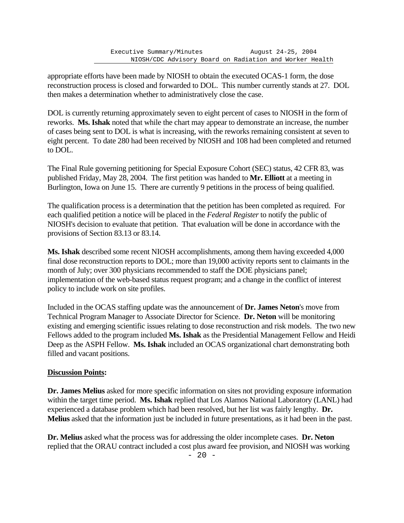appropriate efforts have been made by NIOSH to obtain the executed OCAS-1 form, the dose reconstruction process is closed and forwarded to DOL. This number currently stands at 27. DOL then makes a determination whether to administratively close the case.

DOL is currently returning approximately seven to eight percent of cases to NIOSH in the form of reworks. **Ms. Ishak** noted that while the chart may appear to demonstrate an increase, the number of cases being sent to DOL is what is increasing, with the reworks remaining consistent at seven to eight percent. To date 280 had been received by NIOSH and 108 had been completed and returned to DOL.

The Final Rule governing petitioning for Special Exposure Cohort (SEC) status, 42 CFR 83, was published Friday, May 28, 2004. The first petition was handed to **Mr. Elliott** at a meeting in Burlington, Iowa on June 15. There are currently 9 petitions in the process of being qualified.

The qualification process is a determination that the petition has been completed as required. For each qualified petition a notice will be placed in the *Federal Register* to notify the public of NIOSH's decision to evaluate that petition. That evaluation will be done in accordance with the provisions of Section 83.13 or 83.14.

**Ms. Ishak** described some recent NIOSH accomplishments, among them having exceeded 4,000 final dose reconstruction reports to DOL; more than 19,000 activity reports sent to claimants in the month of July; over 300 physicians recommended to staff the DOE physicians panel; implementation of the web-based status request program; and a change in the conflict of interest policy to include work on site profiles.

Included in the OCAS staffing update was the announcement of **Dr. James Neton**'s move from Technical Program Manager to Associate Director for Science. **Dr. Neton** will be monitoring existing and emerging scientific issues relating to dose reconstruction and risk models. The two new Fellows added to the program included **Ms. Ishak** as the Presidential Management Fellow and Heidi Deep as the ASPH Fellow. **Ms. Ishak** included an OCAS organizational chart demonstrating both filled and vacant positions.

# **Discussion Points:**

**Dr. James Melius** asked for more specific information on sites not providing exposure information within the target time period. **Ms. Ishak** replied that Los Alamos National Laboratory (LANL) had experienced a database problem which had been resolved, but her list was fairly lengthy. **Dr. Melius** asked that the information just be included in future presentations, as it had been in the past.

**Dr. Melius** asked what the process was for addressing the older incomplete cases. **Dr. Neton** replied that the ORAU contract included a cost plus award fee provision, and NIOSH was working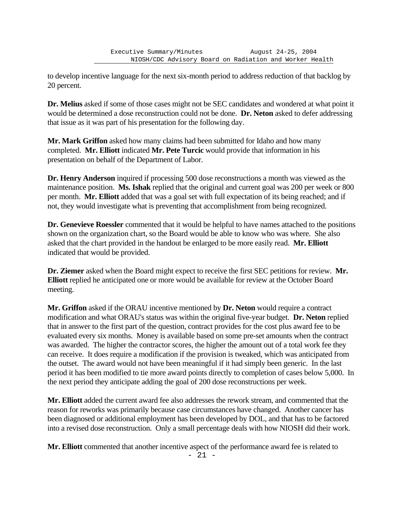to develop incentive language for the next six-month period to address reduction of that backlog by 20 percent.

**Dr. Melius** asked if some of those cases might not be SEC candidates and wondered at what point it would be determined a dose reconstruction could not be done. **Dr. Neton** asked to defer addressing that issue as it was part of his presentation for the following day.

**Mr. Mark Griffon** asked how many claims had been submitted for Idaho and how many completed. **Mr. Elliott** indicated **Mr. Pete Turcic** would provide that information in his presentation on behalf of the Department of Labor.

**Dr. Henry Anderson** inquired if processing 500 dose reconstructions a month was viewed as the maintenance position. **Ms. Ishak** replied that the original and current goal was 200 per week or 800 per month. **Mr. Elliott** added that was a goal set with full expectation of its being reached; and if not, they would investigate what is preventing that accomplishment from being recognized.

**Dr. Genevieve Roessler** commented that it would be helpful to have names attached to the positions shown on the organization chart, so the Board would be able to know who was where. She also asked that the chart provided in the handout be enlarged to be more easily read. **Mr. Elliott** indicated that would be provided.

**Dr. Ziemer** asked when the Board might expect to receive the first SEC petitions for review. **Mr. Elliott** replied he anticipated one or more would be available for review at the October Board meeting.

**Mr. Griffon** asked if the ORAU incentive mentioned by **Dr. Neton** would require a contract modification and what ORAU's status was within the original five-year budget. **Dr. Neton** replied that in answer to the first part of the question, contract provides for the cost plus award fee to be evaluated every six months. Money is available based on some pre-set amounts when the contract was awarded. The higher the contractor scores, the higher the amount out of a total work fee they can receive. It does require a modification if the provision is tweaked, which was anticipated from the outset. The award would not have been meaningful if it had simply been generic. In the last period it has been modified to tie more award points directly to completion of cases below 5,000. In the next period they anticipate adding the goal of 200 dose reconstructions per week.

**Mr. Elliott** added the current award fee also addresses the rework stream, and commented that the reason for reworks was primarily because case circumstances have changed. Another cancer has been diagnosed or additional employment has been developed by DOL, and that has to be factored into a revised dose reconstruction. Only a small percentage deals with how NIOSH did their work.

**Mr. Elliott** commented that another incentive aspect of the performance award fee is related to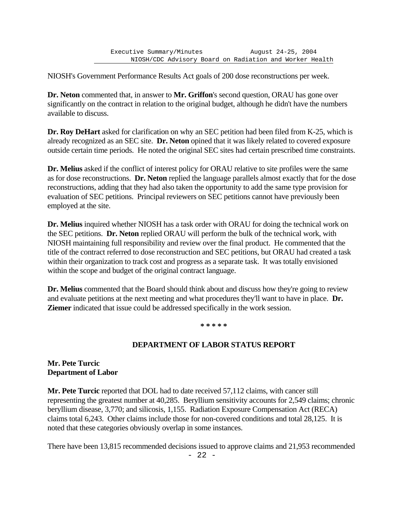NIOSH's Government Performance Results Act goals of 200 dose reconstructions per week.

**Dr. Neton** commented that, in answer to **Mr. Griffon**'s second question, ORAU has gone over significantly on the contract in relation to the original budget, although he didn't have the numbers available to discuss.

**Dr. Roy DeHart** asked for clarification on why an SEC petition had been filed from K-25, which is already recognized as an SEC site. **Dr. Neton** opined that it was likely related to covered exposure outside certain time periods. He noted the original SEC sites had certain prescribed time constraints.

**Dr. Melius** asked if the conflict of interest policy for ORAU relative to site profiles were the same as for dose reconstructions. **Dr. Neton** replied the language parallels almost exactly that for the dose reconstructions, adding that they had also taken the opportunity to add the same type provision for evaluation of SEC petitions. Principal reviewers on SEC petitions cannot have previously been employed at the site.

**Dr. Melius** inquired whether NIOSH has a task order with ORAU for doing the technical work on the SEC petitions. **Dr. Neton** replied ORAU will perform the bulk of the technical work, with NIOSH maintaining full responsibility and review over the final product. He commented that the title of the contract referred to dose reconstruction and SEC petitions, but ORAU had created a task within their organization to track cost and progress as a separate task. It was totally envisioned within the scope and budget of the original contract language.

**Dr. Melius** commented that the Board should think about and discuss how they're going to review and evaluate petitions at the next meeting and what procedures they'll want to have in place. **Dr. Ziemer** indicated that issue could be addressed specifically in the work session.

**\* \* \* \* \***

### **DEPARTMENT OF LABOR STATUS REPORT**

### **Mr. Pete Turcic Department of Labor**

**Mr. Pete Turcic** reported that DOL had to date received 57,112 claims, with cancer still representing the greatest number at 40,285. Beryllium sensitivity accounts for 2,549 claims; chronic beryllium disease, 3,770; and silicosis, 1,155. Radiation Exposure Compensation Act (RECA) claims total 6,243. Other claims include those for non-covered conditions and total 28,125. It is noted that these categories obviously overlap in some instances.

There have been 13,815 recommended decisions issued to approve claims and 21,953 recommended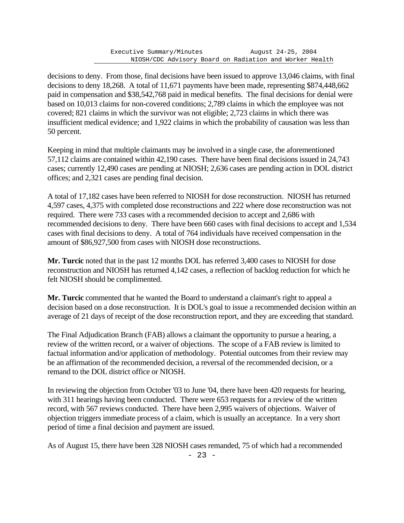decisions to deny. From those, final decisions have been issued to approve 13,046 claims, with final decisions to deny 18,268. A total of 11,671 payments have been made, representing \$874,448,662 paid in compensation and \$38,542,768 paid in medical benefits. The final decisions for denial were based on 10,013 claims for non-covered conditions; 2,789 claims in which the employee was not covered; 821 claims in which the survivor was not eligible; 2,723 claims in which there was insufficient medical evidence; and 1,922 claims in which the probability of causation was less than 50 percent.

Keeping in mind that multiple claimants may be involved in a single case, the aforementioned 57,112 claims are contained within 42,190 cases. There have been final decisions issued in 24,743 cases; currently 12,490 cases are pending at NIOSH; 2,636 cases are pending action in DOL district offices; and 2,321 cases are pending final decision.

A total of 17,182 cases have been referred to NIOSH for dose reconstruction. NIOSH has returned 4,597 cases, 4,375 with completed dose reconstructions and 222 where dose reconstruction was not required. There were 733 cases with a recommended decision to accept and 2,686 with recommended decisions to deny. There have been 660 cases with final decisions to accept and 1,534 cases with final decisions to deny. A total of 764 individuals have received compensation in the amount of \$86,927,500 from cases with NIOSH dose reconstructions.

**Mr. Turcic** noted that in the past 12 months DOL has referred 3,400 cases to NIOSH for dose reconstruction and NIOSH has returned 4,142 cases, a reflection of backlog reduction for which he felt NIOSH should be complimented.

**Mr. Turcic** commented that he wanted the Board to understand a claimant's right to appeal a decision based on a dose reconstruction. It is DOL's goal to issue a recommended decision within an average of 21 days of receipt of the dose reconstruction report, and they are exceeding that standard.

The Final Adjudication Branch (FAB) allows a claimant the opportunity to pursue a hearing, a review of the written record, or a waiver of objections. The scope of a FAB review is limited to factual information and/or application of methodology. Potential outcomes from their review may be an affirmation of the recommended decision, a reversal of the recommended decision, or a remand to the DOL district office or NIOSH.

In reviewing the objection from October '03 to June '04, there have been 420 requests for hearing, with 311 hearings having been conducted. There were 653 requests for a review of the written record, with 567 reviews conducted. There have been 2,995 waivers of objections. Waiver of objection triggers immediate process of a claim, which is usually an acceptance. In a very short period of time a final decision and payment are issued.

As of August 15, there have been 328 NIOSH cases remanded, 75 of which had a recommended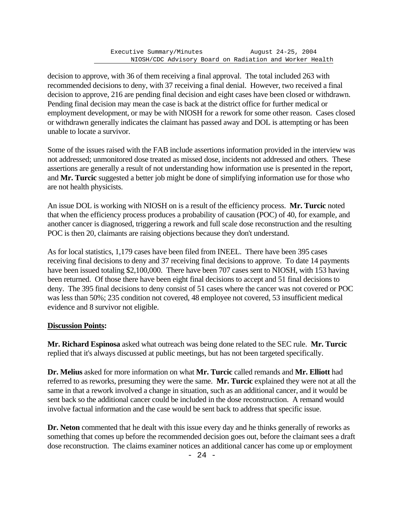decision to approve, with 36 of them receiving a final approval. The total included 263 with recommended decisions to deny, with 37 receiving a final denial. However, two received a final decision to approve, 216 are pending final decision and eight cases have been closed or withdrawn. Pending final decision may mean the case is back at the district office for further medical or employment development, or may be with NIOSH for a rework for some other reason. Cases closed or withdrawn generally indicates the claimant has passed away and DOL is attempting or has been unable to locate a survivor.

Some of the issues raised with the FAB include assertions information provided in the interview was not addressed; unmonitored dose treated as missed dose, incidents not addressed and others. These assertions are generally a result of not understanding how information use is presented in the report, and **Mr. Turcic** suggested a better job might be done of simplifying information use for those who are not health physicists.

An issue DOL is working with NIOSH on is a result of the efficiency process. **Mr. Turcic** noted that when the efficiency process produces a probability of causation (POC) of 40, for example, and another cancer is diagnosed, triggering a rework and full scale dose reconstruction and the resulting POC is then 20, claimants are raising objections because they don't understand.

As for local statistics, 1,179 cases have been filed from INEEL. There have been 395 cases receiving final decisions to deny and 37 receiving final decisions to approve. To date 14 payments have been issued totaling \$2,100,000. There have been 707 cases sent to NIOSH, with 153 having been returned. Of those there have been eight final decisions to accept and 51 final decisions to deny. The 395 final decisions to deny consist of 51 cases where the cancer was not covered or POC was less than 50%; 235 condition not covered, 48 employee not covered, 53 insufficient medical evidence and 8 survivor not eligible.

# **Discussion Points:**

**Mr. Richard Espinosa** asked what outreach was being done related to the SEC rule. **Mr. Turcic** replied that it's always discussed at public meetings, but has not been targeted specifically.

**Dr. Melius** asked for more information on what **Mr. Turcic** called remands and **Mr. Elliott** had referred to as reworks, presuming they were the same. **Mr. Turcic** explained they were not at all the same in that a rework involved a change in situation, such as an additional cancer, and it would be sent back so the additional cancer could be included in the dose reconstruction. A remand would involve factual information and the case would be sent back to address that specific issue.

**Dr. Neton** commented that he dealt with this issue every day and he thinks generally of reworks as something that comes up before the recommended decision goes out, before the claimant sees a draft dose reconstruction. The claims examiner notices an additional cancer has come up or employment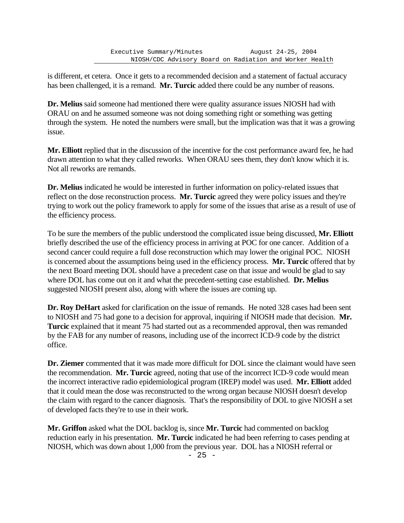is different, et cetera. Once it gets to a recommended decision and a statement of factual accuracy has been challenged, it is a remand. **Mr. Turcic** added there could be any number of reasons.

**Dr. Melius** said someone had mentioned there were quality assurance issues NIOSH had with ORAU on and he assumed someone was not doing something right or something was getting through the system. He noted the numbers were small, but the implication was that it was a growing issue.

**Mr. Elliott** replied that in the discussion of the incentive for the cost performance award fee, he had drawn attention to what they called reworks. When ORAU sees them, they don't know which it is. Not all reworks are remands.

**Dr. Melius** indicated he would be interested in further information on policy-related issues that reflect on the dose reconstruction process. **Mr. Turcic** agreed they were policy issues and they're trying to work out the policy framework to apply for some of the issues that arise as a result of use of the efficiency process.

To be sure the members of the public understood the complicated issue being discussed, **Mr. Elliott** briefly described the use of the efficiency process in arriving at POC for one cancer. Addition of a second cancer could require a full dose reconstruction which may lower the original POC. NIOSH is concerned about the assumptions being used in the efficiency process. **Mr. Turcic** offered that by the next Board meeting DOL should have a precedent case on that issue and would be glad to say where DOL has come out on it and what the precedent-setting case established. **Dr. Melius** suggested NIOSH present also, along with where the issues are coming up.

**Dr. Roy DeHart** asked for clarification on the issue of remands. He noted 328 cases had been sent to NIOSH and 75 had gone to a decision for approval, inquiring if NIOSH made that decision. **Mr. Turcic** explained that it meant 75 had started out as a recommended approval, then was remanded by the FAB for any number of reasons, including use of the incorrect ICD-9 code by the district office.

Dr. Ziemer commented that it was made more difficult for DOL since the claimant would have seen the recommendation. **Mr. Turcic** agreed, noting that use of the incorrect ICD-9 code would mean the incorrect interactive radio epidemiological program (IREP) model was used. **Mr. Elliott** added that it could mean the dose was reconstructed to the wrong organ because NIOSH doesn't develop the claim with regard to the cancer diagnosis. That's the responsibility of DOL to give NIOSH a set of developed facts they're to use in their work.

**Mr. Griffon** asked what the DOL backlog is, since **Mr. Turcic** had commented on backlog reduction early in his presentation. **Mr. Turcic** indicated he had been referring to cases pending at NIOSH, which was down about 1,000 from the previous year. DOL has a NIOSH referral or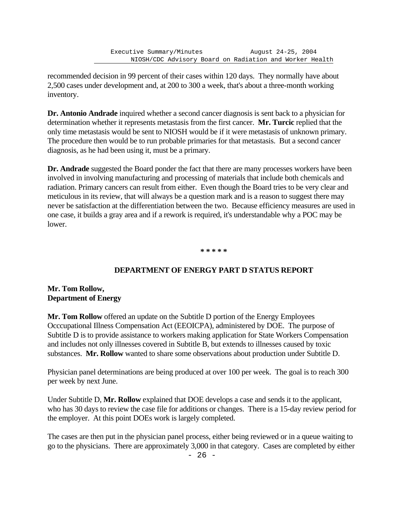recommended decision in 99 percent of their cases within 120 days. They normally have about 2,500 cases under development and, at 200 to 300 a week, that's about a three-month working inventory.

**Dr. Antonio Andrade** inquired whether a second cancer diagnosis is sent back to a physician for determination whether it represents metastasis from the first cancer. **Mr. Turcic** replied that the only time metastasis would be sent to NIOSH would be if it were metastasis of unknown primary. The procedure then would be to run probable primaries for that metastasis. But a second cancer diagnosis, as he had been using it, must be a primary.

**Dr. Andrade** suggested the Board ponder the fact that there are many processes workers have been involved in involving manufacturing and processing of materials that include both chemicals and radiation. Primary cancers can result from either. Even though the Board tries to be very clear and meticulous in its review, that will always be a question mark and is a reason to suggest there may never be satisfaction at the differentiation between the two. Because efficiency measures are used in one case, it builds a gray area and if a rework is required, it's understandable why a POC may be lower.

**\* \* \* \* \***

# **DEPARTMENT OF ENERGY PART D STATUS REPORT**

### **Mr. Tom Rollow, Department of Energy**

**Mr. Tom Rollow** offered an update on the Subtitle D portion of the Energy Employees Occcupational Illness Compensation Act (EEOICPA), administered by DOE. The purpose of Subtitle D is to provide assistance to workers making application for State Workers Compensation and includes not only illnesses covered in Subtitle B, but extends to illnesses caused by toxic substances. **Mr. Rollow** wanted to share some observations about production under Subtitle D.

Physician panel determinations are being produced at over 100 per week. The goal is to reach 300 per week by next June.

Under Subtitle D, **Mr. Rollow** explained that DOE develops a case and sends it to the applicant, who has 30 days to review the case file for additions or changes. There is a 15-day review period for the employer. At this point DOEs work is largely completed.

The cases are then put in the physician panel process, either being reviewed or in a queue waiting to go to the physicians. There are approximately 3,000 in that category. Cases are completed by either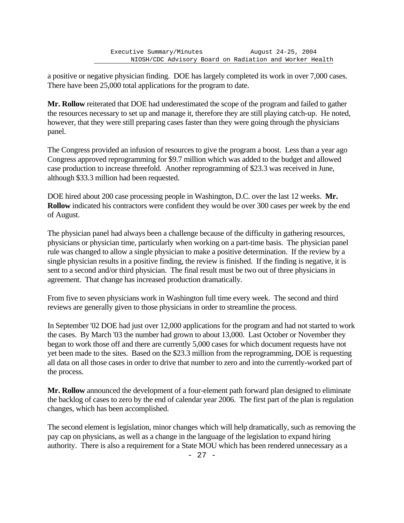a positive or negative physician finding. DOE has largely completed its work in over 7,000 cases. There have been 25,000 total applications for the program to date.

**Mr. Rollow** reiterated that DOE had underestimated the scope of the program and failed to gather the resources necessary to set up and manage it, therefore they are still playing catch-up. He noted, however, that they were still preparing cases faster than they were going through the physicians panel.

The Congress provided an infusion of resources to give the program a boost. Less than a year ago Congress approved reprogramming for \$9.7 million which was added to the budget and allowed case production to increase threefold. Another reprogramming of \$23.3 was received in June, although \$33.3 million had been requested.

DOE hired about 200 case processing people in Washington, D.C. over the last 12 weeks. **Mr. Rollow** indicated his contractors were confident they would be over 300 cases per week by the end of August.

The physician panel had always been a challenge because of the difficulty in gathering resources, physicians or physician time, particularly when working on a part-time basis. The physician panel rule was changed to allow a single physician to make a positive determination. If the review by a single physician results in a positive finding, the review is finished. If the finding is negative, it is sent to a second and/or third physician. The final result must be two out of three physicians in agreement. That change has increased production dramatically.

From five to seven physicians work in Washington full time every week. The second and third reviews are generally given to those physicians in order to streamline the process.

In September '02 DOE had just over 12,000 applications for the program and had not started to work the cases. By March '03 the number had grown to about 13,000. Last October or November they began to work those off and there are currently 5,000 cases for which document requests have not yet been made to the sites. Based on the \$23.3 million from the reprogramming, DOE is requesting all data on all those cases in order to drive that number to zero and into the currently-worked part of the process.

**Mr. Rollow** announced the development of a four-element path forward plan designed to eliminate the backlog of cases to zero by the end of calendar year 2006. The first part of the plan is regulation changes, which has been accomplished.

The second element is legislation, minor changes which will help dramatically, such as removing the pay cap on physicians, as well as a change in the language of the legislation to expand hiring authority. There is also a requirement for a State MOU which has been rendered unnecessary as a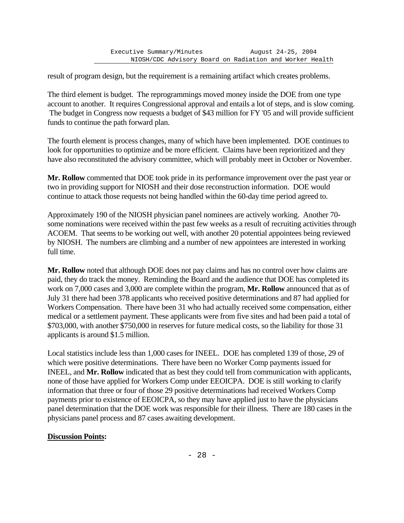result of program design, but the requirement is a remaining artifact which creates problems.

The third element is budget. The reprogrammings moved money inside the DOE from one type account to another. It requires Congressional approval and entails a lot of steps, and is slow coming. The budget in Congress now requests a budget of \$43 million for FY '05 and will provide sufficient funds to continue the path forward plan.

The fourth element is process changes, many of which have been implemented. DOE continues to look for opportunities to optimize and be more efficient. Claims have been reprioritized and they have also reconstituted the advisory committee, which will probably meet in October or November.

**Mr. Rollow** commented that DOE took pride in its performance improvement over the past year or two in providing support for NIOSH and their dose reconstruction information. DOE would continue to attack those requests not being handled within the 60-day time period agreed to.

Approximately 190 of the NIOSH physician panel nominees are actively working. Another 70 some nominations were received within the past few weeks as a result of recruiting activities through ACOEM. That seems to be working out well, with another 20 potential appointees being reviewed by NIOSH. The numbers are climbing and a number of new appointees are interested in working full time.

**Mr. Rollow** noted that although DOE does not pay claims and has no control over how claims are paid, they do track the money. Reminding the Board and the audience that DOE has completed its work on 7,000 cases and 3,000 are complete within the program, **Mr. Rollow** announced that as of July 31 there had been 378 applicants who received positive determinations and 87 had applied for Workers Compensation. There have been 31 who had actually received some compensation, either medical or a settlement payment. These applicants were from five sites and had been paid a total of \$703,000, with another \$750,000 in reserves for future medical costs, so the liability for those 31 applicants is around \$1.5 million.

Local statistics include less than 1,000 cases for INEEL. DOE has completed 139 of those, 29 of which were positive determinations. There have been no Worker Comp payments issued for INEEL, and **Mr. Rollow** indicated that as best they could tell from communication with applicants, none of those have applied for Workers Comp under EEOICPA. DOE is still working to clarify information that three or four of those 29 positive determinations had received Workers Comp payments prior to existence of EEOICPA, so they may have applied just to have the physicians panel determination that the DOE work was responsible for their illness. There are 180 cases in the physicians panel process and 87 cases awaiting development.

### **Discussion Points:**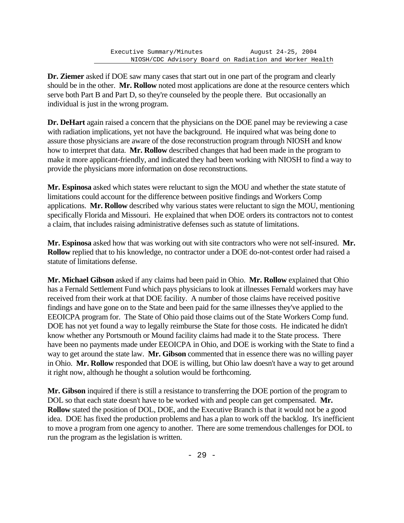**Dr. Ziemer** asked if DOE saw many cases that start out in one part of the program and clearly should be in the other. **Mr. Rollow** noted most applications are done at the resource centers which serve both Part B and Part D, so they're counseled by the people there. But occasionally an individual is just in the wrong program.

**Dr. DeHart** again raised a concern that the physicians on the DOE panel may be reviewing a case with radiation implications, yet not have the background. He inquired what was being done to assure those physicians are aware of the dose reconstruction program through NIOSH and know how to interpret that data. **Mr. Rollow** described changes that had been made in the program to make it more applicant-friendly, and indicated they had been working with NIOSH to find a way to provide the physicians more information on dose reconstructions.

**Mr. Espinosa** asked which states were reluctant to sign the MOU and whether the state statute of limitations could account for the difference between positive findings and Workers Comp applications. **Mr. Rollow** described why various states were reluctant to sign the MOU, mentioning specifically Florida and Missouri. He explained that when DOE orders its contractors not to contest a claim, that includes raising administrative defenses such as statute of limitations.

**Mr. Espinosa** asked how that was working out with site contractors who were not self-insured. **Mr. Rollow** replied that to his knowledge, no contractor under a DOE do-not-contest order had raised a statute of limitations defense.

**Mr. Michael Gibson** asked if any claims had been paid in Ohio. **Mr. Rollow** explained that Ohio has a Fernald Settlement Fund which pays physicians to look at illnesses Fernald workers may have received from their work at that DOE facility. A number of those claims have received positive findings and have gone on to the State and been paid for the same illnesses they've applied to the EEOICPA program for. The State of Ohio paid those claims out of the State Workers Comp fund. DOE has not yet found a way to legally reimburse the State for those costs. He indicated he didn't know whether any Portsmouth or Mound facility claims had made it to the State process. There have been no payments made under EEOICPA in Ohio, and DOE is working with the State to find a way to get around the state law. **Mr. Gibson** commented that in essence there was no willing payer in Ohio. **Mr. Rollow** responded that DOE is willing, but Ohio law doesn't have a way to get around it right now, although he thought a solution would be forthcoming.

**Mr. Gibson** inquired if there is still a resistance to transferring the DOE portion of the program to DOL so that each state doesn't have to be worked with and people can get compensated. **Mr. Rollow** stated the position of DOL, DOE, and the Executive Branch is that it would not be a good idea. DOE has fixed the production problems and has a plan to work off the backlog. It's inefficient to move a program from one agency to another. There are some tremendous challenges for DOL to run the program as the legislation is written.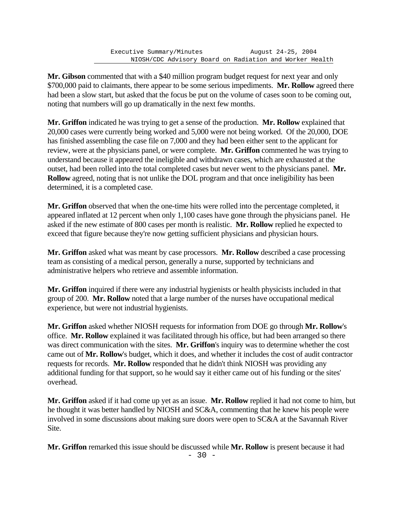**Mr. Gibson** commented that with a \$40 million program budget request for next year and only \$700,000 paid to claimants, there appear to be some serious impediments. **Mr. Rollow** agreed there had been a slow start, but asked that the focus be put on the volume of cases soon to be coming out, noting that numbers will go up dramatically in the next few months.

**Mr. Griffon** indicated he was trying to get a sense of the production. **Mr. Rollow** explained that 20,000 cases were currently being worked and 5,000 were not being worked. Of the 20,000, DOE has finished assembling the case file on 7,000 and they had been either sent to the applicant for review, were at the physicians panel, or were complete. **Mr. Griffon** commented he was trying to understand because it appeared the ineligible and withdrawn cases, which are exhausted at the outset, had been rolled into the total completed cases but never went to the physicians panel. **Mr. Rollow** agreed, noting that is not unlike the DOL program and that once ineligibility has been determined, it is a completed case.

**Mr. Griffon** observed that when the one-time hits were rolled into the percentage completed, it appeared inflated at 12 percent when only 1,100 cases have gone through the physicians panel. He asked if the new estimate of 800 cases per month is realistic. **Mr. Rollow** replied he expected to exceed that figure because they're now getting sufficient physicians and physician hours.

**Mr. Griffon** asked what was meant by case processors. **Mr. Rollow** described a case processing team as consisting of a medical person, generally a nurse, supported by technicians and administrative helpers who retrieve and assemble information.

**Mr. Griffon** inquired if there were any industrial hygienists or health physicists included in that group of 200. **Mr. Rollow** noted that a large number of the nurses have occupational medical experience, but were not industrial hygienists.

**Mr. Griffon** asked whether NIOSH requests for information from DOE go through **Mr. Rollow**'s office. **Mr. Rollow** explained it was facilitated through his office, but had been arranged so there was direct communication with the sites. **Mr. Griffon**'s inquiry was to determine whether the cost came out of **Mr. Rollow**'s budget, which it does, and whether it includes the cost of audit contractor requests for records. **Mr. Rollow** responded that he didn't think NIOSH was providing any additional funding for that support, so he would say it either came out of his funding or the sites' overhead.

**Mr. Griffon** asked if it had come up yet as an issue. **Mr. Rollow** replied it had not come to him, but he thought it was better handled by NIOSH and SC&A, commenting that he knew his people were involved in some discussions about making sure doors were open to SC&A at the Savannah River Site.

**Mr. Griffon** remarked this issue should be discussed while **Mr. Rollow** is present because it had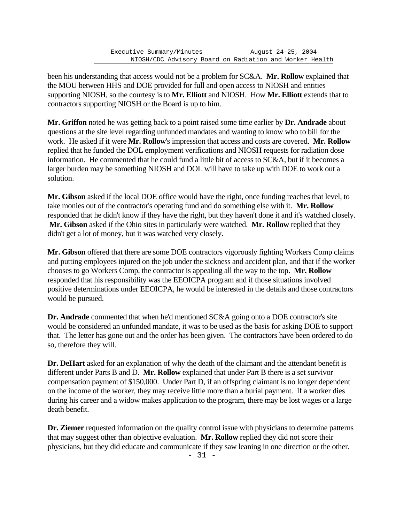been his understanding that access would not be a problem for SC&A. **Mr. Rollow** explained that the MOU between HHS and DOE provided for full and open access to NIOSH and entities supporting NIOSH, so the courtesy is to **Mr. Elliott** and NIOSH. How **Mr. Elliott** extends that to contractors supporting NIOSH or the Board is up to him.

**Mr. Griffon** noted he was getting back to a point raised some time earlier by **Dr. Andrade** about questions at the site level regarding unfunded mandates and wanting to know who to bill for the work. He asked if it were **Mr. Rollow**'s impression that access and costs are covered. **Mr. Rollow** replied that he funded the DOL employment verifications and NIOSH requests for radiation dose information. He commented that he could fund a little bit of access to SC&A, but if it becomes a larger burden may be something NIOSH and DOL will have to take up with DOE to work out a solution.

**Mr. Gibson** asked if the local DOE office would have the right, once funding reaches that level, to take monies out of the contractor's operating fund and do something else with it. **Mr. Rollow** responded that he didn't know if they have the right, but they haven't done it and it's watched closely. **Mr. Gibson** asked if the Ohio sites in particularly were watched. **Mr. Rollow** replied that they didn't get a lot of money, but it was watched very closely.

**Mr. Gibson** offered that there are some DOE contractors vigorously fighting Workers Comp claims and putting employees injured on the job under the sickness and accident plan, and that if the worker chooses to go Workers Comp, the contractor is appealing all the way to the top. **Mr. Rollow** responded that his responsibility was the EEOICPA program and if those situations involved positive determinations under EEOICPA, he would be interested in the details and those contractors would be pursued.

**Dr. Andrade** commented that when he'd mentioned SC&A going onto a DOE contractor's site would be considered an unfunded mandate, it was to be used as the basis for asking DOE to support that. The letter has gone out and the order has been given. The contractors have been ordered to do so, therefore they will.

**Dr. DeHart** asked for an explanation of why the death of the claimant and the attendant benefit is different under Parts B and D. **Mr. Rollow** explained that under Part B there is a set survivor compensation payment of \$150,000. Under Part D, if an offspring claimant is no longer dependent on the income of the worker, they may receive little more than a burial payment. If a worker dies during his career and a widow makes application to the program, there may be lost wages or a large death benefit.

**Dr. Ziemer** requested information on the quality control issue with physicians to determine patterns that may suggest other than objective evaluation. **Mr. Rollow** replied they did not score their physicians, but they did educate and communicate if they saw leaning in one direction or the other.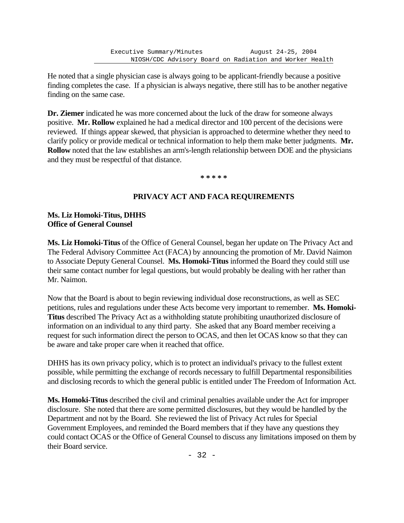He noted that a single physician case is always going to be applicant-friendly because a positive finding completes the case. If a physician is always negative, there still has to be another negative finding on the same case.

**Dr. Ziemer** indicated he was more concerned about the luck of the draw for someone always positive. **Mr. Rollow** explained he had a medical director and 100 percent of the decisions were reviewed. If things appear skewed, that physician is approached to determine whether they need to clarify policy or provide medical or technical information to help them make better judgments. **Mr. Rollow** noted that the law establishes an arm's-length relationship between DOE and the physicians and they must be respectful of that distance.

**\* \* \* \* \***

# **PRIVACY ACT AND FACA REQUIREMENTS**

### **Ms. Liz Homoki-Titus, DHHS Office of General Counsel**

**Ms. Liz Homoki-Titus** of the Office of General Counsel, began her update on The Privacy Act and The Federal Advisory Committee Act (FACA) by announcing the promotion of Mr. David Naimon to Associate Deputy General Counsel. **Ms. Homoki-Titus** informed the Board they could still use their same contact number for legal questions, but would probably be dealing with her rather than Mr. Naimon.

Now that the Board is about to begin reviewing individual dose reconstructions, as well as SEC petitions, rules and regulations under these Acts become very important to remember. **Ms. Homoki-Titus** described The Privacy Act as a withholding statute prohibiting unauthorized disclosure of information on an individual to any third party. She asked that any Board member receiving a request for such information direct the person to OCAS, and then let OCAS know so that they can be aware and take proper care when it reached that office.

DHHS has its own privacy policy, which is to protect an individual's privacy to the fullest extent possible, while permitting the exchange of records necessary to fulfill Departmental responsibilities and disclosing records to which the general public is entitled under The Freedom of Information Act.

**Ms. Homoki-Titus** described the civil and criminal penalties available under the Act for improper disclosure. She noted that there are some permitted disclosures, but they would be handled by the Department and not by the Board. She reviewed the list of Privacy Act rules for Special Government Employees, and reminded the Board members that if they have any questions they could contact OCAS or the Office of General Counsel to discuss any limitations imposed on them by their Board service.

- 32 -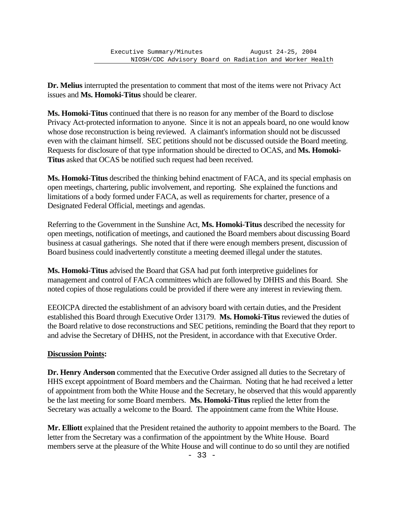**Dr. Melius** interrupted the presentation to comment that most of the items were not Privacy Act issues and **Ms. Homoki-Titus** should be clearer.

**Ms. Homoki-Titus** continued that there is no reason for any member of the Board to disclose Privacy Act-protected information to anyone. Since it is not an appeals board, no one would know whose dose reconstruction is being reviewed. A claimant's information should not be discussed even with the claimant himself. SEC petitions should not be discussed outside the Board meeting. Requests for disclosure of that type information should be directed to OCAS, and **Ms. Homoki-Titus** asked that OCAS be notified such request had been received.

**Ms. Homoki-Titus** described the thinking behind enactment of FACA, and its special emphasis on open meetings, chartering, public involvement, and reporting. She explained the functions and limitations of a body formed under FACA, as well as requirements for charter, presence of a Designated Federal Official, meetings and agendas.

Referring to the Government in the Sunshine Act, **Ms. Homoki-Titus** described the necessity for open meetings, notification of meetings, and cautioned the Board members about discussing Board business at casual gatherings. She noted that if there were enough members present, discussion of Board business could inadvertently constitute a meeting deemed illegal under the statutes.

**Ms. Homoki-Titus** advised the Board that GSA had put forth interpretive guidelines for management and control of FACA committees which are followed by DHHS and this Board. She noted copies of those regulations could be provided if there were any interest in reviewing them.

EEOICPA directed the establishment of an advisory board with certain duties, and the President established this Board through Executive Order 13179. **Ms. Homoki-Titus** reviewed the duties of the Board relative to dose reconstructions and SEC petitions, reminding the Board that they report to and advise the Secretary of DHHS, not the President, in accordance with that Executive Order.

# **Discussion Points:**

**Dr. Henry Anderson** commented that the Executive Order assigned all duties to the Secretary of HHS except appointment of Board members and the Chairman. Noting that he had received a letter of appointment from both the White House and the Secretary, he observed that this would apparently be the last meeting for some Board members. **Ms. Homoki-Titus** replied the letter from the Secretary was actually a welcome to the Board. The appointment came from the White House.

**Mr. Elliott** explained that the President retained the authority to appoint members to the Board. The letter from the Secretary was a confirmation of the appointment by the White House. Board members serve at the pleasure of the White House and will continue to do so until they are notified

- 33 -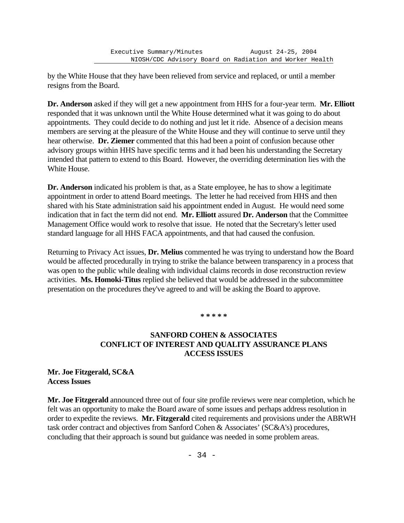by the White House that they have been relieved from service and replaced, or until a member resigns from the Board.

**Dr. Anderson** asked if they will get a new appointment from HHS for a four-year term. **Mr. Elliott** responded that it was unknown until the White House determined what it was going to do about appointments. They could decide to do nothing and just let it ride. Absence of a decision means members are serving at the pleasure of the White House and they will continue to serve until they hear otherwise. **Dr. Ziemer** commented that this had been a point of confusion because other advisory groups within HHS have specific terms and it had been his understanding the Secretary intended that pattern to extend to this Board. However, the overriding determination lies with the White House.

**Dr. Anderson** indicated his problem is that, as a State employee, he has to show a legitimate appointment in order to attend Board meetings. The letter he had received from HHS and then shared with his State administration said his appointment ended in August. He would need some indication that in fact the term did not end. **Mr. Elliott** assured **Dr. Anderson** that the Committee Management Office would work to resolve that issue. He noted that the Secretary's letter used standard language for all HHS FACA appointments, and that had caused the confusion.

Returning to Privacy Act issues, **Dr. Melius** commented he was trying to understand how the Board would be affected procedurally in trying to strike the balance between transparency in a process that was open to the public while dealing with individual claims records in dose reconstruction review activities. **Ms. Homoki-Titus** replied she believed that would be addressed in the subcommittee presentation on the procedures they've agreed to and will be asking the Board to approve.

#### **\* \* \* \* \***

# **SANFORD COHEN & ASSOCIATES CONFLICT OF INTEREST AND QUALITY ASSURANCE PLANS ACCESS ISSUES**

#### **Mr. Joe Fitzgerald, SC&A Access Issues**

**Mr. Joe Fitzgerald** announced three out of four site profile reviews were near completion, which he felt was an opportunity to make the Board aware of some issues and perhaps address resolution in order to expedite the reviews. **Mr. Fitzgerald** cited requirements and provisions under the ABRWH task order contract and objectives from Sanford Cohen & Associates' (SC&A's) procedures, concluding that their approach is sound but guidance was needed in some problem areas.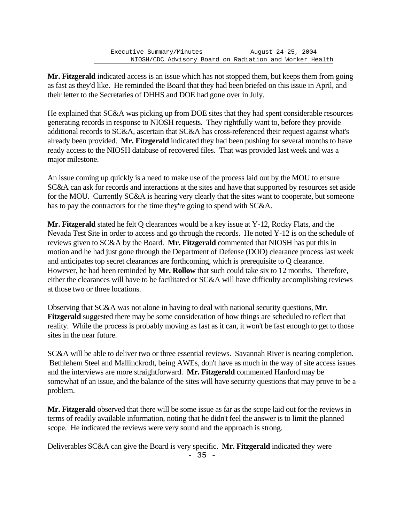**Mr. Fitzgerald** indicated access is an issue which has not stopped them, but keeps them from going as fast as they'd like. He reminded the Board that they had been briefed on this issue in April, and their letter to the Secretaries of DHHS and DOE had gone over in July.

He explained that SC&A was picking up from DOE sites that they had spent considerable resources generating records in response to NIOSH requests. They rightfully want to, before they provide additional records to SC&A, ascertain that SC&A has cross-referenced their request against what's already been provided. **Mr. Fitzgerald** indicated they had been pushing for several months to have ready access to the NIOSH database of recovered files. That was provided last week and was a major milestone.

An issue coming up quickly is a need to make use of the process laid out by the MOU to ensure SC&A can ask for records and interactions at the sites and have that supported by resources set aside for the MOU. Currently SC&A is hearing very clearly that the sites want to cooperate, but someone has to pay the contractors for the time they're going to spend with SC&A.

**Mr. Fitzgerald** stated he felt Q clearances would be a key issue at Y-12, Rocky Flats, and the Nevada Test Site in order to access and go through the records. He noted Y-12 is on the schedule of reviews given to SC&A by the Board. **Mr. Fitzgerald** commented that NIOSH has put this in motion and he had just gone through the Department of Defense (DOD) clearance process last week and anticipates top secret clearances are forthcoming, which is prerequisite to Q clearance. However, he had been reminded by **Mr. Rollow** that such could take six to 12 months. Therefore, either the clearances will have to be facilitated or SC&A will have difficulty accomplishing reviews at those two or three locations.

Observing that SC&A was not alone in having to deal with national security questions, **Mr. Fitzgerald** suggested there may be some consideration of how things are scheduled to reflect that reality. While the process is probably moving as fast as it can, it won't be fast enough to get to those sites in the near future.

SC&A will be able to deliver two or three essential reviews. Savannah River is nearing completion. Bethlehem Steel and Mallinckrodt, being AWEs, don't have as much in the way of site access issues and the interviews are more straightforward. **Mr. Fitzgerald** commented Hanford may be somewhat of an issue, and the balance of the sites will have security questions that may prove to be a problem.

**Mr. Fitzgerald** observed that there will be some issue as far as the scope laid out for the reviews in terms of readily available information, noting that he didn't feel the answer is to limit the planned scope. He indicated the reviews were very sound and the approach is strong.

Deliverables SC&A can give the Board is very specific. **Mr. Fitzgerald** indicated they were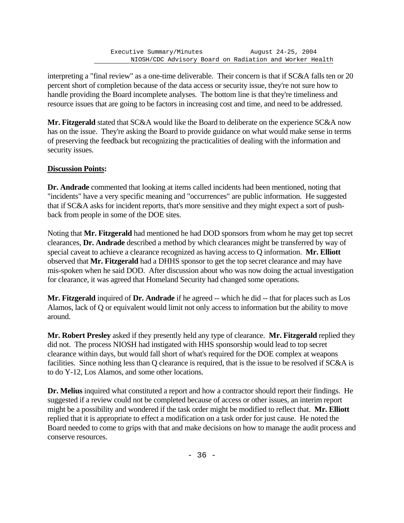interpreting a "final review" as a one-time deliverable. Their concern is that if SC&A falls ten or 20 percent short of completion because of the data access or security issue, they're not sure how to handle providing the Board incomplete analyses. The bottom line is that they're timeliness and resource issues that are going to be factors in increasing cost and time, and need to be addressed.

**Mr. Fitzgerald** stated that SC&A would like the Board to deliberate on the experience SC&A now has on the issue. They're asking the Board to provide guidance on what would make sense in terms of preserving the feedback but recognizing the practicalities of dealing with the information and security issues.

# **Discussion Points:**

**Dr. Andrade** commented that looking at items called incidents had been mentioned, noting that "incidents" have a very specific meaning and "occurrences" are public information. He suggested that if SC&A asks for incident reports, that's more sensitive and they might expect a sort of pushback from people in some of the DOE sites.

Noting that **Mr. Fitzgerald** had mentioned he had DOD sponsors from whom he may get top secret clearances, **Dr. Andrade** described a method by which clearances might be transferred by way of special caveat to achieve a clearance recognized as having access to Q information. **Mr. Elliott** observed that **Mr. Fitzgerald** had a DHHS sponsor to get the top secret clearance and may have mis-spoken when he said DOD. After discussion about who was now doing the actual investigation for clearance, it was agreed that Homeland Security had changed some operations.

**Mr. Fitzgerald** inquired of **Dr. Andrade** if he agreed -- which he did -- that for places such as Los Alamos, lack of Q or equivalent would limit not only access to information but the ability to move around.

**Mr. Robert Presley** asked if they presently held any type of clearance. **Mr. Fitzgerald** replied they did not. The process NIOSH had instigated with HHS sponsorship would lead to top secret clearance within days, but would fall short of what's required for the DOE complex at weapons facilities. Since nothing less than Q clearance is required, that is the issue to be resolved if SC&A is to do Y-12, Los Alamos, and some other locations.

**Dr. Melius** inquired what constituted a report and how a contractor should report their findings. He suggested if a review could not be completed because of access or other issues, an interim report might be a possibility and wondered if the task order might be modified to reflect that. **Mr. Elliott**  replied that it is appropriate to effect a modification on a task order for just cause. He noted the Board needed to come to grips with that and make decisions on how to manage the audit process and conserve resources.

- 36 -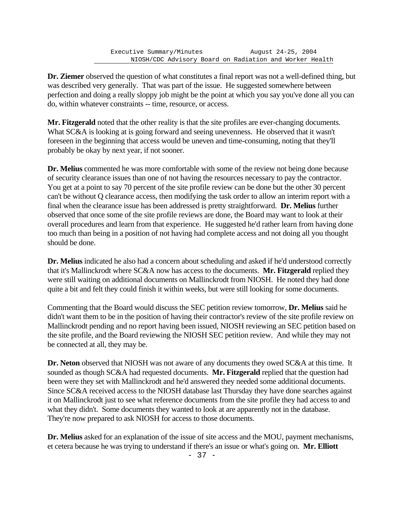**Dr. Ziemer** observed the question of what constitutes a final report was not a well-defined thing, but was described very generally. That was part of the issue. He suggested somewhere between perfection and doing a really sloppy job might be the point at which you say you've done all you can do, within whatever constraints -- time, resource, or access.

**Mr. Fitzgerald** noted that the other reality is that the site profiles are ever-changing documents. What SC&A is looking at is going forward and seeing unevenness. He observed that it wasn't foreseen in the beginning that access would be uneven and time-consuming, noting that they'll probably be okay by next year, if not sooner.

**Dr. Melius** commented he was more comfortable with some of the review not being done because of security clearance issues than one of not having the resources necessary to pay the contractor. You get at a point to say 70 percent of the site profile review can be done but the other 30 percent can't be without Q clearance access, then modifying the task order to allow an interim report with a final when the clearance issue has been addressed is pretty straightforward. **Dr. Melius** further observed that once some of the site profile reviews are done, the Board may want to look at their overall procedures and learn from that experience. He suggested he'd rather learn from having done too much than being in a position of not having had complete access and not doing all you thought should be done.

**Dr. Melius** indicated he also had a concern about scheduling and asked if he'd understood correctly that it's Mallinckrodt where SC&A now has access to the documents. **Mr. Fitzgerald** replied they were still waiting on additional documents on Mallinckrodt from NIOSH. He noted they had done quite a bit and felt they could finish it within weeks, but were still looking for some documents.

Commenting that the Board would discuss the SEC petition review tomorrow, **Dr. Melius** said he didn't want them to be in the position of having their contractor's review of the site profile review on Mallinckrodt pending and no report having been issued, NIOSH reviewing an SEC petition based on the site profile, and the Board reviewing the NIOSH SEC petition review. And while they may not be connected at all, they may be.

**Dr. Neton** observed that NIOSH was not aware of any documents they owed SC&A at this time. It sounded as though SC&A had requested documents. **Mr. Fitzgerald** replied that the question had been were they set with Mallinckrodt and he'd answered they needed some additional documents. Since SC&A received access to the NIOSH database last Thursday they have done searches against it on Mallinckrodt just to see what reference documents from the site profile they had access to and what they didn't. Some documents they wanted to look at are apparently not in the database. They're now prepared to ask NIOSH for access to those documents.

**Dr. Melius** asked for an explanation of the issue of site access and the MOU, payment mechanisms, et cetera because he was trying to understand if there's an issue or what's going on. **Mr. Elliott**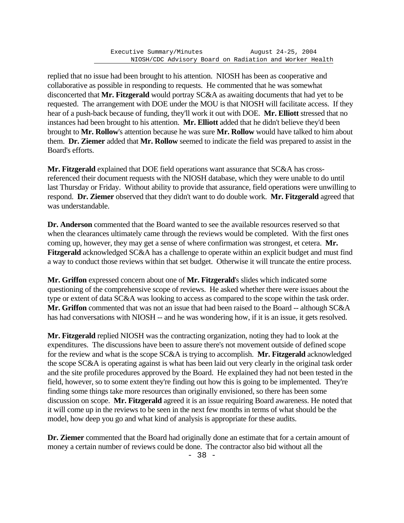replied that no issue had been brought to his attention. NIOSH has been as cooperative and collaborative as possible in responding to requests. He commented that he was somewhat disconcerted that **Mr. Fitzgerald** would portray SC&A as awaiting documents that had yet to be requested. The arrangement with DOE under the MOU is that NIOSH will facilitate access. If they hear of a push-back because of funding, they'll work it out with DOE. **Mr. Elliott** stressed that no instances had been brought to his attention. **Mr. Elliott** added that he didn't believe they'd been brought to **Mr. Rollow**'s attention because he was sure **Mr. Rollow** would have talked to him about them. **Dr. Ziemer** added that **Mr. Rollow** seemed to indicate the field was prepared to assist in the Board's efforts.

**Mr. Fitzgerald** explained that DOE field operations want assurance that SC&A has crossreferenced their document requests with the NIOSH database, which they were unable to do until last Thursday or Friday. Without ability to provide that assurance, field operations were unwilling to respond. **Dr. Ziemer** observed that they didn't want to do double work. **Mr. Fitzgerald** agreed that was understandable.

**Dr. Anderson** commented that the Board wanted to see the available resources reserved so that when the clearances ultimately came through the reviews would be completed. With the first ones coming up, however, they may get a sense of where confirmation was strongest, et cetera. **Mr. Fitzgerald** acknowledged SC&A has a challenge to operate within an explicit budget and must find a way to conduct those reviews within that set budget. Otherwise it will truncate the entire process.

**Mr. Griffon** expressed concern about one of **Mr. Fitzgerald**'s slides which indicated some questioning of the comprehensive scope of reviews. He asked whether there were issues about the type or extent of data SC&A was looking to access as compared to the scope within the task order. **Mr. Griffon** commented that was not an issue that had been raised to the Board -- although SC&A has had conversations with NIOSH -- and he was wondering how, if it is an issue, it gets resolved.

**Mr. Fitzgerald** replied NIOSH was the contracting organization, noting they had to look at the expenditures. The discussions have been to assure there's not movement outside of defined scope for the review and what is the scope SC&A is trying to accomplish. **Mr. Fitzgerald** acknowledged the scope SC&A is operating against is what has been laid out very clearly in the original task order and the site profile procedures approved by the Board. He explained they had not been tested in the field, however, so to some extent they're finding out how this is going to be implemented. They're finding some things take more resources than originally envisioned, so there has been some discussion on scope. **Mr. Fitzgerald** agreed it is an issue requiring Board awareness. He noted that it will come up in the reviews to be seen in the next few months in terms of what should be the model, how deep you go and what kind of analysis is appropriate for these audits.

**Dr. Ziemer** commented that the Board had originally done an estimate that for a certain amount of money a certain number of reviews could be done. The contractor also bid without all the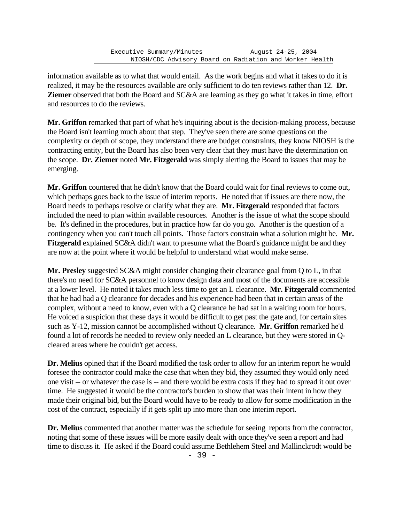information available as to what that would entail. As the work begins and what it takes to do it is realized, it may be the resources available are only sufficient to do ten reviews rather than 12. **Dr. Ziemer** observed that both the Board and SC&A are learning as they go what it takes in time, effort and resources to do the reviews.

**Mr. Griffon** remarked that part of what he's inquiring about is the decision-making process, because the Board isn't learning much about that step. They've seen there are some questions on the complexity or depth of scope, they understand there are budget constraints, they know NIOSH is the contracting entity, but the Board has also been very clear that they must have the determination on the scope. **Dr. Ziemer** noted **Mr. Fitzgerald** was simply alerting the Board to issues that may be emerging.

**Mr. Griffon** countered that he didn't know that the Board could wait for final reviews to come out, which perhaps goes back to the issue of interim reports. He noted that if issues are there now, the Board needs to perhaps resolve or clarify what they are. **Mr. Fitzgerald** responded that factors included the need to plan within available resources. Another is the issue of what the scope should be. It's defined in the procedures, but in practice how far do you go. Another is the question of a contingency when you can't touch all points. Those factors constrain what a solution might be. **Mr. Fitzgerald** explained SC&A didn't want to presume what the Board's guidance might be and they are now at the point where it would be helpful to understand what would make sense.

**Mr. Presley** suggested SC&A might consider changing their clearance goal from Q to L, in that there's no need for SC&A personnel to know design data and most of the documents are accessible at a lower level. He noted it takes much less time to get an L clearance. **Mr. Fitzgerald** commented that he had had a Q clearance for decades and his experience had been that in certain areas of the complex, without a need to know, even with a Q clearance he had sat in a waiting room for hours. He voiced a suspicion that these days it would be difficult to get past the gate and, for certain sites such as Y-12, mission cannot be accomplished without Q clearance. **Mr. Griffon** remarked he'd found a lot of records he needed to review only needed an L clearance, but they were stored in Qcleared areas where he couldn't get access.

**Dr. Melius** opined that if the Board modified the task order to allow for an interim report he would foresee the contractor could make the case that when they bid, they assumed they would only need one visit -- or whatever the case is -- and there would be extra costs if they had to spread it out over time. He suggested it would be the contractor's burden to show that was their intent in how they made their original bid, but the Board would have to be ready to allow for some modification in the cost of the contract, especially if it gets split up into more than one interim report.

**Dr. Melius** commented that another matter was the schedule for seeing reports from the contractor, noting that some of these issues will be more easily dealt with once they've seen a report and had time to discuss it. He asked if the Board could assume Bethlehem Steel and Mallinckrodt would be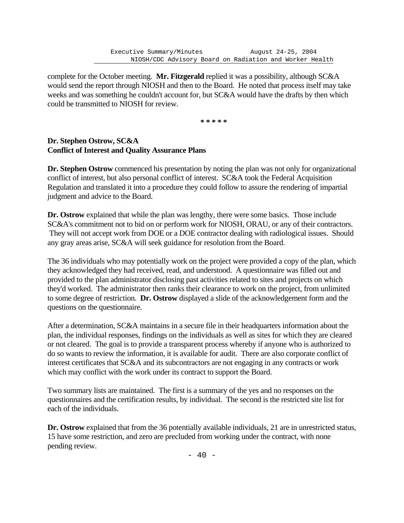complete for the October meeting. **Mr. Fitzgerald** replied it was a possibility, although SC&A would send the report through NIOSH and then to the Board. He noted that process itself may take weeks and was something he couldn't account for, but SC&A would have the drafts by then which could be transmitted to NIOSH for review.

**\* \* \* \* \***

#### **Dr. Stephen Ostrow, SC&A Conflict of Interest and Quality Assurance Plans**

**Dr. Stephen Ostrow** commenced his presentation by noting the plan was not only for organizational conflict of interest, but also personal conflict of interest. SC&A took the Federal Acquisition Regulation and translated it into a procedure they could follow to assure the rendering of impartial judgment and advice to the Board.

**Dr. Ostrow** explained that while the plan was lengthy, there were some basics. Those include SC&A's commitment not to bid on or perform work for NIOSH, ORAU, or any of their contractors. They will not accept work from DOE or a DOE contractor dealing with radiological issues. Should any gray areas arise, SC&A will seek guidance for resolution from the Board.

The 36 individuals who may potentially work on the project were provided a copy of the plan, which they acknowledged they had received, read, and understood. A questionnaire was filled out and provided to the plan administrator disclosing past activities related to sites and projects on which they'd worked. The administrator then ranks their clearance to work on the project, from unlimited to some degree of restriction. **Dr. Ostrow** displayed a slide of the acknowledgement form and the questions on the questionnaire.

After a determination, SC&A maintains in a secure file in their headquarters information about the plan, the individual responses, findings on the individuals as well as sites for which they are cleared or not cleared. The goal is to provide a transparent process whereby if anyone who is authorized to do so wants to review the information, it is available for audit. There are also corporate conflict of interest certificates that SC&A and its subcontractors are not engaging in any contracts or work which may conflict with the work under its contract to support the Board.

Two summary lists are maintained. The first is a summary of the yes and no responses on the questionnaires and the certification results, by individual. The second is the restricted site list for each of the individuals.

**Dr. Ostrow** explained that from the 36 potentially available individuals, 21 are in unrestricted status, 15 have some restriction, and zero are precluded from working under the contract, with none pending review.

 $- 40 -$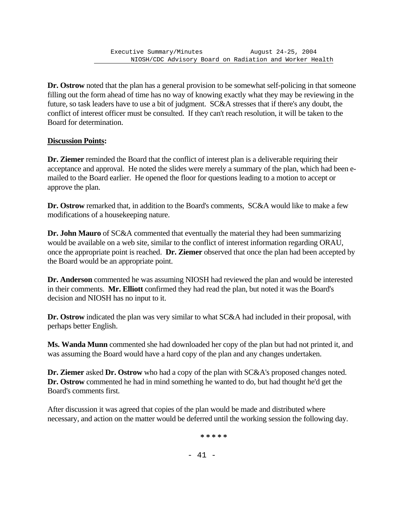**Dr. Ostrow** noted that the plan has a general provision to be somewhat self-policing in that someone filling out the form ahead of time has no way of knowing exactly what they may be reviewing in the future, so task leaders have to use a bit of judgment. SC&A stresses that if there's any doubt, the conflict of interest officer must be consulted. If they can't reach resolution, it will be taken to the Board for determination.

## **Discussion Points:**

**Dr. Ziemer** reminded the Board that the conflict of interest plan is a deliverable requiring their acceptance and approval. He noted the slides were merely a summary of the plan, which had been emailed to the Board earlier. He opened the floor for questions leading to a motion to accept or approve the plan.

**Dr. Ostrow** remarked that, in addition to the Board's comments, SC&A would like to make a few modifications of a housekeeping nature.

**Dr. John Mauro** of SC&A commented that eventually the material they had been summarizing would be available on a web site, similar to the conflict of interest information regarding ORAU, once the appropriate point is reached. **Dr. Ziemer** observed that once the plan had been accepted by the Board would be an appropriate point.

**Dr. Anderson** commented he was assuming NIOSH had reviewed the plan and would be interested in their comments. **Mr. Elliott** confirmed they had read the plan, but noted it was the Board's decision and NIOSH has no input to it.

**Dr. Ostrow** indicated the plan was very similar to what SC&A had included in their proposal, with perhaps better English.

**Ms. Wanda Munn** commented she had downloaded her copy of the plan but had not printed it, and was assuming the Board would have a hard copy of the plan and any changes undertaken.

**Dr. Ziemer** asked **Dr. Ostrow** who had a copy of the plan with SC&A's proposed changes noted. **Dr. Ostrow** commented he had in mind something he wanted to do, but had thought he'd get the Board's comments first.

After discussion it was agreed that copies of the plan would be made and distributed where necessary, and action on the matter would be deferred until the working session the following day.

**\* \* \* \* \***

- 41 -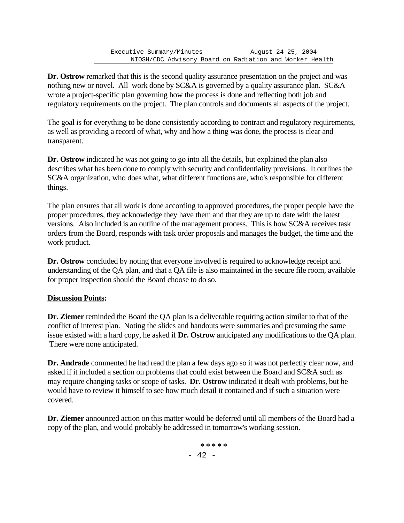**Dr. Ostrow** remarked that this is the second quality assurance presentation on the project and was nothing new or novel. All work done by SC&A is governed by a quality assurance plan. SC&A wrote a project-specific plan governing how the process is done and reflecting both job and regulatory requirements on the project. The plan controls and documents all aspects of the project.

The goal is for everything to be done consistently according to contract and regulatory requirements, as well as providing a record of what, why and how a thing was done, the process is clear and transparent.

**Dr. Ostrow** indicated he was not going to go into all the details, but explained the plan also describes what has been done to comply with security and confidentiality provisions. It outlines the SC&A organization, who does what, what different functions are, who's responsible for different things.

The plan ensures that all work is done according to approved procedures, the proper people have the proper procedures, they acknowledge they have them and that they are up to date with the latest versions. Also included is an outline of the management process. This is how SC&A receives task orders from the Board, responds with task order proposals and manages the budget, the time and the work product.

**Dr. Ostrow** concluded by noting that everyone involved is required to acknowledge receipt and understanding of the QA plan, and that a QA file is also maintained in the secure file room, available for proper inspection should the Board choose to do so.

# **Discussion Points:**

**Dr. Ziemer** reminded the Board the QA plan is a deliverable requiring action similar to that of the conflict of interest plan. Noting the slides and handouts were summaries and presuming the same issue existed with a hard copy, he asked if **Dr. Ostrow** anticipated any modifications to the QA plan. There were none anticipated.

**Dr. Andrade** commented he had read the plan a few days ago so it was not perfectly clear now, and asked if it included a section on problems that could exist between the Board and SC&A such as may require changing tasks or scope of tasks. **Dr. Ostrow** indicated it dealt with problems, but he would have to review it himself to see how much detail it contained and if such a situation were covered.

**Dr. Ziemer** announced action on this matter would be deferred until all members of the Board had a copy of the plan, and would probably be addressed in tomorrow's working session.

> - 42 - **\* \* \* \* \***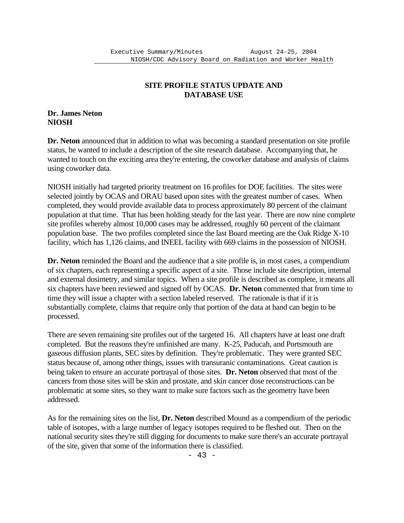# **SITE PROFILE STATUS UPDATE AND DATABASE USE**

#### **Dr. James Neton NIOSH**

**Dr. Neton** announced that in addition to what was becoming a standard presentation on site profile status, he wanted to include a description of the site research database. Accompanying that, he wanted to touch on the exciting area they're entering, the coworker database and analysis of claims using coworker data.

NIOSH initially had targeted priority treatment on 16 profiles for DOE facilities. The sites were selected jointly by OCAS and ORAU based upon sites with the greatest number of cases. When completed, they would provide available data to process approximately 80 percent of the claimant population at that time. That has been holding steady for the last year. There are now nine complete site profiles whereby almost 10,000 cases may be addressed, roughly 60 percent of the claimant population base. The two profiles completed since the last Board meeting are the Oak Ridge X-10 facility, which has 1,126 claims, and INEEL facility with 669 claims in the possession of NIOSH.

**Dr. Neton** reminded the Board and the audience that a site profile is, in most cases, a compendium of six chapters, each representing a specific aspect of a site. Those include site description, internal and external dosimetry, and similar topics. When a site profile is described as complete, it means all six chapters have been reviewed and signed off by OCAS. **Dr. Neton** commented that from time to time they will issue a chapter with a section labeled reserved. The rationale is that if it is substantially complete, claims that require only that portion of the data at hand can begin to be processed.

There are seven remaining site profiles out of the targeted 16. All chapters have at least one draft completed. But the reasons they're unfinished are many. K-25, Paducah, and Portsmouth are gaseous diffusion plants, SEC sites by definition. They're problematic. They were granted SEC status because of, among other things, issues with transuranic contaminations. Great caution is being taken to ensure an accurate portrayal of those sites. **Dr. Neton** observed that most of the cancers from those sites will be skin and prostate, and skin cancer dose reconstructions can be problematic at some sites, so they want to make sure factors such as the geometry have been addressed.

As for the remaining sites on the list, **Dr. Neton** described Mound as a compendium of the periodic table of isotopes, with a large number of legacy isotopes required to be fleshed out. Then on the national security sites they're still digging for documents to make sure there's an accurate portrayal of the site, given that some of the information there is classified.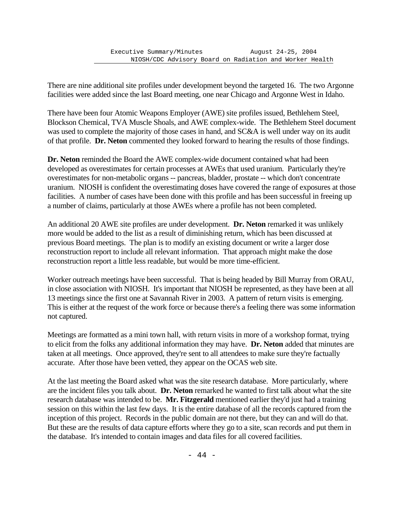There are nine additional site profiles under development beyond the targeted 16. The two Argonne facilities were added since the last Board meeting, one near Chicago and Argonne West in Idaho.

There have been four Atomic Weapons Employer (AWE) site profiles issued, Bethlehem Steel, Blockson Chemical, TVA Muscle Shoals, and AWE complex-wide. The Bethlehem Steel document was used to complete the majority of those cases in hand, and SC&A is well under way on its audit of that profile. **Dr. Neton** commented they looked forward to hearing the results of those findings.

**Dr. Neton** reminded the Board the AWE complex-wide document contained what had been developed as overestimates for certain processes at AWEs that used uranium. Particularly they're overestimates for non-metabolic organs -- pancreas, bladder, prostate -- which don't concentrate uranium. NIOSH is confident the overestimating doses have covered the range of exposures at those facilities. A number of cases have been done with this profile and has been successful in freeing up a number of claims, particularly at those AWEs where a profile has not been completed.

An additional 20 AWE site profiles are under development. **Dr. Neton** remarked it was unlikely more would be added to the list as a result of diminishing return, which has been discussed at previous Board meetings. The plan is to modify an existing document or write a larger dose reconstruction report to include all relevant information. That approach might make the dose reconstruction report a little less readable, but would be more time-efficient.

Worker outreach meetings have been successful. That is being headed by Bill Murray from ORAU, in close association with NIOSH. It's important that NIOSH be represented, as they have been at all 13 meetings since the first one at Savannah River in 2003. A pattern of return visits is emerging. This is either at the request of the work force or because there's a feeling there was some information not captured.

Meetings are formatted as a mini town hall, with return visits in more of a workshop format, trying to elicit from the folks any additional information they may have. **Dr. Neton** added that minutes are taken at all meetings. Once approved, they're sent to all attendees to make sure they're factually accurate. After those have been vetted, they appear on the OCAS web site.

At the last meeting the Board asked what was the site research database. More particularly, where are the incident files you talk about. **Dr. Neton** remarked he wanted to first talk about what the site research database was intended to be. **Mr. Fitzgerald** mentioned earlier they'd just had a training session on this within the last few days. It is the entire database of all the records captured from the inception of this project. Records in the public domain are not there, but they can and will do that. But these are the results of data capture efforts where they go to a site, scan records and put them in the database. It's intended to contain images and data files for all covered facilities.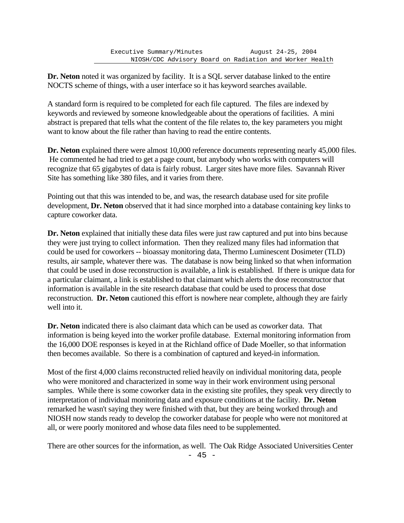**Dr. Neton** noted it was organized by facility. It is a SQL server database linked to the entire NOCTS scheme of things, with a user interface so it has keyword searches available.

A standard form is required to be completed for each file captured. The files are indexed by keywords and reviewed by someone knowledgeable about the operations of facilities. A mini abstract is prepared that tells what the content of the file relates to, the key parameters you might want to know about the file rather than having to read the entire contents.

**Dr. Neton** explained there were almost 10,000 reference documents representing nearly 45,000 files. He commented he had tried to get a page count, but anybody who works with computers will recognize that 65 gigabytes of data is fairly robust. Larger sites have more files. Savannah River Site has something like 380 files, and it varies from there.

Pointing out that this was intended to be, and was, the research database used for site profile development, **Dr. Neton** observed that it had since morphed into a database containing key links to capture coworker data.

**Dr. Neton** explained that initially these data files were just raw captured and put into bins because they were just trying to collect information. Then they realized many files had information that could be used for coworkers -- bioassay monitoring data, Thermo Luminescent Dosimeter (TLD) results, air sample, whatever there was. The database is now being linked so that when information that could be used in dose reconstruction is available, a link is established. If there is unique data for a particular claimant, a link is established to that claimant which alerts the dose reconstructor that information is available in the site research database that could be used to process that dose reconstruction. **Dr. Neton** cautioned this effort is nowhere near complete, although they are fairly well into it.

**Dr. Neton** indicated there is also claimant data which can be used as coworker data. That information is being keyed into the worker profile database. External monitoring information from the 16,000 DOE responses is keyed in at the Richland office of Dade Moeller, so that information then becomes available. So there is a combination of captured and keyed-in information.

Most of the first 4,000 claims reconstructed relied heavily on individual monitoring data, people who were monitored and characterized in some way in their work environment using personal samples. While there is some coworker data in the existing site profiles, they speak very directly to interpretation of individual monitoring data and exposure conditions at the facility. **Dr. Neton** remarked he wasn't saying they were finished with that, but they are being worked through and NIOSH now stands ready to develop the coworker database for people who were not monitored at all, or were poorly monitored and whose data files need to be supplemented.

There are other sources for the information, as well. The Oak Ridge Associated Universities Center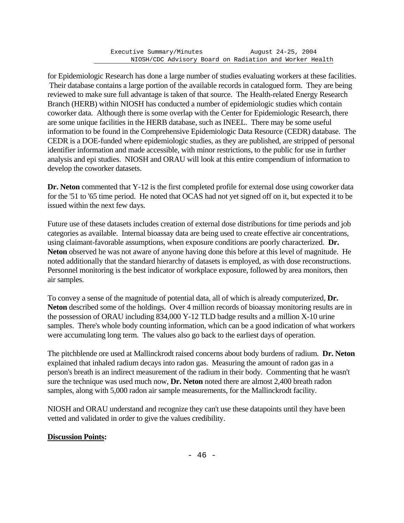for Epidemiologic Research has done a large number of studies evaluating workers at these facilities. Their database contains a large portion of the available records in catalogued form. They are being reviewed to make sure full advantage is taken of that source. The Health-related Energy Research Branch (HERB) within NIOSH has conducted a number of epidemiologic studies which contain coworker data. Although there is some overlap with the Center for Epidemiologic Research, there are some unique facilities in the HERB database, such as INEEL. There may be some useful information to be found in the Comprehensive Epidemiologic Data Resource (CEDR) database. The CEDR is a DOE-funded where epidemiologic studies, as they are published, are stripped of personal identifier information and made accessible, with minor restrictions, to the public for use in further analysis and epi studies. NIOSH and ORAU will look at this entire compendium of information to develop the coworker datasets.

**Dr. Neton** commented that Y-12 is the first completed profile for external dose using coworker data for the '51 to '65 time period. He noted that OCAS had not yet signed off on it, but expected it to be issued within the next few days.

Future use of these datasets includes creation of external dose distributions for time periods and job categories as available. Internal bioassay data are being used to create effective air concentrations, using claimant-favorable assumptions, when exposure conditions are poorly characterized. **Dr. Neton** observed he was not aware of anyone having done this before at this level of magnitude. He noted additionally that the standard hierarchy of datasets is employed, as with dose reconstructions. Personnel monitoring is the best indicator of workplace exposure, followed by area monitors, then air samples.

To convey a sense of the magnitude of potential data, all of which is already computerized, **Dr. Neton** described some of the holdings. Over 4 million records of bioassay monitoring results are in the possession of ORAU including 834,000 Y-12 TLD badge results and a million X-10 urine samples. There's whole body counting information, which can be a good indication of what workers were accumulating long term. The values also go back to the earliest days of operation.

The pitchblende ore used at Mallinckrodt raised concerns about body burdens of radium. **Dr. Neton** explained that inhaled radium decays into radon gas. Measuring the amount of radon gas in a person's breath is an indirect measurement of the radium in their body. Commenting that he wasn't sure the technique was used much now, **Dr. Neton** noted there are almost 2,400 breath radon samples, along with 5,000 radon air sample measurements, for the Mallinckrodt facility.

NIOSH and ORAU understand and recognize they can't use these datapoints until they have been vetted and validated in order to give the values credibility.

## **Discussion Points:**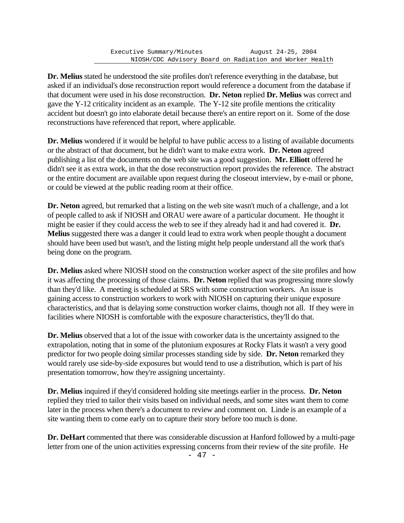**Dr. Melius** stated he understood the site profiles don't reference everything in the database, but asked if an individual's dose reconstruction report would reference a document from the database if that document were used in his dose reconstruction. **Dr. Neton** replied **Dr. Melius** was correct and gave the Y-12 criticality incident as an example. The Y-12 site profile mentions the criticality accident but doesn't go into elaborate detail because there's an entire report on it. Some of the dose reconstructions have referenced that report, where applicable.

**Dr. Melius** wondered if it would be helpful to have public access to a listing of available documents or the abstract of that document, but he didn't want to make extra work. **Dr. Neton** agreed publishing a list of the documents on the web site was a good suggestion. **Mr. Elliott** offered he didn't see it as extra work, in that the dose reconstruction report provides the reference. The abstract or the entire document are available upon request during the closeout interview, by e-mail or phone, or could be viewed at the public reading room at their office.

**Dr. Neton** agreed, but remarked that a listing on the web site wasn't much of a challenge, and a lot of people called to ask if NIOSH and ORAU were aware of a particular document. He thought it might be easier if they could access the web to see if they already had it and had covered it. **Dr. Melius** suggested there was a danger it could lead to extra work when people thought a document should have been used but wasn't, and the listing might help people understand all the work that's being done on the program.

**Dr. Melius** asked where NIOSH stood on the construction worker aspect of the site profiles and how it was affecting the processing of those claims. **Dr. Neton** replied that was progressing more slowly than they'd like. A meeting is scheduled at SRS with some construction workers. An issue is gaining access to construction workers to work with NIOSH on capturing their unique exposure characteristics, and that is delaying some construction worker claims, though not all. If they were in facilities where NIOSH is comfortable with the exposure characteristics, they'll do that.

**Dr. Melius** observed that a lot of the issue with coworker data is the uncertainty assigned to the extrapolation, noting that in some of the plutonium exposures at Rocky Flats it wasn't a very good predictor for two people doing similar processes standing side by side. **Dr. Neton** remarked they would rarely use side-by-side exposures but would tend to use a distribution, which is part of his presentation tomorrow, how they're assigning uncertainty.

**Dr. Melius** inquired if they'd considered holding site meetings earlier in the process. **Dr. Neton** replied they tried to tailor their visits based on individual needs, and some sites want them to come later in the process when there's a document to review and comment on. Linde is an example of a site wanting them to come early on to capture their story before too much is done.

**Dr. DeHart** commented that there was considerable discussion at Hanford followed by a multi-page letter from one of the union activities expressing concerns from their review of the site profile. He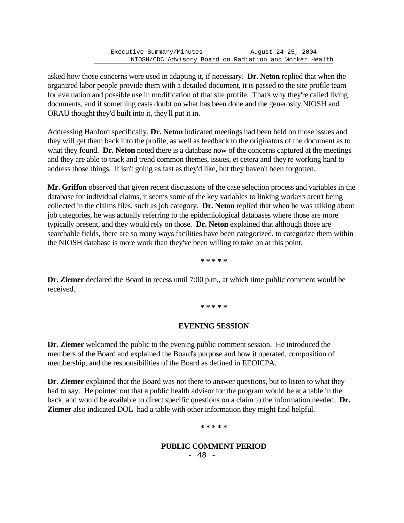asked how those concerns were used in adapting it, if necessary. **Dr. Neton** replied that when the organized labor people provide them with a detailed document, it is passed to the site profile team for evaluation and possible use in modification of that site profile. That's why they're called living documents, and if something casts doubt on what has been done and the generosity NIOSH and ORAU thought they'd built into it, they'll put it in.

Addressing Hanford specifically, **Dr. Neton** indicated meetings had been held on those issues and they will get them back into the profile, as well as feedback to the originators of the document as to what they found. **Dr. Neton** noted there is a database now of the concerns captured at the meetings and they are able to track and trend common themes, issues, et cetera and they're working hard to address those things. It isn't going as fast as they'd like, but they haven't been forgotten.

**Mr. Griffon** observed that given recent discussions of the case selection process and variables in the database for individual claims, it seems some of the key variables to linking workers aren't being collected in the claims files, such as job category. **Dr. Neton** replied that when he was talking about job categories, he was actually referring to the epidemiological databases where those are more typically present, and they would rely on those. **Dr. Neton** explained that although those are searchable fields, there are so many ways facilities have been categorized, to categorize them within the NIOSH database is more work than they've been willing to take on at this point.

**\* \* \* \* \***

**Dr. Ziemer** declared the Board in recess until 7:00 p.m., at which time public comment would be received.

**\* \* \* \* \***

## **EVENING SESSION**

**Dr. Ziemer** welcomed the public to the evening public comment session. He introduced the members of the Board and explained the Board's purpose and how it operated, composition of membership, and the responsibilities of the Board as defined in EEOICPA.

**Dr. Ziemer** explained that the Board was not there to answer questions, but to listen to what they had to say. He pointed out that a public health advisor for the program would be at a table in the back, and would be available to direct specific questions on a claim to the information needed. **Dr. Ziemer** also indicated DOL had a table with other information they might find helpful.

**\* \* \* \* \***

## **PUBLIC COMMENT PERIOD**

- 48 -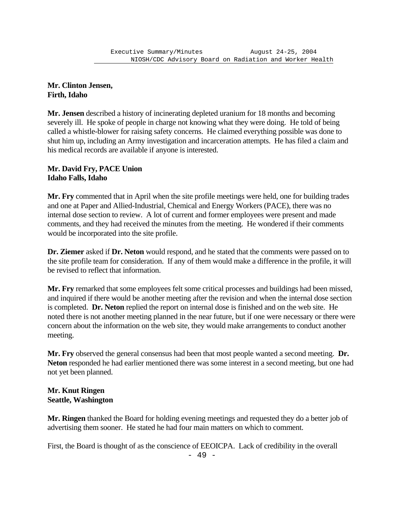#### **Mr. Clinton Jensen, Firth, Idaho**

**Mr. Jensen** described a history of incinerating depleted uranium for 18 months and becoming severely ill. He spoke of people in charge not knowing what they were doing. He told of being called a whistle-blower for raising safety concerns. He claimed everything possible was done to shut him up, including an Army investigation and incarceration attempts. He has filed a claim and his medical records are available if anyone is interested.

#### **Mr. David Fry, PACE Union Idaho Falls, Idaho**

**Mr. Fry** commented that in April when the site profile meetings were held, one for building trades and one at Paper and Allied-Industrial, Chemical and Energy Workers (PACE), there was no internal dose section to review. A lot of current and former employees were present and made comments, and they had received the minutes from the meeting. He wondered if their comments would be incorporated into the site profile.

**Dr. Ziemer** asked if **Dr. Neton** would respond, and he stated that the comments were passed on to the site profile team for consideration. If any of them would make a difference in the profile, it will be revised to reflect that information.

**Mr. Fry** remarked that some employees felt some critical processes and buildings had been missed, and inquired if there would be another meeting after the revision and when the internal dose section is completed. **Dr. Neton** replied the report on internal dose is finished and on the web site. He noted there is not another meeting planned in the near future, but if one were necessary or there were concern about the information on the web site, they would make arrangements to conduct another meeting.

**Mr. Fry** observed the general consensus had been that most people wanted a second meeting. **Dr. Neton** responded he had earlier mentioned there was some interest in a second meeting, but one had not yet been planned.

## **Mr. Knut Ringen Seattle, Washington**

**Mr. Ringen** thanked the Board for holding evening meetings and requested they do a better job of advertising them sooner. He stated he had four main matters on which to comment.

First, the Board is thought of as the conscience of EEOICPA. Lack of credibility in the overall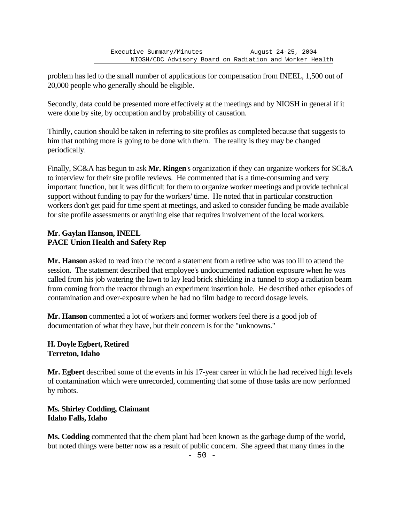problem has led to the small number of applications for compensation from INEEL, 1,500 out of 20,000 people who generally should be eligible.

Secondly, data could be presented more effectively at the meetings and by NIOSH in general if it were done by site, by occupation and by probability of causation.

Thirdly, caution should be taken in referring to site profiles as completed because that suggests to him that nothing more is going to be done with them. The reality is they may be changed periodically.

Finally, SC&A has begun to ask **Mr. Ringen**'s organization if they can organize workers for SC&A to interview for their site profile reviews. He commented that is a time-consuming and very important function, but it was difficult for them to organize worker meetings and provide technical support without funding to pay for the workers' time. He noted that in particular construction workers don't get paid for time spent at meetings, and asked to consider funding be made available for site profile assessments or anything else that requires involvement of the local workers.

# **Mr. Gaylan Hanson, INEEL PACE Union Health and Safety Rep**

**Mr. Hanson** asked to read into the record a statement from a retiree who was too ill to attend the session. The statement described that employee's undocumented radiation exposure when he was called from his job watering the lawn to lay lead brick shielding in a tunnel to stop a radiation beam from coming from the reactor through an experiment insertion hole. He described other episodes of contamination and over-exposure when he had no film badge to record dosage levels.

**Mr. Hanson** commented a lot of workers and former workers feel there is a good job of documentation of what they have, but their concern is for the "unknowns."

# **H. Doyle Egbert, Retired Terreton, Idaho**

**Mr. Egbert** described some of the events in his 17-year career in which he had received high levels of contamination which were unrecorded, commenting that some of those tasks are now performed by robots.

**Ms. Shirley Codding, Claimant Idaho Falls, Idaho**

**Ms. Codding** commented that the chem plant had been known as the garbage dump of the world, but noted things were better now as a result of public concern. She agreed that many times in the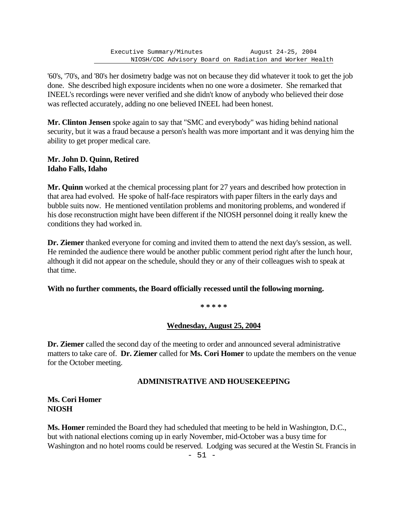'60's, '70's, and '80's her dosimetry badge was not on because they did whatever it took to get the job done. She described high exposure incidents when no one wore a dosimeter. She remarked that INEEL's recordings were never verified and she didn't know of anybody who believed their dose was reflected accurately, adding no one believed INEEL had been honest.

**Mr. Clinton Jensen** spoke again to say that "SMC and everybody" was hiding behind national security, but it was a fraud because a person's health was more important and it was denying him the ability to get proper medical care.

#### **Mr. John D. Quinn, Retired Idaho Falls, Idaho**

**Mr. Quinn** worked at the chemical processing plant for 27 years and described how protection in that area had evolved. He spoke of half-face respirators with paper filters in the early days and bubble suits now. He mentioned ventilation problems and monitoring problems, and wondered if his dose reconstruction might have been different if the NIOSH personnel doing it really knew the conditions they had worked in.

**Dr. Ziemer** thanked everyone for coming and invited them to attend the next day's session, as well. He reminded the audience there would be another public comment period right after the lunch hour, although it did not appear on the schedule, should they or any of their colleagues wish to speak at that time.

## **With no further comments, the Board officially recessed until the following morning.**

**\* \* \* \* \***

## **Wednesday, August 25, 2004**

**Dr. Ziemer** called the second day of the meeting to order and announced several administrative matters to take care of. **Dr. Ziemer** called for **Ms. Cori Homer** to update the members on the venue for the October meeting.

## **ADMINISTRATIVE AND HOUSEKEEPING**

#### **Ms. Cori Homer NIOSH**

**Ms. Homer** reminded the Board they had scheduled that meeting to be held in Washington, D.C., but with national elections coming up in early November, mid-October was a busy time for Washington and no hotel rooms could be reserved. Lodging was secured at the Westin St. Francis in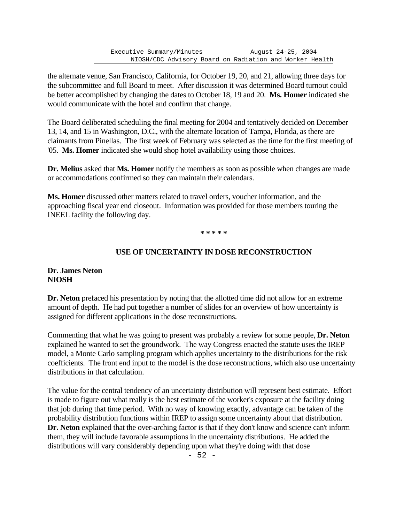the alternate venue, San Francisco, California, for October 19, 20, and 21, allowing three days for the subcommittee and full Board to meet. After discussion it was determined Board turnout could be better accomplished by changing the dates to October 18, 19 and 20. **Ms. Homer** indicated she would communicate with the hotel and confirm that change.

The Board deliberated scheduling the final meeting for 2004 and tentatively decided on December 13, 14, and 15 in Washington, D.C., with the alternate location of Tampa, Florida, as there are claimants from Pinellas. The first week of February was selected as the time for the first meeting of '05. **Ms. Homer** indicated she would shop hotel availability using those choices.

**Dr. Melius** asked that **Ms. Homer** notify the members as soon as possible when changes are made or accommodations confirmed so they can maintain their calendars.

**Ms. Homer** discussed other matters related to travel orders, voucher information, and the approaching fiscal year end closeout. Information was provided for those members touring the INEEL facility the following day.

**\* \* \* \* \***

## **USE OF UNCERTAINTY IN DOSE RECONSTRUCTION**

## **Dr. James Neton NIOSH**

**Dr. Neton** prefaced his presentation by noting that the allotted time did not allow for an extreme amount of depth. He had put together a number of slides for an overview of how uncertainty is assigned for different applications in the dose reconstructions.

Commenting that what he was going to present was probably a review for some people, **Dr. Neton** explained he wanted to set the groundwork. The way Congress enacted the statute uses the IREP model, a Monte Carlo sampling program which applies uncertainty to the distributions for the risk coefficients. The front end input to the model is the dose reconstructions, which also use uncertainty distributions in that calculation.

The value for the central tendency of an uncertainty distribution will represent best estimate. Effort is made to figure out what really is the best estimate of the worker's exposure at the facility doing that job during that time period. With no way of knowing exactly, advantage can be taken of the probability distribution functions within IREP to assign some uncertainty about that distribution. **Dr. Neton** explained that the over-arching factor is that if they don't know and science can't inform them, they will include favorable assumptions in the uncertainty distributions. He added the distributions will vary considerably depending upon what they're doing with that dose

- 52 -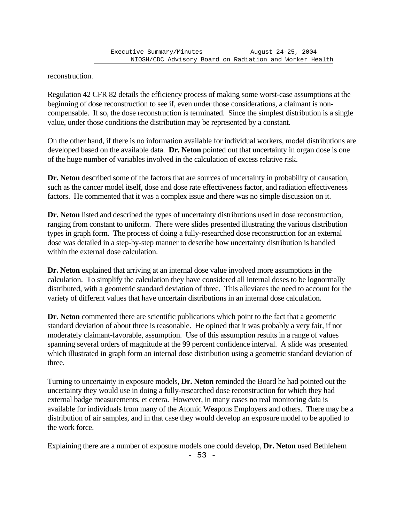reconstruction.

Regulation 42 CFR 82 details the efficiency process of making some worst-case assumptions at the beginning of dose reconstruction to see if, even under those considerations, a claimant is noncompensable. If so, the dose reconstruction is terminated. Since the simplest distribution is a single value, under those conditions the distribution may be represented by a constant.

On the other hand, if there is no information available for individual workers, model distributions are developed based on the available data. **Dr. Neton** pointed out that uncertainty in organ dose is one of the huge number of variables involved in the calculation of excess relative risk.

Dr. Neton described some of the factors that are sources of uncertainty in probability of causation, such as the cancer model itself, dose and dose rate effectiveness factor, and radiation effectiveness factors. He commented that it was a complex issue and there was no simple discussion on it.

**Dr. Neton** listed and described the types of uncertainty distributions used in dose reconstruction, ranging from constant to uniform. There were slides presented illustrating the various distribution types in graph form. The process of doing a fully-researched dose reconstruction for an external dose was detailed in a step-by-step manner to describe how uncertainty distribution is handled within the external dose calculation.

**Dr. Neton** explained that arriving at an internal dose value involved more assumptions in the calculation. To simplify the calculation they have considered all internal doses to be lognormally distributed, with a geometric standard deviation of three. This alleviates the need to account for the variety of different values that have uncertain distributions in an internal dose calculation.

**Dr. Neton** commented there are scientific publications which point to the fact that a geometric standard deviation of about three is reasonable. He opined that it was probably a very fair, if not moderately claimant-favorable, assumption. Use of this assumption results in a range of values spanning several orders of magnitude at the 99 percent confidence interval. A slide was presented which illustrated in graph form an internal dose distribution using a geometric standard deviation of three.

Turning to uncertainty in exposure models, **Dr. Neton** reminded the Board he had pointed out the uncertainty they would use in doing a fully-researched dose reconstruction for which they had external badge measurements, et cetera. However, in many cases no real monitoring data is available for individuals from many of the Atomic Weapons Employers and others. There may be a distribution of air samples, and in that case they would develop an exposure model to be applied to the work force.

Explaining there are a number of exposure models one could develop, **Dr. Neton** used Bethlehem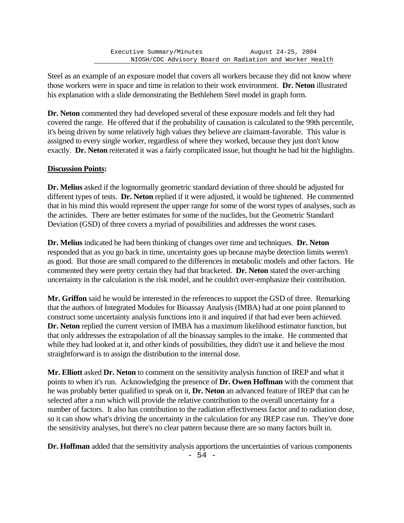Steel as an example of an exposure model that covers all workers because they did not know where those workers were in space and time in relation to their work environment. **Dr. Neton** illustrated his explanation with a slide demonstrating the Bethlehem Steel model in graph form.

**Dr. Neton** commented they had developed several of these exposure models and felt they had covered the range. He offered that if the probability of causation is calculated to the 99th percentile, it's being driven by some relatively high values they believe are claimant-favorable. This value is assigned to every single worker, regardless of where they worked, because they just don't know exactly. **Dr. Neton** reiterated it was a fairly complicated issue, but thought he had hit the highlights.

## **Discussion Points:**

**Dr. Melius** asked if the lognormally geometric standard deviation of three should be adjusted for different types of tests. **Dr. Neton** replied if it were adjusted, it would be tightened. He commented that in his mind this would represent the upper range for some of the worst types of analyses, such as the actinides. There are better estimates for some of the nuclides, but the Geometric Standard Deviation (GSD) of three covers a myriad of possibilities and addresses the worst cases.

**Dr. Melius** indicated he had been thinking of changes over time and techniques. **Dr. Neton** responded that as you go back in time, uncertainty goes up because maybe detection limits weren't as good. But those are small compared to the differences in metabolic models and other factors. He commented they were pretty certain they had that bracketed. **Dr. Neton** stated the over-arching uncertainty in the calculation is the risk model, and he couldn't over-emphasize their contribution.

**Mr. Griffon** said he would be interested in the references to support the GSD of three. Remarking that the authors of Integrated Modules for Bioassay Analysis (IMBA) had at one point planned to construct some uncertainty analysis functions into it and inquired if that had ever been achieved. **Dr. Neton** replied the current version of IMBA has a maximum likelihood estimator function, but that only addresses the extrapolation of all the bioassay samples to the intake. He commented that while they had looked at it, and other kinds of possibilities, they didn't use it and believe the most straightforward is to assign the distribution to the internal dose.

**Mr. Elliott** asked **Dr. Neton** to comment on the sensitivity analysis function of IREP and what it points to when it's run. Acknowledging the presence of **Dr. Owen Hoffman** with the comment that he was probably better qualified to speak on it, **Dr. Neton** an advanced feature of IREP that can be selected after a run which will provide the relative contribution to the overall uncertainty for a number of factors. It also has contribution to the radiation effectiveness factor and to radiation dose, so it can show what's driving the uncertainty in the calculation for any IREP case run. They've done the sensitivity analyses, but there's no clear pattern because there are so many factors built in.

**Dr. Hoffman** added that the sensitivity analysis apportions the uncertainties of various components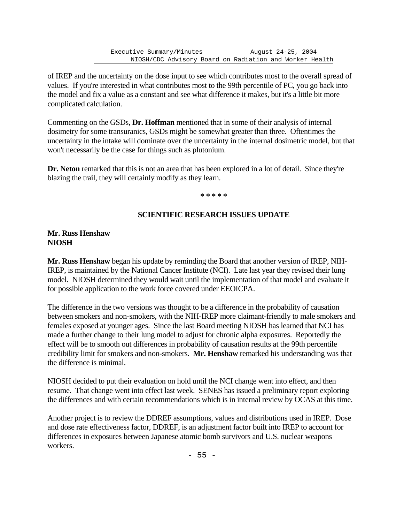of IREP and the uncertainty on the dose input to see which contributes most to the overall spread of values. If you're interested in what contributes most to the 99th percentile of PC, you go back into the model and fix a value as a constant and see what difference it makes, but it's a little bit more complicated calculation.

Commenting on the GSDs, **Dr. Hoffman** mentioned that in some of their analysis of internal dosimetry for some transuranics, GSDs might be somewhat greater than three. Oftentimes the uncertainty in the intake will dominate over the uncertainty in the internal dosimetric model, but that won't necessarily be the case for things such as plutonium.

**Dr. Neton** remarked that this is not an area that has been explored in a lot of detail. Since they're blazing the trail, they will certainly modify as they learn.

**\* \* \* \* \***

## **SCIENTIFIC RESEARCH ISSUES UPDATE**

## **Mr. Russ Henshaw NIOSH**

**Mr. Russ Henshaw** began his update by reminding the Board that another version of IREP, NIH-IREP, is maintained by the National Cancer Institute (NCI). Late last year they revised their lung model. NIOSH determined they would wait until the implementation of that model and evaluate it for possible application to the work force covered under EEOICPA.

The difference in the two versions was thought to be a difference in the probability of causation between smokers and non-smokers, with the NIH-IREP more claimant-friendly to male smokers and females exposed at younger ages. Since the last Board meeting NIOSH has learned that NCI has made a further change to their lung model to adjust for chronic alpha exposures. Reportedly the effect will be to smooth out differences in probability of causation results at the 99th percentile credibility limit for smokers and non-smokers. **Mr. Henshaw** remarked his understanding was that the difference is minimal.

NIOSH decided to put their evaluation on hold until the NCI change went into effect, and then resume. That change went into effect last week. SENES has issued a preliminary report exploring the differences and with certain recommendations which is in internal review by OCAS at this time.

Another project is to review the DDREF assumptions, values and distributions used in IREP. Dose and dose rate effectiveness factor, DDREF, is an adjustment factor built into IREP to account for differences in exposures between Japanese atomic bomb survivors and U.S. nuclear weapons workers.

 $- 55 -$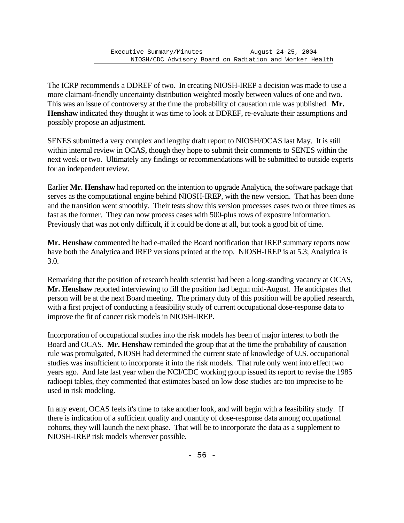The ICRP recommends a DDREF of two. In creating NIOSH-IREP a decision was made to use a more claimant-friendly uncertainty distribution weighted mostly between values of one and two. This was an issue of controversy at the time the probability of causation rule was published. **Mr. Henshaw** indicated they thought it was time to look at DDREF, re-evaluate their assumptions and possibly propose an adjustment.

SENES submitted a very complex and lengthy draft report to NIOSH/OCAS last May. It is still within internal review in OCAS, though they hope to submit their comments to SENES within the next week or two. Ultimately any findings or recommendations will be submitted to outside experts for an independent review.

Earlier **Mr. Henshaw** had reported on the intention to upgrade Analytica, the software package that serves as the computational engine behind NIOSH-IREP, with the new version. That has been done and the transition went smoothly. Their tests show this version processes cases two or three times as fast as the former. They can now process cases with 500-plus rows of exposure information. Previously that was not only difficult, if it could be done at all, but took a good bit of time.

**Mr. Henshaw** commented he had e-mailed the Board notification that IREP summary reports now have both the Analytica and IREP versions printed at the top. NIOSH-IREP is at 5.3; Analytica is 3.0.

Remarking that the position of research health scientist had been a long-standing vacancy at OCAS, **Mr. Henshaw** reported interviewing to fill the position had begun mid-August. He anticipates that person will be at the next Board meeting. The primary duty of this position will be applied research, with a first project of conducting a feasibility study of current occupational dose-response data to improve the fit of cancer risk models in NIOSH-IREP.

Incorporation of occupational studies into the risk models has been of major interest to both the Board and OCAS. **Mr. Henshaw** reminded the group that at the time the probability of causation rule was promulgated, NIOSH had determined the current state of knowledge of U.S. occupational studies was insufficient to incorporate it into the risk models. That rule only went into effect two years ago. And late last year when the NCI/CDC working group issued its report to revise the 1985 radioepi tables, they commented that estimates based on low dose studies are too imprecise to be used in risk modeling.

In any event, OCAS feels it's time to take another look, and will begin with a feasibility study. If there is indication of a sufficient quality and quantity of dose-response data among occupational cohorts, they will launch the next phase. That will be to incorporate the data as a supplement to NIOSH-IREP risk models wherever possible.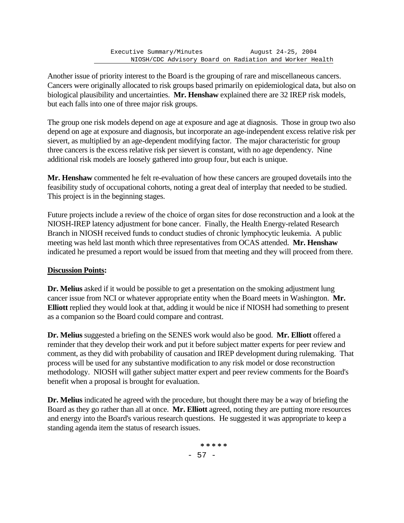Another issue of priority interest to the Board is the grouping of rare and miscellaneous cancers. Cancers were originally allocated to risk groups based primarily on epidemiological data, but also on biological plausibility and uncertainties. **Mr. Henshaw** explained there are 32 IREP risk models, but each falls into one of three major risk groups.

The group one risk models depend on age at exposure and age at diagnosis. Those in group two also depend on age at exposure and diagnosis, but incorporate an age-independent excess relative risk per sievert, as multiplied by an age-dependent modifying factor. The major characteristic for group three cancers is the excess relative risk per sievert is constant, with no age dependency. Nine additional risk models are loosely gathered into group four, but each is unique.

**Mr. Henshaw** commented he felt re-evaluation of how these cancers are grouped dovetails into the feasibility study of occupational cohorts, noting a great deal of interplay that needed to be studied. This project is in the beginning stages.

Future projects include a review of the choice of organ sites for dose reconstruction and a look at the NIOSH-IREP latency adjustment for bone cancer. Finally, the Health Energy-related Research Branch in NIOSH received funds to conduct studies of chronic lymphocytic leukemia. A public meeting was held last month which three representatives from OCAS attended. **Mr. Henshaw** indicated he presumed a report would be issued from that meeting and they will proceed from there.

# **Discussion Points:**

**Dr. Melius** asked if it would be possible to get a presentation on the smoking adjustment lung cancer issue from NCI or whatever appropriate entity when the Board meets in Washington. **Mr. Elliott** replied they would look at that, adding it would be nice if NIOSH had something to present as a companion so the Board could compare and contrast.

**Dr. Melius** suggested a briefing on the SENES work would also be good. **Mr. Elliott** offered a reminder that they develop their work and put it before subject matter experts for peer review and comment, as they did with probability of causation and IREP development during rulemaking. That process will be used for any substantive modification to any risk model or dose reconstruction methodology. NIOSH will gather subject matter expert and peer review comments for the Board's benefit when a proposal is brought for evaluation.

**Dr. Melius** indicated he agreed with the procedure, but thought there may be a way of briefing the Board as they go rather than all at once. **Mr. Elliott** agreed, noting they are putting more resources and energy into the Board's various research questions. He suggested it was appropriate to keep a standing agenda item the status of research issues.

> - 57 - **\* \* \* \* \***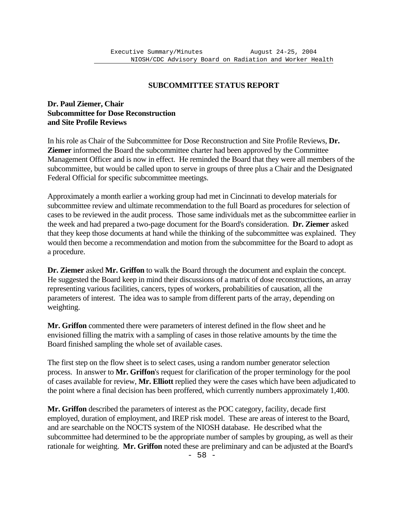# **SUBCOMMITTEE STATUS REPORT**

# **Dr. Paul Ziemer, Chair Subcommittee for Dose Reconstruction and Site Profile Reviews**

In his role as Chair of the Subcommittee for Dose Reconstruction and Site Profile Reviews, **Dr. Ziemer** informed the Board the subcommittee charter had been approved by the Committee Management Officer and is now in effect. He reminded the Board that they were all members of the subcommittee, but would be called upon to serve in groups of three plus a Chair and the Designated Federal Official for specific subcommittee meetings.

Approximately a month earlier a working group had met in Cincinnati to develop materials for subcommittee review and ultimate recommendation to the full Board as procedures for selection of cases to be reviewed in the audit process. Those same individuals met as the subcommittee earlier in the week and had prepared a two-page document for the Board's consideration. **Dr. Ziemer** asked that they keep those documents at hand while the thinking of the subcommittee was explained. They would then become a recommendation and motion from the subcommittee for the Board to adopt as a procedure.

**Dr. Ziemer** asked **Mr. Griffon** to walk the Board through the document and explain the concept. He suggested the Board keep in mind their discussions of a matrix of dose reconstructions, an array representing various facilities, cancers, types of workers, probabilities of causation, all the parameters of interest. The idea was to sample from different parts of the array, depending on weighting.

**Mr. Griffon** commented there were parameters of interest defined in the flow sheet and he envisioned filling the matrix with a sampling of cases in those relative amounts by the time the Board finished sampling the whole set of available cases.

The first step on the flow sheet is to select cases, using a random number generator selection process. In answer to **Mr. Griffon**'s request for clarification of the proper terminology for the pool of cases available for review, **Mr. Elliott** replied they were the cases which have been adjudicated to the point where a final decision has been proffered, which currently numbers approximately 1,400.

**Mr. Griffon** described the parameters of interest as the POC category, facility, decade first employed, duration of employment, and IREP risk model. These are areas of interest to the Board, and are searchable on the NOCTS system of the NIOSH database. He described what the subcommittee had determined to be the appropriate number of samples by grouping, as well as their rationale for weighting. **Mr. Griffon** noted these are preliminary and can be adjusted at the Board's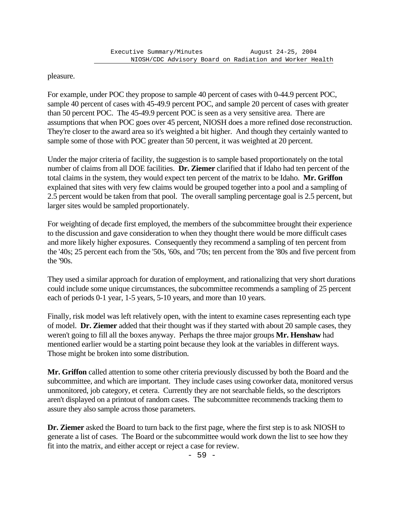pleasure.

For example, under POC they propose to sample 40 percent of cases with 0-44.9 percent POC, sample 40 percent of cases with 45-49.9 percent POC, and sample 20 percent of cases with greater than 50 percent POC. The 45-49.9 percent POC is seen as a very sensitive area. There are assumptions that when POC goes over 45 percent, NIOSH does a more refined dose reconstruction. They're closer to the award area so it's weighted a bit higher. And though they certainly wanted to sample some of those with POC greater than 50 percent, it was weighted at 20 percent.

Under the major criteria of facility, the suggestion is to sample based proportionately on the total number of claims from all DOE facilities. **Dr. Ziemer** clarified that if Idaho had ten percent of the total claims in the system, they would expect ten percent of the matrix to be Idaho. **Mr. Griffon**  explained that sites with very few claims would be grouped together into a pool and a sampling of 2.5 percent would be taken from that pool. The overall sampling percentage goal is 2.5 percent, but larger sites would be sampled proportionately.

For weighting of decade first employed, the members of the subcommittee brought their experience to the discussion and gave consideration to when they thought there would be more difficult cases and more likely higher exposures. Consequently they recommend a sampling of ten percent from the '40s; 25 percent each from the '50s, '60s, and '70s; ten percent from the '80s and five percent from the '90s.

They used a similar approach for duration of employment, and rationalizing that very short durations could include some unique circumstances, the subcommittee recommends a sampling of 25 percent each of periods 0-1 year, 1-5 years, 5-10 years, and more than 10 years.

Finally, risk model was left relatively open, with the intent to examine cases representing each type of model. **Dr. Ziemer** added that their thought was if they started with about 20 sample cases, they weren't going to fill all the boxes anyway. Perhaps the three major groups **Mr. Henshaw** had mentioned earlier would be a starting point because they look at the variables in different ways. Those might be broken into some distribution.

**Mr. Griffon** called attention to some other criteria previously discussed by both the Board and the subcommittee, and which are important. They include cases using coworker data, monitored versus unmonitored, job category, et cetera. Currently they are not searchable fields, so the descriptors aren't displayed on a printout of random cases. The subcommittee recommends tracking them to assure they also sample across those parameters.

**Dr. Ziemer** asked the Board to turn back to the first page, where the first step is to ask NIOSH to generate a list of cases. The Board or the subcommittee would work down the list to see how they fit into the matrix, and either accept or reject a case for review.

- 59 -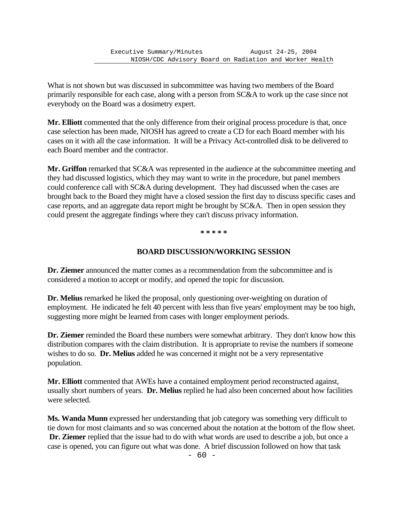What is not shown but was discussed in subcommittee was having two members of the Board primarily responsible for each case, along with a person from SC&A to work up the case since not everybody on the Board was a dosimetry expert.

**Mr. Elliott** commented that the only difference from their original process procedure is that, once case selection has been made, NIOSH has agreed to create a CD for each Board member with his cases on it with all the case information. It will be a Privacy Act-controlled disk to be delivered to each Board member and the contractor.

**Mr. Griffon** remarked that SC&A was represented in the audience at the subcommittee meeting and they had discussed logistics, which they may want to write in the procedure, but panel members could conference call with SC&A during development. They had discussed when the cases are brought back to the Board they might have a closed session the first day to discuss specific cases and case reports, and an aggregate data report might be brought by SC&A. Then in open session they could present the aggregate findings where they can't discuss privacy information.

**\* \* \* \* \***

# **BOARD DISCUSSION/WORKING SESSION**

**Dr. Ziemer** announced the matter comes as a recommendation from the subcommittee and is considered a motion to accept or modify, and opened the topic for discussion.

**Dr. Melius** remarked he liked the proposal, only questioning over-weighting on duration of employment. He indicated he felt 40 percent with less than five years' employment may be too high, suggesting more might be learned from cases with longer employment periods.

**Dr. Ziemer** reminded the Board these numbers were somewhat arbitrary. They don't know how this distribution compares with the claim distribution. It is appropriate to revise the numbers if someone wishes to do so. **Dr. Melius** added he was concerned it might not be a very representative population.

**Mr. Elliott** commented that AWEs have a contained employment period reconstructed against, usually short numbers of years. **Dr. Melius** replied he had also been concerned about how facilities were selected.

**Ms. Wanda Munn** expressed her understanding that job category was something very difficult to tie down for most claimants and so was concerned about the notation at the bottom of the flow sheet. **Dr. Ziemer** replied that the issue had to do with what words are used to describe a job, but once a case is opened, you can figure out what was done. A brief discussion followed on how that task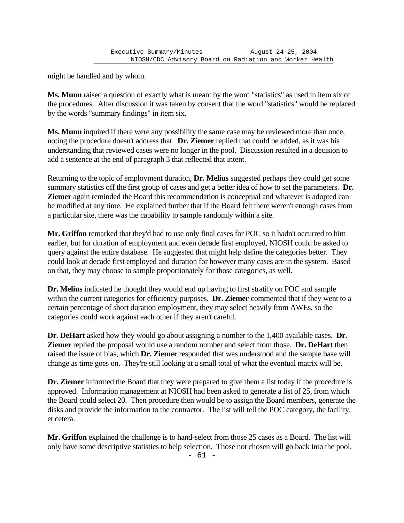might be handled and by whom.

**Ms. Munn** raised a question of exactly what is meant by the word "statistics" as used in item six of the procedures. After discussion it was taken by consent that the word "statistics" would be replaced by the words "summary findings" in item six.

**Ms. Munn** inquired if there were any possibility the same case may be reviewed more than once, noting the procedure doesn't address that. **Dr. Ziemer** replied that could be added, as it was his understanding that reviewed cases were no longer in the pool. Discussion resulted in a decision to add a sentence at the end of paragraph 3 that reflected that intent.

Returning to the topic of employment duration, **Dr. Melius** suggested perhaps they could get some summary statistics off the first group of cases and get a better idea of how to set the parameters. **Dr. Ziemer** again reminded the Board this recommendation is conceptual and whatever is adopted can be modified at any time. He explained further that if the Board felt there weren't enough cases from a particular site, there was the capability to sample randomly within a site.

**Mr. Griffon** remarked that they'd had to use only final cases for POC so it hadn't occurred to him earlier, but for duration of employment and even decade first employed, NIOSH could be asked to query against the entire database. He suggested that might help define the categories better. They could look at decade first employed and duration for however many cases are in the system. Based on that, they may choose to sample proportionately for those categories, as well.

**Dr. Melius** indicated he thought they would end up having to first stratify on POC and sample within the current categories for efficiency purposes. **Dr. Ziemer** commented that if they went to a certain percentage of short duration employment, they may select heavily from AWEs, so the categories could work against each other if they aren't careful.

**Dr. DeHart** asked how they would go about assigning a number to the 1,400 available cases. **Dr. Ziemer** replied the proposal would use a random number and select from those. **Dr. DeHart** then raised the issue of bias, which **Dr. Ziemer** responded that was understood and the sample base will change as time goes on. They're still looking at a small total of what the eventual matrix will be.

**Dr. Ziemer** informed the Board that they were prepared to give them a list today if the procedure is approved. Information management at NIOSH had been asked to generate a list of 25, from which the Board could select 20. Then procedure then would be to assign the Board members, generate the disks and provide the information to the contractor. The list will tell the POC category, the facility, et cetera.

**Mr. Griffon** explained the challenge is to hand-select from those 25 cases as a Board. The list will only have some descriptive statistics to help selection. Those not chosen will go back into the pool.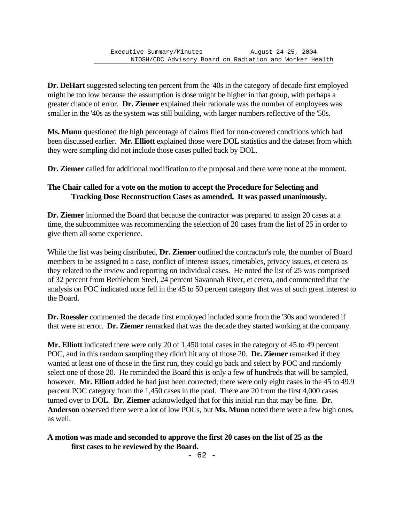**Dr. DeHart** suggested selecting ten percent from the '40s in the category of decade first employed might be too low because the assumption is dose might be higher in that group, with perhaps a greater chance of error. **Dr. Ziemer** explained their rationale was the number of employees was smaller in the '40s as the system was still building, with larger numbers reflective of the '50s.

**Ms. Munn** questioned the high percentage of claims filed for non-covered conditions which had been discussed earlier. **Mr. Elliott** explained those were DOL statistics and the dataset from which they were sampling did not include those cases pulled back by DOL.

**Dr. Ziemer** called for additional modification to the proposal and there were none at the moment.

#### **The Chair called for a vote on the motion to accept the Procedure for Selecting and Tracking Dose Reconstruction Cases as amended. It was passed unanimously.**

**Dr. Ziemer** informed the Board that because the contractor was prepared to assign 20 cases at a time, the subcommittee was recommending the selection of 20 cases from the list of 25 in order to give them all some experience.

While the list was being distributed, **Dr. Ziemer** outlined the contractor's role, the number of Board members to be assigned to a case, conflict of interest issues, timetables, privacy issues, et cetera as they related to the review and reporting on individual cases. He noted the list of 25 was comprised of 32 percent from Bethlehem Steel, 24 percent Savannah River, et cetera, and commented that the analysis on POC indicated none fell in the 45 to 50 percent category that was of such great interest to the Board.

**Dr. Roessler** commented the decade first employed included some from the '30s and wondered if that were an error. **Dr. Ziemer** remarked that was the decade they started working at the company.

**Mr. Elliott** indicated there were only 20 of 1,450 total cases in the category of 45 to 49 percent POC, and in this random sampling they didn't hit any of those 20. **Dr. Ziemer** remarked if they wanted at least one of those in the first run, they could go back and select by POC and randomly select one of those 20. He reminded the Board this is only a few of hundreds that will be sampled, however. **Mr. Elliott** added he had just been corrected; there were only eight cases in the 45 to 49.9 percent POC category from the 1,450 cases in the pool. There are 20 from the first 4,000 cases turned over to DOL. **Dr. Ziemer** acknowledged that for this initial run that may be fine. **Dr. Anderson** observed there were a lot of low POCs, but **Ms. Munn** noted there were a few high ones, as well.

**A motion was made and seconded to approve the first 20 cases on the list of 25 as the first cases to be reviewed by the Board.**

- 62 -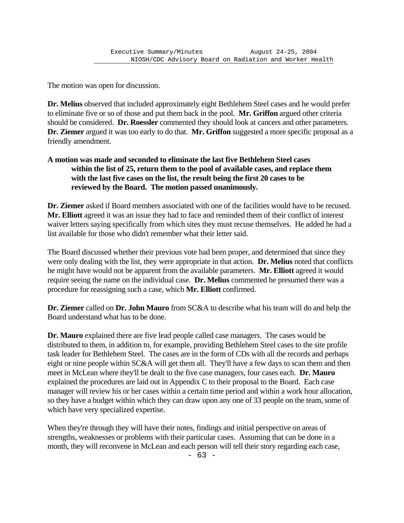The motion was open for discussion.

**Dr. Melius** observed that included approximately eight Bethlehem Steel cases and he would prefer to eliminate five or so of those and put them back in the pool. **Mr. Griffon** argued other criteria should be considered. **Dr. Roessler** commented they should look at cancers and other parameters. **Dr. Ziemer** argued it was too early to do that. **Mr. Griffon** suggested a more specific proposal as a friendly amendment.

# **A motion was made and seconded to eliminate the last five Bethlehem Steel cases within the list of 25, return them to the pool of available cases, and replace them with the last five cases on the list, the result being the first 20 cases to be reviewed by the Board. The motion passed unanimously.**

**Dr. Ziemer** asked if Board members associated with one of the facilities would have to be recused. **Mr. Elliott** agreed it was an issue they had to face and reminded them of their conflict of interest waiver letters saying specifically from which sites they must recuse themselves. He added he had a list available for those who didn't remember what their letter said.

The Board discussed whether their previous vote had been proper, and determined that since they were only dealing with the list, they were appropriate in that action. **Dr. Melius** noted that conflicts he might have would not be apparent from the available parameters. **Mr. Elliott** agreed it would require seeing the name on the individual case. **Dr. Melius** commented he presumed there was a procedure for reassigning such a case, which **Mr. Elliott** confirmed.

**Dr. Ziemer** called on **Dr. John Mauro** from SC&A to describe what his team will do and help the Board understand what has to be done.

**Dr. Mauro** explained there are five lead people called case managers. The cases would be distributed to them, in addition to, for example, providing Bethlehem Steel cases to the site profile task leader for Bethlehem Steel. The cases are in the form of CDs with all the records and perhaps eight or nine people within SC&A will get them all. They'll have a few days to scan them and then meet in McLean where they'll be dealt to the five case managers, four cases each. **Dr. Mauro** explained the procedures are laid out in Appendix C to their proposal to the Board. Each case manager will review his or her cases within a certain time period and within a work hour allocation, so they have a budget within which they can draw upon any one of 33 people on the team, some of which have very specialized expertise.

When they're through they will have their notes, findings and initial perspective on areas of strengths, weaknesses or problems with their particular cases. Assuming that can be done in a month, they will reconvene in McLean and each person will tell their story regarding each case,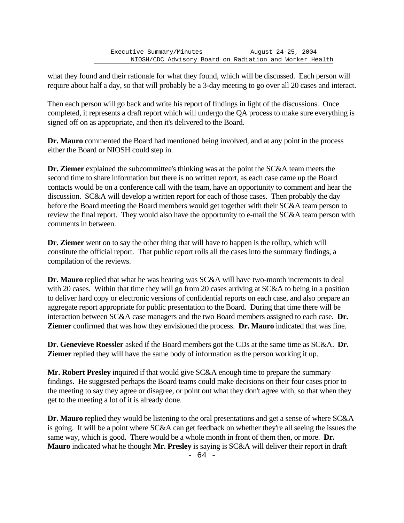what they found and their rationale for what they found, which will be discussed. Each person will require about half a day, so that will probably be a 3-day meeting to go over all 20 cases and interact.

Then each person will go back and write his report of findings in light of the discussions. Once completed, it represents a draft report which will undergo the QA process to make sure everything is signed off on as appropriate, and then it's delivered to the Board.

**Dr. Mauro** commented the Board had mentioned being involved, and at any point in the process either the Board or NIOSH could step in.

**Dr. Ziemer** explained the subcommittee's thinking was at the point the SC&A team meets the second time to share information but there is no written report, as each case came up the Board contacts would be on a conference call with the team, have an opportunity to comment and hear the discussion. SC&A will develop a written report for each of those cases. Then probably the day before the Board meeting the Board members would get together with their SC&A team person to review the final report. They would also have the opportunity to e-mail the SC&A team person with comments in between.

**Dr. Ziemer** went on to say the other thing that will have to happen is the rollup, which will constitute the official report. That public report rolls all the cases into the summary findings, a compilation of the reviews.

**Dr. Mauro** replied that what he was hearing was SC&A will have two-month increments to deal with 20 cases. Within that time they will go from 20 cases arriving at SC&A to being in a position to deliver hard copy or electronic versions of confidential reports on each case, and also prepare an aggregate report appropriate for public presentation to the Board. During that time there will be interaction between SC&A case managers and the two Board members assigned to each case. **Dr. Ziemer** confirmed that was how they envisioned the process. **Dr. Mauro** indicated that was fine.

**Dr. Genevieve Roessler** asked if the Board members got the CDs at the same time as SC&A. **Dr. Ziemer** replied they will have the same body of information as the person working it up.

**Mr. Robert Presley** inquired if that would give SC&A enough time to prepare the summary findings. He suggested perhaps the Board teams could make decisions on their four cases prior to the meeting to say they agree or disagree, or point out what they don't agree with, so that when they get to the meeting a lot of it is already done.

**Dr. Mauro** replied they would be listening to the oral presentations and get a sense of where SC&A is going. It will be a point where SC&A can get feedback on whether they're all seeing the issues the same way, which is good. There would be a whole month in front of them then, or more. **Dr. Mauro** indicated what he thought **Mr. Presley** is saying is SC&A will deliver their report in draft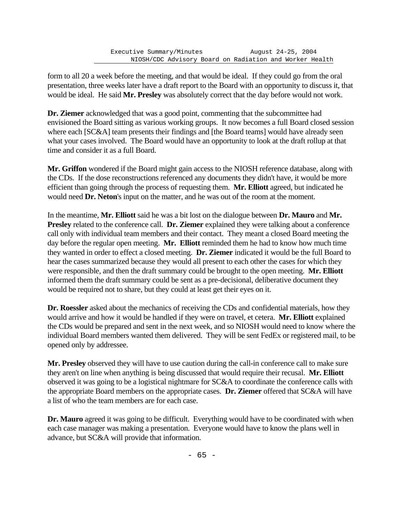form to all 20 a week before the meeting, and that would be ideal. If they could go from the oral presentation, three weeks later have a draft report to the Board with an opportunity to discuss it, that would be ideal. He said **Mr. Presley** was absolutely correct that the day before would not work.

**Dr. Ziemer** acknowledged that was a good point, commenting that the subcommittee had envisioned the Board sitting as various working groups. It now becomes a full Board closed session where each [SC&A] team presents their findings and [the Board teams] would have already seen what your cases involved. The Board would have an opportunity to look at the draft rollup at that time and consider it as a full Board.

**Mr. Griffon** wondered if the Board might gain access to the NIOSH reference database, along with the CDs. If the dose reconstructions referenced any documents they didn't have, it would be more efficient than going through the process of requesting them. **Mr. Elliott** agreed, but indicated he would need **Dr. Neton**'s input on the matter, and he was out of the room at the moment.

In the meantime, **Mr. Elliott** said he was a bit lost on the dialogue between **Dr. Mauro** and **Mr. Presley** related to the conference call. **Dr. Ziemer** explained they were talking about a conference call only with individual team members and their contact. They meant a closed Board meeting the day before the regular open meeting. **Mr. Elliott** reminded them he had to know how much time they wanted in order to effect a closed meeting. **Dr. Ziemer** indicated it would be the full Board to hear the cases summarized because they would all present to each other the cases for which they were responsible, and then the draft summary could be brought to the open meeting. **Mr. Elliott** informed them the draft summary could be sent as a pre-decisional, deliberative document they would be required not to share, but they could at least get their eyes on it.

**Dr. Roessler** asked about the mechanics of receiving the CDs and confidential materials, how they would arrive and how it would be handled if they were on travel, et cetera. **Mr. Elliott** explained the CDs would be prepared and sent in the next week, and so NIOSH would need to know where the individual Board members wanted them delivered. They will be sent FedEx or registered mail, to be opened only by addressee.

**Mr. Presley** observed they will have to use caution during the call-in conference call to make sure they aren't on line when anything is being discussed that would require their recusal. **Mr. Elliott** observed it was going to be a logistical nightmare for SC&A to coordinate the conference calls with the appropriate Board members on the appropriate cases. **Dr. Ziemer** offered that SC&A will have a list of who the team members are for each case.

**Dr. Mauro** agreed it was going to be difficult. Everything would have to be coordinated with when each case manager was making a presentation. Everyone would have to know the plans well in advance, but SC&A will provide that information.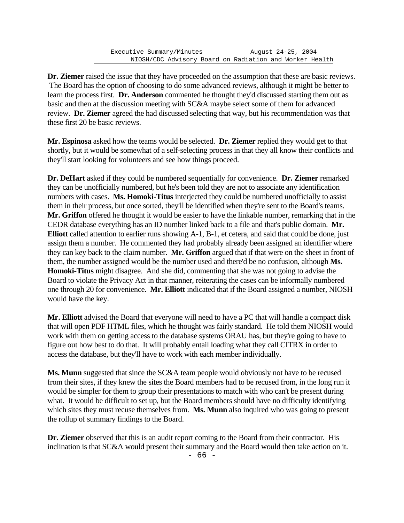**Dr. Ziemer** raised the issue that they have proceeded on the assumption that these are basic reviews. The Board has the option of choosing to do some advanced reviews, although it might be better to learn the process first. **Dr. Anderson** commented he thought they'd discussed starting them out as basic and then at the discussion meeting with SC&A maybe select some of them for advanced review. **Dr. Ziemer** agreed the had discussed selecting that way, but his recommendation was that these first 20 be basic reviews.

**Mr. Espinosa** asked how the teams would be selected. **Dr. Ziemer** replied they would get to that shortly, but it would be somewhat of a self-selecting process in that they all know their conflicts and they'll start looking for volunteers and see how things proceed.

**Dr. DeHart** asked if they could be numbered sequentially for convenience. **Dr. Ziemer** remarked they can be unofficially numbered, but he's been told they are not to associate any identification numbers with cases. **Ms. Homoki-Titus** interjected they could be numbered unofficially to assist them in their process, but once sorted, they'll be identified when they're sent to the Board's teams. **Mr. Griffon** offered he thought it would be easier to have the linkable number, remarking that in the CEDR database everything has an ID number linked back to a file and that's public domain. **Mr. Elliott** called attention to earlier runs showing A-1, B-1, et cetera, and said that could be done, just assign them a number. He commented they had probably already been assigned an identifier where they can key back to the claim number. **Mr. Griffon** argued that if that were on the sheet in front of them, the number assigned would be the number used and there'd be no confusion, although **Ms. Homoki-Titus** might disagree. And she did, commenting that she was not going to advise the Board to violate the Privacy Act in that manner, reiterating the cases can be informally numbered one through 20 for convenience. **Mr. Elliott** indicated that if the Board assigned a number, NIOSH would have the key.

**Mr. Elliott** advised the Board that everyone will need to have a PC that will handle a compact disk that will open PDF HTML files, which he thought was fairly standard. He told them NIOSH would work with them on getting access to the database systems ORAU has, but they're going to have to figure out how best to do that. It will probably entail loading what they call CITRX in order to access the database, but they'll have to work with each member individually.

**Ms. Munn** suggested that since the SC&A team people would obviously not have to be recused from their sites, if they knew the sites the Board members had to be recused from, in the long run it would be simpler for them to group their presentations to match with who can't be present during what. It would be difficult to set up, but the Board members should have no difficulty identifying which sites they must recuse themselves from. **Ms. Munn** also inquired who was going to present the rollup of summary findings to the Board.

**Dr. Ziemer** observed that this is an audit report coming to the Board from their contractor. His inclination is that SC&A would present their summary and the Board would then take action on it.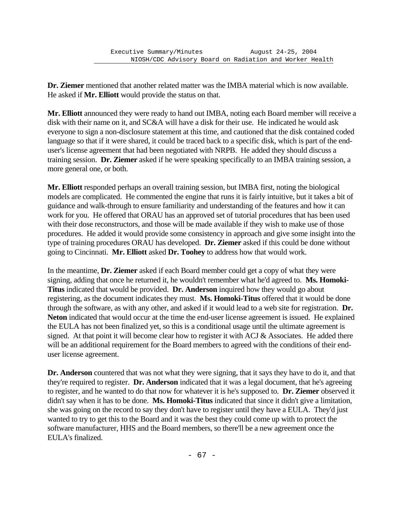**Dr. Ziemer** mentioned that another related matter was the IMBA material which is now available. He asked if **Mr. Elliott** would provide the status on that.

**Mr. Elliott** announced they were ready to hand out IMBA, noting each Board member will receive a disk with their name on it, and SC&A will have a disk for their use. He indicated he would ask everyone to sign a non-disclosure statement at this time, and cautioned that the disk contained coded language so that if it were shared, it could be traced back to a specific disk, which is part of the enduser's license agreement that had been negotiated with NRPB. He added they should discuss a training session. **Dr. Ziemer** asked if he were speaking specifically to an IMBA training session, a more general one, or both.

**Mr. Elliott** responded perhaps an overall training session, but IMBA first, noting the biological models are complicated. He commented the engine that runs it is fairly intuitive, but it takes a bit of guidance and walk-through to ensure familiarity and understanding of the features and how it can work for you. He offered that ORAU has an approved set of tutorial procedures that has been used with their dose reconstructors, and those will be made available if they wish to make use of those procedures. He added it would provide some consistency in approach and give some insight into the type of training procedures ORAU has developed. **Dr. Ziemer** asked if this could be done without going to Cincinnati. **Mr. Elliott** asked **Dr. Toohey** to address how that would work.

In the meantime, **Dr. Ziemer** asked if each Board member could get a copy of what they were signing, adding that once he returned it, he wouldn't remember what he'd agreed to. **Ms. Homoki-Titus** indicated that would be provided. **Dr. Anderson** inquired how they would go about registering, as the document indicates they must. **Ms. Homoki-Titus** offered that it would be done through the software, as with any other, and asked if it would lead to a web site for registration. **Dr. Neton** indicated that would occur at the time the end-user license agreement is issued. He explained the EULA has not been finalized yet, so this is a conditional usage until the ultimate agreement is signed. At that point it will become clear how to register it with ACJ & Associates. He added there will be an additional requirement for the Board members to agreed with the conditions of their enduser license agreement.

**Dr. Anderson** countered that was not what they were signing, that it says they have to do it, and that they're required to register. **Dr. Anderson** indicated that it was a legal document, that he's agreeing to register, and he wanted to do that now for whatever it is he's supposed to. **Dr. Ziemer** observed it didn't say when it has to be done. **Ms. Homoki-Titus** indicated that since it didn't give a limitation, she was going on the record to say they don't have to register until they have a EULA. They'd just wanted to try to get this to the Board and it was the best they could come up with to protect the software manufacturer, HHS and the Board members, so there'll be a new agreement once the EULA's finalized.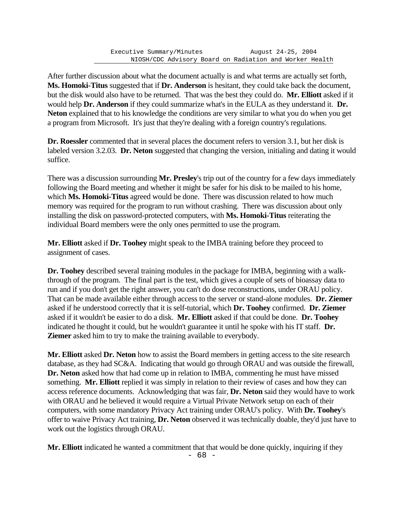After further discussion about what the document actually is and what terms are actually set forth, **Ms. Homoki-Titus** suggested that if **Dr. Anderson** is hesitant, they could take back the document, but the disk would also have to be returned. That was the best they could do. **Mr. Elliott** asked if it would help **Dr. Anderson** if they could summarize what's in the EULA as they understand it. **Dr. Neton** explained that to his knowledge the conditions are very similar to what you do when you get a program from Microsoft. It's just that they're dealing with a foreign country's regulations.

**Dr. Roessler** commented that in several places the document refers to version 3.1, but her disk is labeled version 3.2.03. **Dr. Neton** suggested that changing the version, initialing and dating it would suffice.

There was a discussion surrounding **Mr. Presley**'s trip out of the country for a few days immediately following the Board meeting and whether it might be safer for his disk to be mailed to his home, which **Ms. Homoki-Titus** agreed would be done. There was discussion related to how much memory was required for the program to run without crashing. There was discussion about only installing the disk on password-protected computers, with **Ms. Homoki-Titus** reiterating the individual Board members were the only ones permitted to use the program.

**Mr. Elliott** asked if **Dr. Toohey** might speak to the IMBA training before they proceed to assignment of cases.

**Dr. Toohey** described several training modules in the package for IMBA, beginning with a walkthrough of the program. The final part is the test, which gives a couple of sets of bioassay data to run and if you don't get the right answer, you can't do dose reconstructions, under ORAU policy. That can be made available either through access to the server or stand-alone modules. **Dr. Ziemer** asked if he understood correctly that it is self-tutorial, which **Dr. Toohey** confirmed. **Dr. Ziemer** asked if it wouldn't be easier to do a disk. **Mr. Elliott** asked if that could be done. **Dr. Toohey** indicated he thought it could, but he wouldn't guarantee it until he spoke with his IT staff. **Dr. Ziemer** asked him to try to make the training available to everybody.

**Mr. Elliott** asked **Dr. Neton** how to assist the Board members in getting access to the site research database, as they had SC&A. Indicating that would go through ORAU and was outside the firewall, **Dr. Neton** asked how that had come up in relation to IMBA, commenting he must have missed something. **Mr. Elliott** replied it was simply in relation to their review of cases and how they can access reference documents. Acknowledging that was fair, **Dr. Neton** said they would have to work with ORAU and he believed it would require a Virtual Private Network setup on each of their computers, with some mandatory Privacy Act training under ORAU's policy. With **Dr. Toohey**'s offer to waive Privacy Act training, **Dr. Neton** observed it was technically doable, they'd just have to work out the logistics through ORAU.

**Mr. Elliott** indicated he wanted a commitment that that would be done quickly, inquiring if they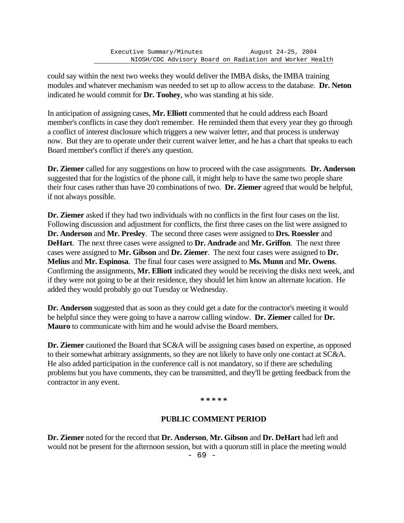could say within the next two weeks they would deliver the IMBA disks, the IMBA training modules and whatever mechanism was needed to set up to allow access to the database. **Dr. Neton** indicated he would commit for **Dr. Toohey**, who was standing at his side.

In anticipation of assigning cases, **Mr. Elliott** commented that he could address each Board member's conflicts in case they don't remember. He reminded them that every year they go through a conflict of interest disclosure which triggers a new waiver letter, and that process is underway now. But they are to operate under their current waiver letter, and he has a chart that speaks to each Board member's conflict if there's any question.

**Dr. Ziemer** called for any suggestions on how to proceed with the case assignments. **Dr. Anderson** suggested that for the logistics of the phone call, it might help to have the same two people share their four cases rather than have 20 combinations of two. **Dr. Ziemer** agreed that would be helpful, if not always possible.

**Dr. Ziemer** asked if they had two individuals with no conflicts in the first four cases on the list. Following discussion and adjustment for conflicts, the first three cases on the list were assigned to **Dr. Anderson** and **Mr. Presley**. The second three cases were assigned to **Drs. Roessler** and **DeHart**. The next three cases were assigned to **Dr. Andrade** and **Mr. Griffon**. The next three cases were assigned to **Mr. Gibson** and **Dr. Ziemer**. The next four cases were assigned to **Dr. Melius** and **Mr. Espinosa**. The final four cases were assigned to **Ms. Munn** and **Mr. Owens**. Confirming the assignments, **Mr. Elliott** indicated they would be receiving the disks next week, and if they were not going to be at their residence, they should let him know an alternate location. He added they would probably go out Tuesday or Wednesday.

**Dr. Anderson** suggested that as soon as they could get a date for the contractor's meeting it would be helpful since they were going to have a narrow calling window. **Dr. Ziemer** called for **Dr. Mauro** to communicate with him and he would advise the Board members.

**Dr. Ziemer** cautioned the Board that SC&A will be assigning cases based on expertise, as opposed to their somewhat arbitrary assignments, so they are not likely to have only one contact at SC&A. He also added participation in the conference call is not mandatory, so if there are scheduling problems but you have comments, they can be transmitted, and they'll be getting feedback from the contractor in any event.

#### **\* \* \* \* \***

## **PUBLIC COMMENT PERIOD**

**Dr. Ziemer** noted for the record that **Dr. Anderson**, **Mr. Gibson** and **Dr. DeHart** had left and would not be present for the afternoon session, but with a quorum still in place the meeting would

- 69 -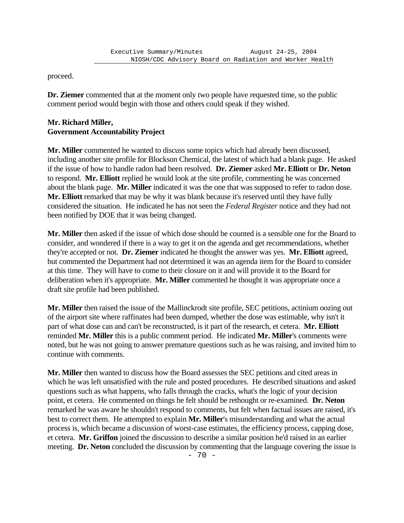proceed.

**Dr. Ziemer** commented that at the moment only two people have requested time, so the public comment period would begin with those and others could speak if they wished.

# **Mr. Richard Miller, Government Accountability Project**

**Mr. Miller** commented he wanted to discuss some topics which had already been discussed, including another site profile for Blockson Chemical, the latest of which had a blank page. He asked if the issue of how to handle radon had been resolved. **Dr. Ziemer** asked **Mr. Elliott** or **Dr. Neton** to respond. **Mr. Elliott** replied he would look at the site profile, commenting he was concerned about the blank page. **Mr. Miller** indicated it was the one that was supposed to refer to radon dose. **Mr. Elliott** remarked that may be why it was blank because it's reserved until they have fully considered the situation. He indicated he has not seen the *Federal Register* notice and they had not been notified by DOE that it was being changed.

**Mr. Miller** then asked if the issue of which dose should be counted is a sensible one for the Board to consider, and wondered if there is a way to get it on the agenda and get recommendations, whether they're accepted or not. **Dr. Ziemer** indicated he thought the answer was yes. **Mr. Elliott** agreed, but commented the Department had not determined it was an agenda item for the Board to consider at this time. They will have to come to their closure on it and will provide it to the Board for deliberation when it's appropriate. **Mr. Miller** commented he thought it was appropriate once a draft site profile had been published.

**Mr. Miller** then raised the issue of the Mallinckrodt site profile, SEC petitions, actinium oozing out of the airport site where raffinates had been dumped, whether the dose was estimable, why isn't it part of what dose can and can't be reconstructed, is it part of the research, et cetera. **Mr. Elliott** reminded **Mr. Miller** this is a public comment period. He indicated **Mr. Miller**'s comments were noted, but he was not going to answer premature questions such as he was raising, and invited him to continue with comments.

**Mr. Miller** then wanted to discuss how the Board assesses the SEC petitions and cited areas in which he was left unsatisfied with the rule and posted procedures. He described situations and asked questions such as what happens, who falls through the cracks, what's the logic of your decision point, et cetera. He commented on things he felt should be rethought or re-examined. **Dr. Neton** remarked he was aware he shouldn't respond to comments, but felt when factual issues are raised, it's best to correct them. He attempted to explain **Mr. Miller**'s misunderstanding and what the actual process is, which became a discussion of worst-case estimates, the efficiency process, capping dose, et cetera. **Mr. Griffon** joined the discussion to describe a similar position he'd raised in an earlier meeting. **Dr. Neton** concluded the discussion by commenting that the language covering the issue is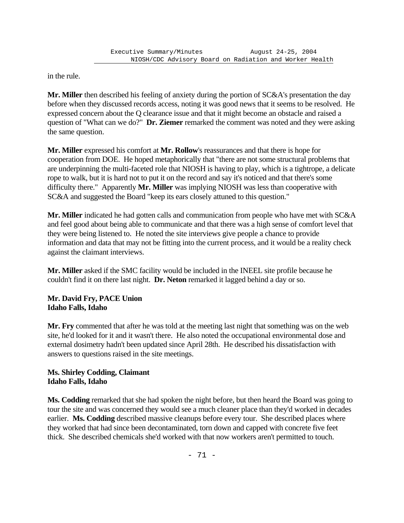in the rule.

**Mr. Miller** then described his feeling of anxiety during the portion of SC&A's presentation the day before when they discussed records access, noting it was good news that it seems to be resolved. He expressed concern about the Q clearance issue and that it might become an obstacle and raised a question of "What can we do?" **Dr. Ziemer** remarked the comment was noted and they were asking the same question.

**Mr. Miller** expressed his comfort at **Mr. Rollow**'s reassurances and that there is hope for cooperation from DOE. He hoped metaphorically that "there are not some structural problems that are underpinning the multi-faceted role that NIOSH is having to play, which is a tightrope, a delicate rope to walk, but it is hard not to put it on the record and say it's noticed and that there's some difficulty there." Apparently **Mr. Miller** was implying NIOSH was less than cooperative with SC&A and suggested the Board "keep its ears closely attuned to this question."

**Mr. Miller** indicated he had gotten calls and communication from people who have met with SC&A and feel good about being able to communicate and that there was a high sense of comfort level that they were being listened to. He noted the site interviews give people a chance to provide information and data that may not be fitting into the current process, and it would be a reality check against the claimant interviews.

**Mr. Miller** asked if the SMC facility would be included in the INEEL site profile because he couldn't find it on there last night. **Dr. Neton** remarked it lagged behind a day or so.

## **Mr. David Fry, PACE Union Idaho Falls, Idaho**

**Mr. Fry** commented that after he was told at the meeting last night that something was on the web site, he'd looked for it and it wasn't there. He also noted the occupational environmental dose and external dosimetry hadn't been updated since April 28th. He described his dissatisfaction with answers to questions raised in the site meetings.

# **Ms. Shirley Codding, Claimant Idaho Falls, Idaho**

**Ms. Codding** remarked that she had spoken the night before, but then heard the Board was going to tour the site and was concerned they would see a much cleaner place than they'd worked in decades earlier. **Ms. Codding** described massive cleanups before every tour. She described places where they worked that had since been decontaminated, torn down and capped with concrete five feet thick. She described chemicals she'd worked with that now workers aren't permitted to touch.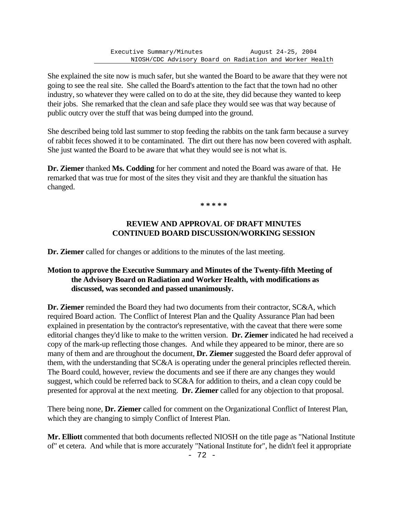She explained the site now is much safer, but she wanted the Board to be aware that they were not going to see the real site. She called the Board's attention to the fact that the town had no other industry, so whatever they were called on to do at the site, they did because they wanted to keep their jobs. She remarked that the clean and safe place they would see was that way because of public outcry over the stuff that was being dumped into the ground.

She described being told last summer to stop feeding the rabbits on the tank farm because a survey of rabbit feces showed it to be contaminated. The dirt out there has now been covered with asphalt. She just wanted the Board to be aware that what they would see is not what is.

**Dr. Ziemer** thanked **Ms. Codding** for her comment and noted the Board was aware of that. He remarked that was true for most of the sites they visit and they are thankful the situation has changed.

**\* \* \* \* \***

## **REVIEW AND APPROVAL OF DRAFT MINUTES CONTINUED BOARD DISCUSSION/WORKING SESSION**

**Dr. Ziemer** called for changes or additions to the minutes of the last meeting.

#### **Motion to approve the Executive Summary and Minutes of the Twenty-fifth Meeting of the Advisory Board on Radiation and Worker Health, with modifications as discussed, was seconded and passed unanimously.**

**Dr. Ziemer** reminded the Board they had two documents from their contractor, SC&A, which required Board action. The Conflict of Interest Plan and the Quality Assurance Plan had been explained in presentation by the contractor's representative, with the caveat that there were some editorial changes they'd like to make to the written version. **Dr. Ziemer** indicated he had received a copy of the mark-up reflecting those changes. And while they appeared to be minor, there are so many of them and are throughout the document, **Dr. Ziemer** suggested the Board defer approval of them, with the understanding that SC&A is operating under the general principles reflected therein. The Board could, however, review the documents and see if there are any changes they would suggest, which could be referred back to SC&A for addition to theirs, and a clean copy could be presented for approval at the next meeting. **Dr. Ziemer** called for any objection to that proposal.

There being none, **Dr. Ziemer** called for comment on the Organizational Conflict of Interest Plan, which they are changing to simply Conflict of Interest Plan.

**Mr. Elliott** commented that both documents reflected NIOSH on the title page as "National Institute of" et cetera. And while that is more accurately "National Institute for", he didn't feel it appropriate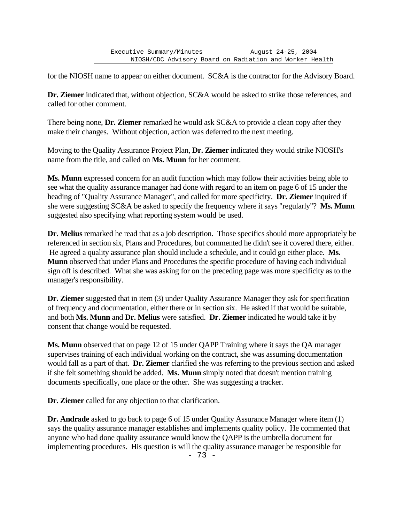for the NIOSH name to appear on either document. SC&A is the contractor for the Advisory Board.

**Dr. Ziemer** indicated that, without objection, SC&A would be asked to strike those references, and called for other comment.

There being none, **Dr. Ziemer** remarked he would ask SC&A to provide a clean copy after they make their changes. Without objection, action was deferred to the next meeting.

Moving to the Quality Assurance Project Plan, **Dr. Ziemer** indicated they would strike NIOSH's name from the title, and called on **Ms. Munn** for her comment.

**Ms. Munn** expressed concern for an audit function which may follow their activities being able to see what the quality assurance manager had done with regard to an item on page 6 of 15 under the heading of "Quality Assurance Manager", and called for more specificity. **Dr. Ziemer** inquired if she were suggesting SC&A be asked to specify the frequency where it says "regularly"? **Ms. Munn** suggested also specifying what reporting system would be used.

**Dr. Melius** remarked he read that as a job description. Those specifics should more appropriately be referenced in section six, Plans and Procedures, but commented he didn't see it covered there, either. He agreed a quality assurance plan should include a schedule, and it could go either place. **Ms. Munn** observed that under Plans and Procedures the specific procedure of having each individual sign off is described. What she was asking for on the preceding page was more specificity as to the manager's responsibility.

**Dr. Ziemer** suggested that in item (3) under Quality Assurance Manager they ask for specification of frequency and documentation, either there or in section six. He asked if that would be suitable, and both **Ms. Munn** and **Dr. Melius** were satisfied. **Dr. Ziemer** indicated he would take it by consent that change would be requested.

**Ms. Munn** observed that on page 12 of 15 under QAPP Training where it says the QA manager supervises training of each individual working on the contract, she was assuming documentation would fall as a part of that. **Dr. Ziemer** clarified she was referring to the previous section and asked if she felt something should be added. **Ms. Munn** simply noted that doesn't mention training documents specifically, one place or the other. She was suggesting a tracker.

**Dr. Ziemer** called for any objection to that clarification.

**Dr. Andrade** asked to go back to page 6 of 15 under Quality Assurance Manager where item (1) says the quality assurance manager establishes and implements quality policy. He commented that anyone who had done quality assurance would know the QAPP is the umbrella document for implementing procedures. His question is will the quality assurance manager be responsible for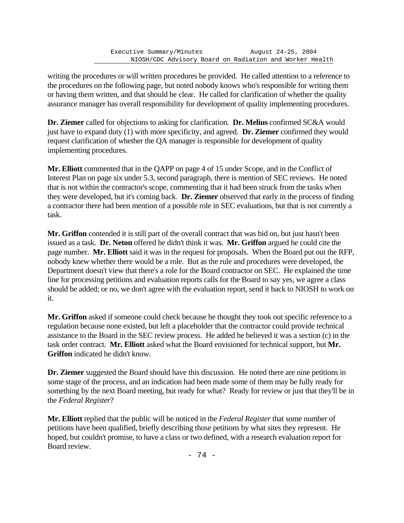writing the procedures or will written procedures be provided. He called attention to a reference to the procedures on the following page, but noted nobody knows who's responsible for writing them or having them written, and that should be clear. He called for clarification of whether the quality assurance manager has overall responsibility for development of quality implementing procedures.

**Dr. Ziemer** called for objections to asking for clarification. **Dr. Melius** confirmed SC&A would just have to expand duty (1) with more specificity, and agreed. **Dr. Ziemer** confirmed they would request clarification of whether the QA manager is responsible for development of quality implementing procedures.

**Mr. Elliott** commented that in the QAPP on page 4 of 15 under Scope, and in the Conflict of Interest Plan on page six under 5.3, second paragraph, there is mention of SEC reviews. He noted that is not within the contractor's scope, commenting that it had been struck from the tasks when they were developed, but it's coming back. **Dr. Ziemer** observed that early in the process of finding a contractor there had been mention of a possible role in SEC evaluations, but that is not currently a task.

**Mr. Griffon** contended it is still part of the overall contract that was bid on, but just hasn't been issued as a task. **Dr. Neton** offered he didn't think it was. **Mr. Griffon** argued he could cite the page number. **Mr. Elliott** said it was in the request for proposals. When the Board put out the RFP, nobody knew whether there would be a role. But as the rule and procedures were developed, the Department doesn't view that there's a role for the Board contractor on SEC. He explained the time line for processing petitions and evaluation reports calls for the Board to say yes, we agree a class should be added; or no, we don't agree with the evaluation report, send it back to NIOSH to work on it.

**Mr. Griffon** asked if someone could check because he thought they took out specific reference to a regulation because none existed, but left a placeholder that the contractor could provide technical assistance to the Board in the SEC review process. He added he believed it was a section (c) in the task order contract. **Mr. Elliott** asked what the Board envisioned for technical support, but **Mr. Griffon** indicated he didn't know.

**Dr. Ziemer** suggested the Board should have this discussion. He noted there are nine petitions in some stage of the process, and an indication had been made some of them may be fully ready for something by the next Board meeting, but ready for what? Ready for review or just that they'll be in the *Federal Register*?

**Mr. Elliott** replied that the public will be noticed in the *Federal Register* that some number of petitions have been qualified, briefly describing those petitions by what sites they represent. He hoped, but couldn't promise, to have a class or two defined, with a research evaluation report for Board review.

- 74 -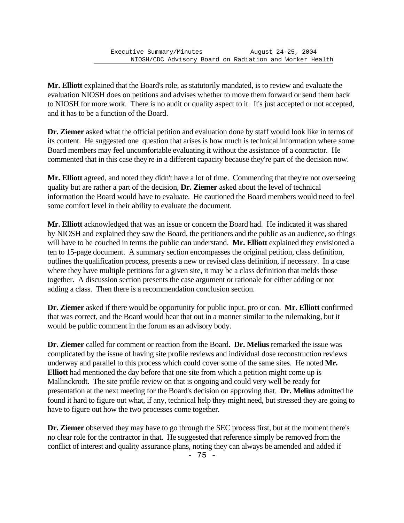**Mr. Elliott** explained that the Board's role, as statutorily mandated, is to review and evaluate the evaluation NIOSH does on petitions and advises whether to move them forward or send them back to NIOSH for more work. There is no audit or quality aspect to it. It's just accepted or not accepted, and it has to be a function of the Board.

**Dr. Ziemer** asked what the official petition and evaluation done by staff would look like in terms of its content. He suggested one question that arises is how much is technical information where some Board members may feel uncomfortable evaluating it without the assistance of a contractor. He commented that in this case they're in a different capacity because they're part of the decision now.

**Mr. Elliott** agreed, and noted they didn't have a lot of time. Commenting that they're not overseeing quality but are rather a part of the decision, **Dr. Ziemer** asked about the level of technical information the Board would have to evaluate. He cautioned the Board members would need to feel some comfort level in their ability to evaluate the document.

**Mr. Elliott** acknowledged that was an issue or concern the Board had. He indicated it was shared by NIOSH and explained they saw the Board, the petitioners and the public as an audience, so things will have to be couched in terms the public can understand. **Mr. Elliott** explained they envisioned a ten to 15-page document. A summary section encompasses the original petition, class definition, outlines the qualification process, presents a new or revised class definition, if necessary. In a case where they have multiple petitions for a given site, it may be a class definition that melds those together. A discussion section presents the case argument or rationale for either adding or not adding a class. Then there is a recommendation conclusion section.

**Dr. Ziemer** asked if there would be opportunity for public input, pro or con. **Mr. Elliott** confirmed that was correct, and the Board would hear that out in a manner similar to the rulemaking, but it would be public comment in the forum as an advisory body.

**Dr. Ziemer** called for comment or reaction from the Board. **Dr. Melius** remarked the issue was complicated by the issue of having site profile reviews and individual dose reconstruction reviews underway and parallel to this process which could cover some of the same sites. He noted **Mr. Elliott** had mentioned the day before that one site from which a petition might come up is Mallinckrodt. The site profile review on that is ongoing and could very well be ready for presentation at the next meeting for the Board's decision on approving that. **Dr. Melius** admitted he found it hard to figure out what, if any, technical help they might need, but stressed they are going to have to figure out how the two processes come together.

**Dr. Ziemer** observed they may have to go through the SEC process first, but at the moment there's no clear role for the contractor in that. He suggested that reference simply be removed from the conflict of interest and quality assurance plans, noting they can always be amended and added if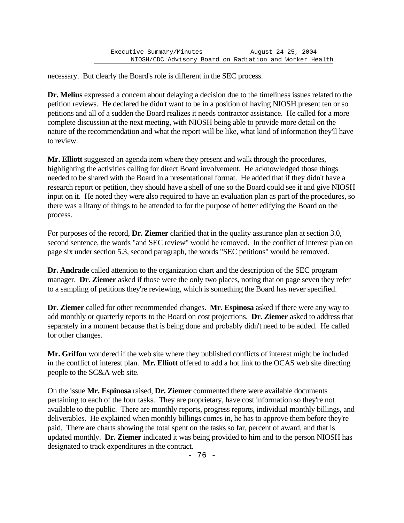necessary. But clearly the Board's role is different in the SEC process.

**Dr. Melius** expressed a concern about delaying a decision due to the timeliness issues related to the petition reviews. He declared he didn't want to be in a position of having NIOSH present ten or so petitions and all of a sudden the Board realizes it needs contractor assistance. He called for a more complete discussion at the next meeting, with NIOSH being able to provide more detail on the nature of the recommendation and what the report will be like, what kind of information they'll have to review.

**Mr. Elliott** suggested an agenda item where they present and walk through the procedures, highlighting the activities calling for direct Board involvement. He acknowledged those things needed to be shared with the Board in a presentational format. He added that if they didn't have a research report or petition, they should have a shell of one so the Board could see it and give NIOSH input on it. He noted they were also required to have an evaluation plan as part of the procedures, so there was a litany of things to be attended to for the purpose of better edifying the Board on the process.

For purposes of the record, **Dr. Ziemer** clarified that in the quality assurance plan at section 3.0, second sentence, the words "and SEC review" would be removed. In the conflict of interest plan on page six under section 5.3, second paragraph, the words "SEC petitions" would be removed.

**Dr. Andrade** called attention to the organization chart and the description of the SEC program manager. **Dr. Ziemer** asked if those were the only two places, noting that on page seven they refer to a sampling of petitions they're reviewing, which is something the Board has never specified.

**Dr. Ziemer** called for other recommended changes. **Mr. Espinosa** asked if there were any way to add monthly or quarterly reports to the Board on cost projections. **Dr. Ziemer** asked to address that separately in a moment because that is being done and probably didn't need to be added. He called for other changes.

**Mr. Griffon** wondered if the web site where they published conflicts of interest might be included in the conflict of interest plan. **Mr. Elliott** offered to add a hot link to the OCAS web site directing people to the SC&A web site.

On the issue **Mr. Espinosa** raised, **Dr. Ziemer** commented there were available documents pertaining to each of the four tasks. They are proprietary, have cost information so they're not available to the public. There are monthly reports, progress reports, individual monthly billings, and deliverables. He explained when monthly billings comes in, he has to approve them before they're paid. There are charts showing the total spent on the tasks so far, percent of award, and that is updated monthly. **Dr. Ziemer** indicated it was being provided to him and to the person NIOSH has designated to track expenditures in the contract.

- 76 -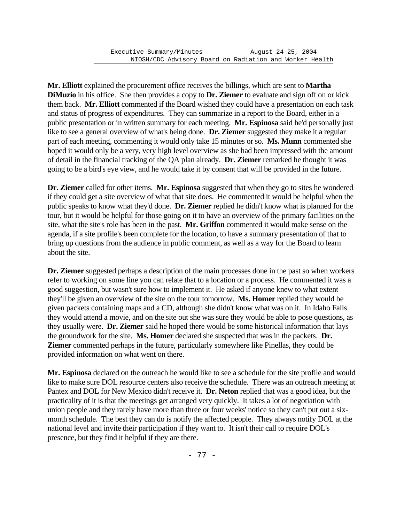**Mr. Elliott** explained the procurement office receives the billings, which are sent to **Martha DiMuzio** in his office. She then provides a copy to **Dr. Ziemer** to evaluate and sign off on or kick them back. **Mr. Elliott** commented if the Board wished they could have a presentation on each task and status of progress of expenditures. They can summarize in a report to the Board, either in a public presentation or in written summary for each meeting. **Mr. Espinosa** said he'd personally just like to see a general overview of what's being done. **Dr. Ziemer** suggested they make it a regular part of each meeting, commenting it would only take 15 minutes or so. **Ms. Munn** commented she hoped it would only be a very, very high level overview as she had been impressed with the amount of detail in the financial tracking of the QA plan already. **Dr. Ziemer** remarked he thought it was going to be a bird's eye view, and he would take it by consent that will be provided in the future.

**Dr. Ziemer** called for other items. **Mr. Espinosa** suggested that when they go to sites he wondered if they could get a site overview of what that site does. He commented it would be helpful when the public speaks to know what they'd done. **Dr. Ziemer** replied he didn't know what is planned for the tour, but it would be helpful for those going on it to have an overview of the primary facilities on the site, what the site's role has been in the past. **Mr. Griffon** commented it would make sense on the agenda, if a site profile's been complete for the location, to have a summary presentation of that to bring up questions from the audience in public comment, as well as a way for the Board to learn about the site.

**Dr. Ziemer** suggested perhaps a description of the main processes done in the past so when workers refer to working on some line you can relate that to a location or a process. He commented it was a good suggestion, but wasn't sure how to implement it. He asked if anyone knew to what extent they'll be given an overview of the site on the tour tomorrow. **Ms. Homer** replied they would be given packets containing maps and a CD, although she didn't know what was on it. In Idaho Falls they would attend a movie, and on the site out she was sure they would be able to pose questions, as they usually were. **Dr. Ziemer** said he hoped there would be some historical information that lays the groundwork for the site. **Ms. Homer** declared she suspected that was in the packets. **Dr. Ziemer** commented perhaps in the future, particularly somewhere like Pinellas, they could be provided information on what went on there.

**Mr. Espinosa** declared on the outreach he would like to see a schedule for the site profile and would like to make sure DOL resource centers also receive the schedule. There was an outreach meeting at Pantex and DOL for New Mexico didn't receive it. **Dr. Neton** replied that was a good idea, but the practicality of it is that the meetings get arranged very quickly. It takes a lot of negotiation with union people and they rarely have more than three or four weeks' notice so they can't put out a sixmonth schedule. The best they can do is notify the affected people. They always notify DOL at the national level and invite their participation if they want to. It isn't their call to require DOL's presence, but they find it helpful if they are there.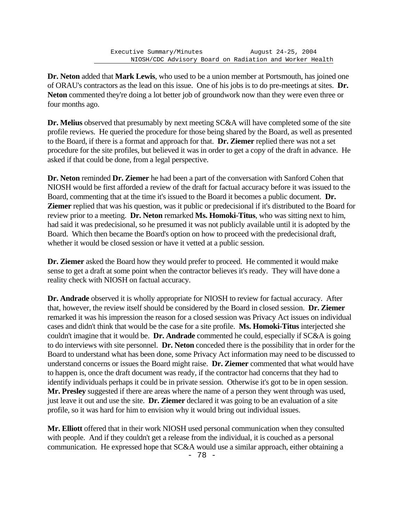**Dr. Neton** added that **Mark Lewis**, who used to be a union member at Portsmouth, has joined one of ORAU's contractors as the lead on this issue. One of his jobs is to do pre-meetings at sites. **Dr. Neton** commented they're doing a lot better job of groundwork now than they were even three or four months ago.

**Dr. Melius** observed that presumably by next meeting SC&A will have completed some of the site profile reviews. He queried the procedure for those being shared by the Board, as well as presented to the Board, if there is a format and approach for that. **Dr. Ziemer** replied there was not a set procedure for the site profiles, but believed it was in order to get a copy of the draft in advance. He asked if that could be done, from a legal perspective.

**Dr. Neton** reminded **Dr. Ziemer** he had been a part of the conversation with Sanford Cohen that NIOSH would be first afforded a review of the draft for factual accuracy before it was issued to the Board, commenting that at the time it's issued to the Board it becomes a public document. **Dr. Ziemer** replied that was his question, was it public or predecisional if it's distributed to the Board for review prior to a meeting. **Dr. Neton** remarked **Ms. Homoki-Titus**, who was sitting next to him, had said it was predecisional, so he presumed it was not publicly available until it is adopted by the Board. Which then became the Board's option on how to proceed with the predecisional draft, whether it would be closed session or have it vetted at a public session.

**Dr. Ziemer** asked the Board how they would prefer to proceed. He commented it would make sense to get a draft at some point when the contractor believes it's ready. They will have done a reality check with NIOSH on factual accuracy.

**Dr. Andrade** observed it is wholly appropriate for NIOSH to review for factual accuracy. After that, however, the review itself should be considered by the Board in closed session. **Dr. Ziemer** remarked it was his impression the reason for a closed session was Privacy Act issues on individual cases and didn't think that would be the case for a site profile. **Ms. Homoki-Titus** interjected she couldn't imagine that it would be. **Dr. Andrade** commented he could, especially if SC&A is going to do interviews with site personnel. **Dr. Neton** conceded there is the possibility that in order for the Board to understand what has been done, some Privacy Act information may need to be discussed to understand concerns or issues the Board might raise. **Dr. Ziemer** commented that what would have to happen is, once the draft document was ready, if the contractor had concerns that they had to identify individuals perhaps it could be in private session. Otherwise it's got to be in open session. **Mr. Presley** suggested if there are areas where the name of a person they went through was used, just leave it out and use the site. **Dr. Ziemer** declared it was going to be an evaluation of a site profile, so it was hard for him to envision why it would bring out individual issues.

**Mr. Elliott** offered that in their work NIOSH used personal communication when they consulted with people. And if they couldn't get a release from the individual, it is couched as a personal communication. He expressed hope that SC&A would use a similar approach, either obtaining a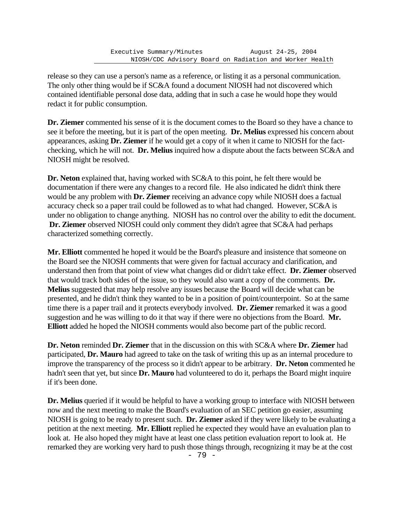release so they can use a person's name as a reference, or listing it as a personal communication. The only other thing would be if SC&A found a document NIOSH had not discovered which contained identifiable personal dose data, adding that in such a case he would hope they would redact it for public consumption.

**Dr. Ziemer** commented his sense of it is the document comes to the Board so they have a chance to see it before the meeting, but it is part of the open meeting. **Dr. Melius** expressed his concern about appearances, asking **Dr. Ziemer** if he would get a copy of it when it came to NIOSH for the factchecking, which he will not. **Dr. Melius** inquired how a dispute about the facts between SC&A and NIOSH might be resolved.

**Dr. Neton** explained that, having worked with SC&A to this point, he felt there would be documentation if there were any changes to a record file. He also indicated he didn't think there would be any problem with **Dr. Ziemer** receiving an advance copy while NIOSH does a factual accuracy check so a paper trail could be followed as to what had changed. However, SC&A is under no obligation to change anything. NIOSH has no control over the ability to edit the document. **Dr. Ziemer** observed NIOSH could only comment they didn't agree that SC&A had perhaps characterized something correctly.

**Mr. Elliott** commented he hoped it would be the Board's pleasure and insistence that someone on the Board see the NIOSH comments that were given for factual accuracy and clarification, and understand then from that point of view what changes did or didn't take effect. **Dr. Ziemer** observed that would track both sides of the issue, so they would also want a copy of the comments. **Dr. Melius** suggested that may help resolve any issues because the Board will decide what can be presented, and he didn't think they wanted to be in a position of point/counterpoint. So at the same time there is a paper trail and it protects everybody involved. **Dr. Ziemer** remarked it was a good suggestion and he was willing to do it that way if there were no objections from the Board. **Mr. Elliott** added he hoped the NIOSH comments would also become part of the public record.

**Dr. Neton** reminded **Dr. Ziemer** that in the discussion on this with SC&A where **Dr. Ziemer** had participated, **Dr. Mauro** had agreed to take on the task of writing this up as an internal procedure to improve the transparency of the process so it didn't appear to be arbitrary. **Dr. Neton** commented he hadn't seen that yet, but since **Dr. Mauro** had volunteered to do it, perhaps the Board might inquire if it's been done.

**Dr. Melius** queried if it would be helpful to have a working group to interface with NIOSH between now and the next meeting to make the Board's evaluation of an SEC petition go easier, assuming NIOSH is going to be ready to present such. **Dr. Ziemer** asked if they were likely to be evaluating a petition at the next meeting. **Mr. Elliott** replied he expected they would have an evaluation plan to look at. He also hoped they might have at least one class petition evaluation report to look at. He remarked they are working very hard to push those things through, recognizing it may be at the cost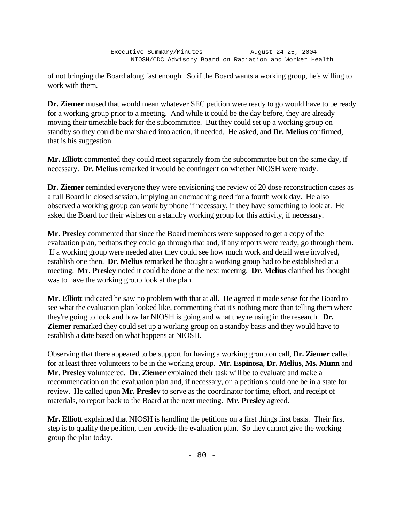of not bringing the Board along fast enough. So if the Board wants a working group, he's willing to work with them.

**Dr. Ziemer** mused that would mean whatever SEC petition were ready to go would have to be ready for a working group prior to a meeting. And while it could be the day before, they are already moving their timetable back for the subcommittee. But they could set up a working group on standby so they could be marshaled into action, if needed. He asked, and **Dr. Melius** confirmed, that is his suggestion.

**Mr. Elliott** commented they could meet separately from the subcommittee but on the same day, if necessary. **Dr. Melius** remarked it would be contingent on whether NIOSH were ready.

**Dr. Ziemer** reminded everyone they were envisioning the review of 20 dose reconstruction cases as a full Board in closed session, implying an encroaching need for a fourth work day. He also observed a working group can work by phone if necessary, if they have something to look at. He asked the Board for their wishes on a standby working group for this activity, if necessary.

**Mr. Presley** commented that since the Board members were supposed to get a copy of the evaluation plan, perhaps they could go through that and, if any reports were ready, go through them. If a working group were needed after they could see how much work and detail were involved, establish one then. **Dr. Melius** remarked he thought a working group had to be established at a meeting. **Mr. Presley** noted it could be done at the next meeting. **Dr. Melius** clarified his thought was to have the working group look at the plan.

**Mr. Elliott** indicated he saw no problem with that at all. He agreed it made sense for the Board to see what the evaluation plan looked like, commenting that it's nothing more than telling them where they're going to look and how far NIOSH is going and what they're using in the research. **Dr. Ziemer** remarked they could set up a working group on a standby basis and they would have to establish a date based on what happens at NIOSH.

Observing that there appeared to be support for having a working group on call, **Dr. Ziemer** called for at least three volunteers to be in the working group. **Mr. Espinosa**, **Dr. Melius**, **Ms. Munn** and Mr. Presley volunteered. Dr. Ziemer explained their task will be to evaluate and make a recommendation on the evaluation plan and, if necessary, on a petition should one be in a state for review. He called upon **Mr. Presley** to serve as the coordinator for time, effort, and receipt of materials, to report back to the Board at the next meeting. **Mr. Presley** agreed.

**Mr. Elliott** explained that NIOSH is handling the petitions on a first things first basis. Their first step is to qualify the petition, then provide the evaluation plan. So they cannot give the working group the plan today.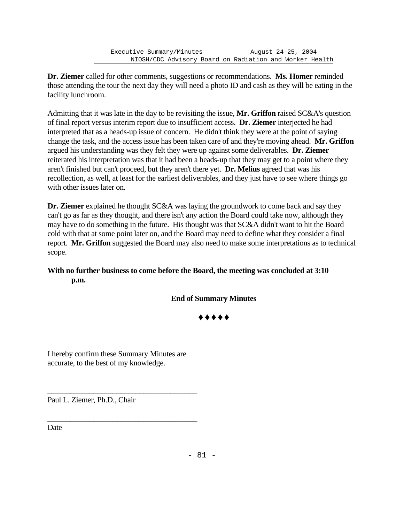**Dr. Ziemer** called for other comments, suggestions or recommendations. **Ms. Homer** reminded those attending the tour the next day they will need a photo ID and cash as they will be eating in the facility lunchroom.

Admitting that it was late in the day to be revisiting the issue, **Mr. Griffon** raised SC&A's question of final report versus interim report due to insufficient access. **Dr. Ziemer** interjected he had interpreted that as a heads-up issue of concern. He didn't think they were at the point of saying change the task, and the access issue has been taken care of and they're moving ahead. **Mr. Griffon** argued his understanding was they felt they were up against some deliverables. **Dr. Ziemer** reiterated his interpretation was that it had been a heads-up that they may get to a point where they aren't finished but can't proceed, but they aren't there yet. **Dr. Melius** agreed that was his recollection, as well, at least for the earliest deliverables, and they just have to see where things go with other issues later on.

**Dr. Ziemer** explained he thought SC&A was laying the groundwork to come back and say they can't go as far as they thought, and there isn't any action the Board could take now, although they may have to do something in the future. His thought was that SC&A didn't want to hit the Board cold with that at some point later on, and the Board may need to define what they consider a final report. **Mr. Griffon** suggested the Board may also need to make some interpretations as to technical scope.

## **With no further business to come before the Board, the meeting was concluded at 3:10 p.m.**

## **End of Summary Minutes**

 $\bullet$   $\bullet$   $\bullet$   $\bullet$ 

I hereby confirm these Summary Minutes are accurate, to the best of my knowledge.

\_\_\_\_\_\_\_\_\_\_\_\_\_\_\_\_\_\_\_\_\_\_\_\_\_\_\_\_\_\_\_\_\_\_\_\_\_\_\_

\_\_\_\_\_\_\_\_\_\_\_\_\_\_\_\_\_\_\_\_\_\_\_\_\_\_\_\_\_\_\_\_\_\_\_\_\_\_\_

Paul L. Ziemer, Ph.D., Chair

Date